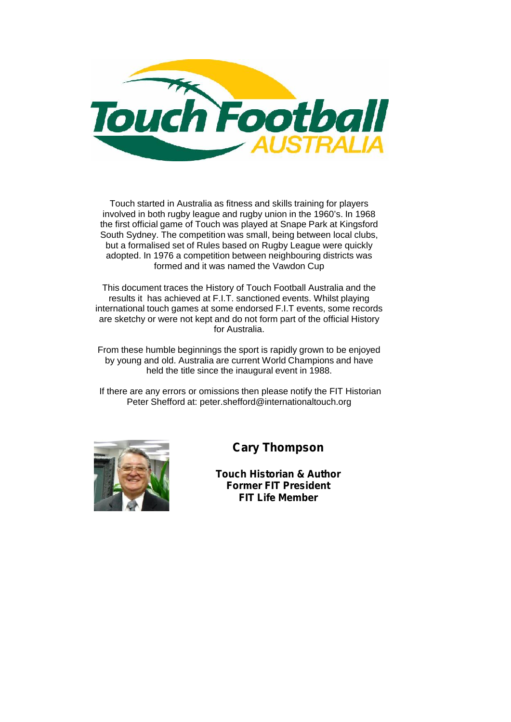

Touch started in Australia as fitness and skills training for players involved in both rugby league and rugby union in the 1960's. In 1968 the first official game of Touch was played at Snape Park at Kingsford South Sydney. The competition was small, being between local clubs, but a formalised set of Rules based on Rugby League were quickly adopted. In 1976 a competition between neighbouring districts was formed and it was named the Vawdon Cup

This document traces the History of Touch Football Australia and the results it has achieved at F.I.T. sanctioned events. Whilst playing international touch games at some endorsed F.I.T events, some records are sketchy or were not kept and do not form part of the official History for Australia.

From these humble beginnings the sport is rapidly grown to be enjoyed by young and old. Australia are current World Champions and have held the title since the inaugural event in 1988.

If there are any errors or omissions then please notify the FIT Historian Peter Shefford at: peter.shefford@internationaltouch.org



**Cary Thompson**

**Touch Historian & Author Former FIT President FIT Life Member**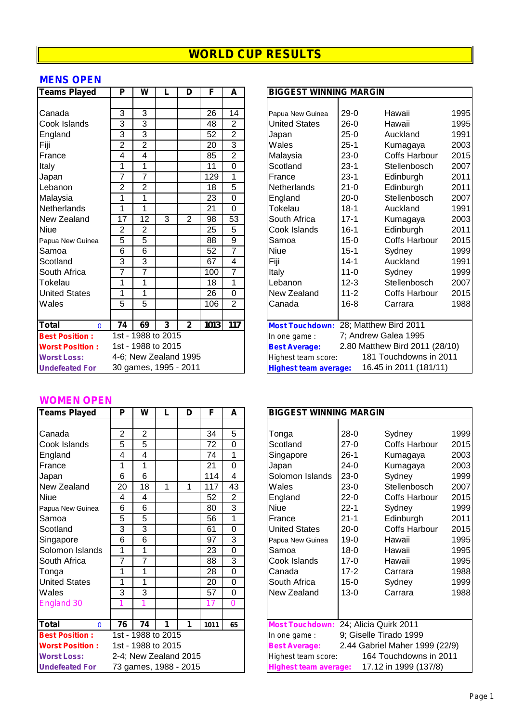## **MENS OPEN**

| Teams Played           | P              | W              | L                     | D              | F    | A               |             | <b>BIGGEST WINNING MARGIN</b> |          |                                              |      |
|------------------------|----------------|----------------|-----------------------|----------------|------|-----------------|-------------|-------------------------------|----------|----------------------------------------------|------|
|                        |                |                |                       |                |      |                 |             |                               |          |                                              |      |
| Canada                 | 3              | 3              |                       |                | 26   | 14              |             | Papua New Guinea              | $29-0$   | Hawaii                                       | 1995 |
| Cook Islands           | 3              | 3              |                       |                | 48   | $\overline{2}$  |             | <b>United States</b>          | $26-0$   | Hawaii                                       | 1995 |
| England                | 3              | 3              |                       |                | 52   | $\overline{2}$  | Japan       |                               | $25-0$   | Auckland                                     | 199' |
| Fiji                   | $\overline{2}$ | $\overline{2}$ |                       |                | 20   | $\overline{3}$  | Wales       |                               | $25 - 1$ | Kumagaya                                     | 2003 |
| France                 | 4              | $\overline{4}$ |                       |                | 85   | $\overline{2}$  | Malaysia    |                               | $23-0$   | <b>Coffs Harbour</b>                         | 2015 |
| Italy                  | 1              | 1              |                       |                | 11   | $\overline{0}$  | Scotland    |                               | $23-1$   | Stellenbosch                                 | 2007 |
| Japan                  | $\overline{7}$ | 7              |                       |                | 129  | 1               | France      |                               | $23-1$   | Edinburgh                                    | 201' |
| Lebanon                | 2              | $\overline{2}$ |                       |                | 18   | $\overline{5}$  |             | <b>Netherlands</b>            | $21 - 0$ | Edinburgh                                    | 201' |
| Malaysia               | 1              | 1              |                       |                | 23   | $\overline{0}$  | England     |                               | $20 - 0$ | Stellenbosch                                 | 2007 |
| Netherlands            | 1              | 1              |                       |                | 21   | $\overline{0}$  | Tokelau     |                               | $18 - 1$ | Auckland                                     | 199' |
| New Zealand            | 17             | 12             | 3                     | $\overline{2}$ | 98   | $\overline{53}$ |             | South Africa                  | $17 - 1$ | Kumagaya                                     | 2003 |
| <b>Niue</b>            | 2              | $\overline{2}$ |                       |                | 25   | 5               |             | Cook Islands                  | $16-1$   | Edinburgh                                    | 201' |
| Papua New Guinea       | 5              | 5              |                       |                | 88   | 9               | Samoa       |                               | $15 - 0$ | <b>Coffs Harbour</b>                         | 2015 |
| Samoa                  | 6              | 6              |                       |                | 52   | 7               | <b>Niue</b> |                               | $15 - 1$ | Sydney                                       | 1999 |
| Scotland               | 3              | $\overline{3}$ |                       |                | 67   | $\overline{4}$  | Fiji        |                               | $14 - 1$ | Auckland                                     | 199' |
| South Africa           | $\overline{7}$ | $\overline{7}$ |                       |                | 100  | $\overline{7}$  | Italy       |                               | $11 - 0$ | Sydney                                       | 1999 |
| Tokelau                | 1              | 1              |                       |                | 18   | 1               | Lebanon     |                               | $12 - 3$ | Stellenbosch                                 | 2007 |
| <b>United States</b>   | 1              | 1              |                       |                | 26   | $\overline{0}$  |             | New Zealand                   | $11 - 2$ | <b>Coffs Harbour</b>                         | 2015 |
| Wales                  | $\overline{5}$ | $\overline{5}$ |                       |                | 106  | $\overline{2}$  | Canada      |                               | $16 - 8$ | Carrara                                      | 1988 |
|                        |                |                |                       |                |      |                 |             |                               |          |                                              |      |
| Total<br>$\mathbf{0}$  | 74             | 69             | 3                     | $\mathbf{2}$   | 1013 | 117             |             |                               |          | <b>Most Touchdown: 28; Matthew Bird 2011</b> |      |
| <b>Best Position:</b>  |                |                | 1st - 1988 to 2015    |                |      |                 |             | In one game:                  |          | 7; Andrew Galea 1995                         |      |
| <b>Worst Position:</b> |                |                | 1st - 1988 to 2015    |                |      |                 |             | <b>Best Average:</b>          |          | 2.80 Matthew Bird 2011 (28/10)               |      |
| <b>Worst Loss:</b>     |                |                | 4-6; New Zealand 1995 |                |      |                 |             | Highest team score:           |          | 181 Touchdowns in 2011                       |      |
| <b>Undefeated For</b>  |                |                | 30 games, 1995 - 2011 |                |      |                 |             | <b>Highest team average:</b>  |          | 16.45 in 2011 (181/11)                       |      |

| <b>Teams Played</b>    | Ρ              | W                  | L | D                     | F    | A              |                                                        | <b>BIGGEST WINNING MARGIN</b> |                      |      |  |  |
|------------------------|----------------|--------------------|---|-----------------------|------|----------------|--------------------------------------------------------|-------------------------------|----------------------|------|--|--|
|                        |                |                    |   |                       |      |                |                                                        |                               |                      |      |  |  |
| Canada                 | 3              | 3                  |   |                       | 26   | 14             | Papua New Guinea                                       | $29-0$                        | Hawaii               | 1995 |  |  |
| Cook Islands           | 3              | 3                  |   |                       | 48   | $\overline{2}$ | <b>United States</b>                                   | $26-0$                        | Hawaii               | 1995 |  |  |
| England                | 3              | 3                  |   |                       | 52   | $\overline{2}$ | Japan                                                  | $25-0$                        | Auckland             | 1991 |  |  |
| Fiji                   | $\overline{2}$ | $\overline{2}$     |   |                       | 20   | 3              | Wales                                                  | $25 - 1$                      | Kumagaya             | 2003 |  |  |
| France                 | 4              | 4                  |   |                       | 85   | $\overline{2}$ | Malaysia                                               | $23-0$                        | <b>Coffs Harbour</b> | 2015 |  |  |
| Italy                  | 1              | 1                  |   |                       | 11   | 0              | Scotland                                               | $23-1$                        | Stellenbosch         | 2007 |  |  |
| Japan                  | 7              | $\overline{7}$     |   |                       | 129  | 1              | France                                                 | $23-1$                        | Edinburgh            | 2011 |  |  |
| Lebanon                | $\overline{2}$ | $\overline{2}$     |   |                       | 18   | 5              | <b>Netherlands</b>                                     | $21 - 0$                      | Edinburgh            | 2011 |  |  |
| Malaysia               | 1              | 1                  |   |                       | 23   | 0              | England                                                | $20 - 0$                      | Stellenbosch         | 2007 |  |  |
| Netherlands            | 1              | 1                  |   |                       | 21   | 0              | Tokelau                                                | $18-1$                        | Auckland             | 1991 |  |  |
| New Zealand            | 17             | 12                 | 3 | $\overline{2}$        | 98   | 53             | South Africa                                           | $17 - 1$                      | Kumagaya             | 2003 |  |  |
| Niue                   | $\overline{2}$ | $\overline{2}$     |   |                       | 25   | 5              | Cook Islands                                           | $16-1$                        | Edinburgh            | 2011 |  |  |
| Papua New Guinea       | 5              | 5                  |   |                       | 88   | 9              | Samoa                                                  | $15 - 0$                      | Coffs Harbour        | 2015 |  |  |
| Samoa                  | 6              | 6                  |   |                       | 52   | $\overline{7}$ | <b>Niue</b>                                            | $15 - 1$                      | Sydney               | 1999 |  |  |
| Scotland               | 3              | $\overline{3}$     |   |                       | 67   | 4              | Fiji                                                   | $14 - 1$                      | Auckland             | 1991 |  |  |
| South Africa           | 7              | $\overline{7}$     |   |                       | 100  | $\overline{7}$ | Italy                                                  | $11 - 0$                      | Sydney               | 1999 |  |  |
| Tokelau                | 1              | 1                  |   |                       | 18   | 1              | Lebanon                                                | $12 - 3$                      | Stellenbosch         | 2007 |  |  |
| <b>United States</b>   | 1              | 1                  |   |                       | 26   | 0              | New Zealand                                            | $11 - 2$                      | <b>Coffs Harbour</b> | 2015 |  |  |
| Wales                  | 5              | 5                  |   |                       | 106  | $\overline{2}$ | Canada                                                 | $16 - 8$                      | Carrara              | 1988 |  |  |
|                        |                |                    |   |                       |      |                |                                                        |                               |                      |      |  |  |
| Total<br>$\Omega$      | 74             | 69                 | 3 | $\mathbf{2}$          | 1013 | 117            | <b>Most Touchdown: 28; Matthew Bird 2011</b>           |                               |                      |      |  |  |
| <b>Best Position:</b>  |                | 1st - 1988 to 2015 |   |                       |      |                | In one game:                                           |                               | 7; Andrew Galea 1995 |      |  |  |
| <b>Worst Position:</b> |                | 1st - 1988 to 2015 |   |                       |      |                | 2.80 Matthew Bird 2011 (28/10)<br><b>Best Average:</b> |                               |                      |      |  |  |
| <b>Worst Loss:</b>     |                |                    |   | 4-6; New Zealand 1995 |      |                | 181 Touchdowns in 2011<br>Highest team score:          |                               |                      |      |  |  |
| <b>Undefeated For</b>  |                |                    |   | 30 games, 1995 - 2011 |      |                | 16.45 in 2011 (181/11)<br><b>Highest team average:</b> |                               |                      |      |  |  |
|                        |                |                    |   |                       |      |                |                                                        |                               |                      |      |  |  |

### **WOMEN OPEN**

| <b>Teams Played</b>    | P              | W  |                       | D | F    | A              | <b>BIGGEST WINNING MARGIN</b>         |                                                       |                                |      |  |
|------------------------|----------------|----|-----------------------|---|------|----------------|---------------------------------------|-------------------------------------------------------|--------------------------------|------|--|
|                        |                |    |                       |   |      |                |                                       |                                                       |                                |      |  |
| Canada                 | $\overline{2}$ | 2  |                       |   | 34   | $\overline{5}$ | Tonga                                 | $28 - 0$                                              | Sydney                         | 1999 |  |
| Cook Islands           | 5              | 5  |                       |   | 72   | $\Omega$       | Scotland                              | $27-0$                                                | Coffs Harbour                  | 2015 |  |
| England                | 4              | 4  |                       |   | 74   | 1              | Singapore                             | $26-1$                                                | Kumagaya                       | 2003 |  |
| France                 | 1              | 1  |                       |   | 21   | $\Omega$       | Japan                                 | $24-0$                                                | Kumagaya                       | 2003 |  |
| Japan                  | 6              | 6  |                       |   | 114  | 4              | Solomon Islands                       | $23-0$                                                | Sydney                         | 1999 |  |
| New Zealand            | 20             | 18 | 1                     | 1 | 117  | 43             | Wales                                 | $23-0$                                                | Stellenbosch                   | 2007 |  |
| <b>Niue</b>            | 4              | 4  |                       |   | 52   | 2              | England                               | $22 - 0$                                              | Coffs Harbour                  | 2015 |  |
| Papua New Guinea       | 6              | 6  |                       |   | 80   | 3              | <b>Niue</b>                           | $22 - 1$                                              | Sydney                         | 1999 |  |
| Samoa                  | 5              | 5  |                       |   | 56   | 1              | France                                | $21 - 1$                                              | Edinburgh                      | 2011 |  |
| Scotland               | 3              | 3  |                       |   | 61   | $\Omega$       | <b>United States</b>                  | $20 - 0$                                              | Coffs Harbour                  | 2015 |  |
| Singapore              | 6              | 6  |                       |   | 97   | 3              | Papua New Guinea                      | $19-0$                                                | Hawaii                         | 1995 |  |
| Solomon Islands        | 1              | 1  |                       |   | 23   | $\Omega$       | Samoa                                 | $18 - 0$                                              | Hawaii                         | 1995 |  |
| South Africa           | 7              | 7  |                       |   | 88   | 3              | Cook Islands                          | $17-0$                                                | Hawaii                         | 1995 |  |
| Tonga                  | 1              | 1  |                       |   | 28   | 0              | Canada                                | $17 - 2$                                              | Carrara                        | 1988 |  |
| <b>United States</b>   | 1              | 1  |                       |   | 20   | $\Omega$       | South Africa                          | $15-0$                                                | Sydney                         | 1999 |  |
| Wales                  | 3              | 3  |                       |   | 57   | 0              | New Zealand                           | $13 - 0$                                              | Carrara                        | 1988 |  |
| <b>England 30</b>      |                |    |                       |   | 17   | 0              |                                       |                                                       |                                |      |  |
|                        |                |    |                       |   |      |                |                                       |                                                       |                                |      |  |
| Total<br>$\Omega$      | 76             | 74 | 1                     | 1 | 1011 | 65             | Most Touchdown: 24; Alicia Quirk 2011 |                                                       |                                |      |  |
| <b>Best Position:</b>  |                |    | 1st - 1988 to 2015    |   |      |                | In one game :                         | 9; Giselle Tirado 1999                                |                                |      |  |
| <b>Worst Position:</b> |                |    | 1st - 1988 to 2015    |   |      |                | <b>Best Average:</b>                  |                                                       | 2.44 Gabriel Maher 1999 (22/9) |      |  |
| <b>Worst Loss:</b>     |                |    | 2-4; New Zealand 2015 |   |      |                |                                       | 164 Touchdowns in 2011<br>Highest team score:         |                                |      |  |
| <b>Undefeated For</b>  |                |    | 73 games, 1988 - 2015 |   |      |                |                                       | 17.12 in 1999 (137/8)<br><b>Highest team average:</b> |                                |      |  |

| <b>BIGGEST WINNING MARGIN</b> |          |                                |      |
|-------------------------------|----------|--------------------------------|------|
|                               |          |                                |      |
| Tonga                         | 28-0     | Sydney                         | 1999 |
| Scotland                      | $27-0$   | <b>Coffs Harbour</b>           | 2015 |
| Singapore                     | $26-1$   | Kumagaya                       | 2003 |
| Japan                         | $24-0$   | Kumagaya                       | 2003 |
| Solomon Islands               | $23-0$   | Sydney                         | 1999 |
| Wales                         | $23-0$   | Stellenbosch                   | 2007 |
| England                       | $22-0$   | <b>Coffs Harbour</b>           | 2015 |
| <b>Niue</b>                   | $22 - 1$ | Sydney                         | 1999 |
| France                        | $21 - 1$ | Edinburgh                      | 2011 |
| <b>United States</b>          | $20-0$   | <b>Coffs Harbour</b>           | 2015 |
| Papua New Guinea              | $19-0$   | Hawaii                         | 1995 |
| Samoa                         | $18 - 0$ | Hawaii                         | 1995 |
| Cook Islands                  | $17-0$   | Hawaii                         | 1995 |
| Canada                        | $17 - 2$ | Carrara                        | 1988 |
| South Africa                  | $15-0$   | Sydney                         | 1999 |
| New Zealand                   | $13 - 0$ | Carrara                        | 1988 |
|                               |          |                                |      |
|                               |          |                                |      |
| <b>Most Touchdown:</b>        |          | 24; Alicia Quirk 2011          |      |
| In one game :                 |          | 9; Giselle Tirado 1999         |      |
| <b>Best Average:</b>          |          | 2.44 Gabriel Maher 1999 (22/9) |      |
| Highest team score:           |          | 164 Touchdowns in 2011         |      |
| <b>Highest team average:</b>  |          | 17.12 in 1999 (137/8)          |      |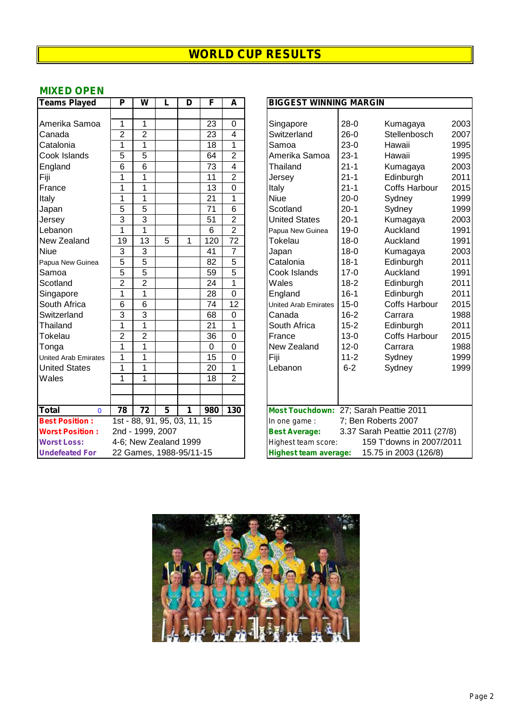## **MIXED OPEN**

| <b>Teams Played</b>          | P              | W                            | L              | D | F               | A               | <b>BIGGEST WINNING MARGIN</b>                                                    |
|------------------------------|----------------|------------------------------|----------------|---|-----------------|-----------------|----------------------------------------------------------------------------------|
|                              |                |                              |                |   |                 |                 |                                                                                  |
| Amerika Samoa                | 1              | 1                            |                |   | 23              | $\overline{0}$  | 200<br>$28-0$<br>Kumagaya<br>Singapore                                           |
| Canada                       | $\overline{2}$ | $\overline{2}$               |                |   | $\overline{23}$ | 4               | 200<br>Switzerland<br>$26-0$<br>Stellenbosch                                     |
| Catalonia                    | 1              | 1                            |                |   | $\overline{18}$ | $\overline{1}$  | 199<br>$23-0$<br>Samoa<br>Hawaii                                                 |
| Cook Islands                 | 5              | $\overline{5}$               |                |   | 64              | $\overline{2}$  | Amerika Samoa<br>$23-1$<br>199<br>Hawaii                                         |
| England                      | $\overline{6}$ | $\overline{6}$               |                |   | $\overline{73}$ | $\overline{4}$  | 200<br>Thailand<br>$21 - 1$<br>Kumagaya                                          |
| Fiji                         | 1              | 1                            |                |   | 11              | $\overline{2}$  | 20 <sup>1</sup><br>$21 - 1$<br>Edinburgh<br>Jersey                               |
| France                       | 1              | 1                            |                |   | $\overline{13}$ | $\overline{0}$  | 20 <sup>7</sup><br>$21 - 1$<br><b>Coffs Harbour</b><br>Italy                     |
| Italy                        | 1              | 1                            |                |   | $\overline{21}$ | $\overline{1}$  | 199<br><b>Niue</b><br>$20-0$<br>Sydney                                           |
| Japan                        | 5              | $\overline{5}$               |                |   | 71              | $\overline{6}$  | $20-1$<br>Scotland<br>199<br>Sydney                                              |
| Jersey                       | 3              | 3                            |                |   | 51              | $\overline{2}$  | $20-1$<br>200<br><b>United States</b><br>Kumagaya                                |
| Lebanon                      | 1              | $\mathbf{1}$                 |                |   | 6               | $\overline{2}$  | 199<br>$19-0$<br>Auckland<br>Papua New Guinea                                    |
| New Zealand                  | 19             | 13                           | 5              | 1 | 120             | $\overline{72}$ | 199<br>Tokelau<br>$18 - 0$<br>Auckland                                           |
| <b>Niue</b>                  | 3              | $\overline{3}$               |                |   | 41              | $\overline{7}$  | 200<br>$18 - 0$<br>Japan<br>Kumagaya                                             |
| Papua New Guinea             | 5              | $\overline{5}$               |                |   | 82              | $\overline{5}$  | $18-1$<br>20 <sup>1</sup><br>Catalonia<br>Edinburgh                              |
| Samoa                        | 5              | $\overline{5}$               |                |   | 59              | $\overline{5}$  | 199<br>$17-0$<br>Auckland<br>Cook Islands                                        |
| Scotland                     | $\overline{2}$ | $\overline{2}$               |                |   | 24              | $\mathbf{1}$    | 20 <sup>1</sup><br>Wales<br>$18-2$<br>Edinburgh                                  |
| Singapore                    | 1              | 1                            |                |   | 28              | $\overline{0}$  | 20 <sup>1</sup><br>$16-1$<br>Edinburgh<br>England                                |
| South Africa                 | 6              | 6                            |                |   | 74              | $\overline{12}$ | 20 <sup>7</sup><br>$15-0$<br><b>Coffs Harbour</b><br><b>United Arab Emirates</b> |
| Switzerland                  | 3              | $\overline{3}$               |                |   | 68              | 0               | $16 - 2$<br>198<br>Canada<br>Carrara                                             |
| Thailand                     | 1              | $\overline{1}$               |                |   | $\overline{21}$ | $\overline{1}$  | 20 <sup>1</sup><br>South Africa<br>$15 - 2$<br>Edinburgh                         |
| Tokelau                      | $\overline{2}$ | $\overline{2}$               |                |   | $\overline{36}$ | $\overline{0}$  | $13-0$<br>20 <sup>1</sup><br>France<br><b>Coffs Harbour</b>                      |
| Tonga                        | 1              | 1                            |                |   | $\mathbf 0$     | $\mathbf 0$     | 198<br>New Zealand<br>$12 - 0$<br>Carrara                                        |
| <b>United Arab Emirates</b>  | 1              | 1                            |                |   | $\overline{15}$ | $\overline{0}$  | Fiji<br>199<br>$11 - 2$<br>Sydney                                                |
| <b>United States</b>         | 1              | 1                            |                |   | 20              | $\mathbf{1}$    | $6 - 2$<br>Lebanon<br>199<br>Sydney                                              |
| Wales                        | 1              | 1                            |                |   | 18              | $\overline{2}$  |                                                                                  |
|                              |                |                              |                |   |                 |                 |                                                                                  |
|                              |                |                              |                |   |                 |                 |                                                                                  |
| <b>Total</b><br>$\mathbf{0}$ | 78             | $\overline{72}$              | $\overline{5}$ | 1 | 980             | 130             | Most Touchdown: 27; Sarah Peattie 2011                                           |
| <b>Best Position:</b>        |                | 1st - 88, 91, 95, 03, 11, 15 |                |   |                 |                 | 7; Ben Roberts 2007<br>In one game :                                             |
| <b>Worst Position:</b>       |                | 2nd - 1999, 2007             |                |   |                 |                 | 3.37 Sarah Peattie 2011 (27/8)<br><b>Best Average:</b>                           |
| <b>Worst Loss:</b>           |                | 4-6; New Zealand 1999        |                |   |                 |                 | 159 T'downs in 2007/2011<br>Highest team score:                                  |
| <b>Undefeated For</b>        |                | 22 Games, 1988-95/11-15      |                |   |                 |                 | 15.75 in 2003 (126/8)<br><b>Highest team average:</b>                            |

| <b>Teams Played</b>         | P              | W               | L                            | D | F               | A               | <b>BIGGEST WINNING MARGIN</b>                          |          |                      |      |  |
|-----------------------------|----------------|-----------------|------------------------------|---|-----------------|-----------------|--------------------------------------------------------|----------|----------------------|------|--|
|                             |                |                 |                              |   |                 |                 |                                                        |          |                      |      |  |
| Amerika Samoa               | 1              | $\mathbf{1}$    |                              |   | $\overline{23}$ | $\mathbf 0$     | Singapore                                              | $28-0$   | Kumagaya             | 2003 |  |
| Canada                      | $\overline{2}$ | $\overline{2}$  |                              |   | $\overline{23}$ | 4               | Switzerland                                            | $26-0$   | Stellenbosch         | 2007 |  |
| Catalonia                   | $\mathbf{1}$   | 1               |                              |   | $\overline{18}$ | 1               | Samoa                                                  | $23-0$   | Hawaii               | 1995 |  |
| Cook Islands                | 5              | 5               |                              |   | 64              | $\overline{2}$  | Amerika Samoa                                          | $23 - 1$ | Hawaii               | 1995 |  |
| England                     | $\overline{6}$ | $\overline{6}$  |                              |   | $\overline{73}$ | 4               | Thailand                                               | $21 - 1$ | Kumagaya             | 2003 |  |
| Fiji                        | 1              | $\overline{1}$  |                              |   | $\overline{11}$ | $\overline{2}$  | Jersey                                                 | $21 - 1$ | Edinburgh            | 2011 |  |
| France                      | 1              | $\mathbf{1}$    |                              |   | 13              | 0               | Italy                                                  | $21 - 1$ | Coffs Harbour        | 2015 |  |
| Italy                       | 1              | 1               |                              |   | $\overline{21}$ | 1               | <b>Niue</b>                                            | $20-0$   | Sydney               | 1999 |  |
| Japan                       | 5              | 5               |                              |   | 71              | 6               | Scotland                                               | $20 - 1$ | Sydney               | 1999 |  |
| Jersey                      | 3              | 3               |                              |   | 51              | $\overline{2}$  | <b>United States</b>                                   | $20-1$   | Kumagaya             | 2003 |  |
| Lebanon                     | 1              | $\overline{1}$  |                              |   | 6               | $\overline{2}$  | Papua New Guinea                                       | $19-0$   | Auckland             | 1991 |  |
| New Zealand                 | 19             | 13              | 5                            | 1 | 120             | 72              | Tokelau                                                | $18-0$   | Auckland             | 1991 |  |
| Niue                        | 3              | $\overline{3}$  |                              |   | 41              | $\overline{7}$  | Japan                                                  | $18 - 0$ | Kumagaya             | 2003 |  |
| Papua New Guinea            | $\overline{5}$ | 5               |                              |   | 82              | $\overline{5}$  | Catalonia                                              | $18-1$   | Edinburgh            | 2011 |  |
| Samoa                       | 5              | 5               |                              |   | 59              | $\overline{5}$  | Cook Islands                                           | $17-0$   | Auckland             | 1991 |  |
| Scotland                    | $\overline{2}$ | $\overline{2}$  |                              |   | 24              | 1               | Wales                                                  | $18-2$   | Edinburgh            | 2011 |  |
| Singapore                   | $\mathbf{1}$   | 1               |                              |   | $\overline{28}$ | $\overline{0}$  | England                                                | $16-1$   | Edinburgh            | 2011 |  |
| South Africa                | 6              | 6               |                              |   | 74              | $\overline{12}$ | United Arab Emirates                                   | $15 - 0$ | <b>Coffs Harbour</b> | 2015 |  |
| Switzerland                 | 3              | 3               |                              |   | 68              | 0               | Canada                                                 | $16 - 2$ | Carrara              | 1988 |  |
| <b>Thailand</b>             | 1              | $\overline{1}$  |                              |   | 21              | 1               | South Africa                                           | $15 - 2$ | Edinburgh            | 2011 |  |
| Tokelau                     | $\overline{2}$ | $\overline{2}$  |                              |   | 36              | 0               | France                                                 | $13-0$   | <b>Coffs Harbour</b> | 2015 |  |
| Tonga                       | 1              | $\mathbf 1$     |                              |   | $\mathbf 0$     | 0               | New Zealand                                            | $12 - 0$ | Carrara              | 1988 |  |
| <b>United Arab Emirates</b> | 1              | 1               |                              |   | 15              | 0               | Fiji                                                   | $11 - 2$ | Sydney               | 1999 |  |
| <b>United States</b>        | $\mathbf{1}$   | 1               |                              |   | $\overline{20}$ | $\overline{1}$  | Lebanon                                                | $6 - 2$  | Sydney               | 1999 |  |
| Wales                       | $\mathbf{1}$   | $\mathbf{1}$    |                              |   | 18              | $\overline{2}$  |                                                        |          |                      |      |  |
|                             |                |                 |                              |   |                 |                 |                                                        |          |                      |      |  |
|                             |                |                 |                              |   |                 |                 |                                                        |          |                      |      |  |
| Total<br>$\Omega$           | 78             | $\overline{72}$ | 5                            | 1 | 980             | 130             | Most Touchdown: 27; Sarah Peattie 2011                 |          |                      |      |  |
| <b>Best Position:</b>       |                |                 | 1st - 88, 91, 95, 03, 11, 15 |   |                 |                 | In one game:                                           |          | 7; Ben Roberts 2007  |      |  |
| <b>Worst Position:</b>      |                |                 | 2nd - 1999, 2007             |   |                 |                 | 3.37 Sarah Peattie 2011 (27/8)<br><b>Best Average:</b> |          |                      |      |  |
| <b>Worst Loss:</b>          |                |                 | 4-6; New Zealand 1999        |   |                 |                 | 159 T'downs in 2007/2011<br>Highest team score:        |          |                      |      |  |
| <b>Undefeated For</b>       |                |                 | 22 Games, 1988-95/11-15      |   |                 |                 | 15.75 in 2003 (126/8)<br>Highest team average:         |          |                      |      |  |

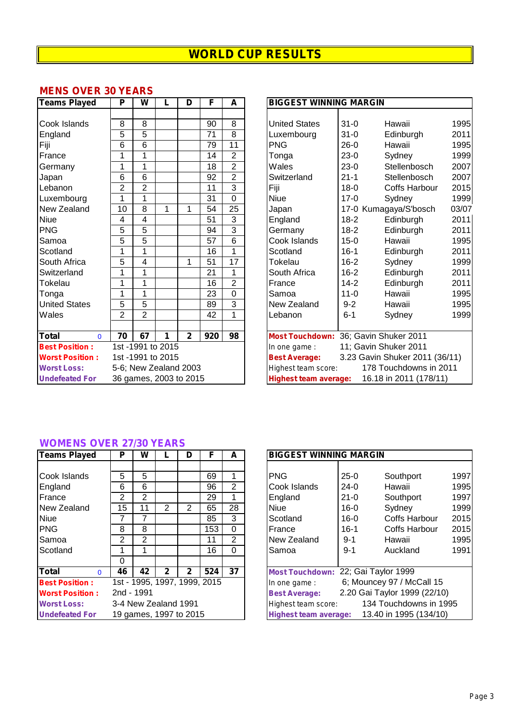## **MENS OVER 30 YEARS**

| <b>Teams Played</b>          | P              | W              | L                      | D            | F   | A               | <b>BIGGEST WINNING MARGIN</b>                          |      |
|------------------------------|----------------|----------------|------------------------|--------------|-----|-----------------|--------------------------------------------------------|------|
|                              |                |                |                        |              |     |                 |                                                        |      |
| Cook Islands                 | 8              | $\overline{8}$ |                        |              | 90  | $\overline{8}$  | $31 - 0$<br><b>United States</b><br>Hawaii             | 199  |
| England                      | 5              | 5              |                        |              | 71  | 8               | $31 - 0$<br>Luxembourg<br>Edinburgh                    | 201' |
| Fiji                         | 6              | 6              |                        |              | 79  | 11              | <b>PNG</b><br>$26-0$<br>Hawaii                         | 199  |
| France                       | 1              | 1              |                        |              | 14  | $\overline{2}$  | $23-0$<br>Tonga<br>Sydney                              | 1999 |
| Germany                      | 1              | 1              |                        |              | 18  | $\overline{2}$  | $23-0$<br>Wales<br>Stellenbosch                        | 200  |
| Japan                        | 6              | 6              |                        |              | 92  | $\overline{2}$  | Switzerland<br>$21 - 1$<br>Stellenbosch                | 200  |
| Lebanon                      | $\overline{2}$ | $\overline{2}$ |                        |              | 11  | 3               | Fiji<br>$18 - 0$<br>Coffs Harbour                      | 201  |
| Luxembourg                   | 1              | 1              |                        |              | 31  | 0               | <b>Niue</b><br>$17-0$<br>Sydney                        | 1999 |
| New Zealand                  | 10             | 8              | 1                      | 1            | 54  | 25              | 17-0 Kumagaya/S'bosch<br>Japan                         | 03/0 |
| <b>Niue</b>                  | 4              | 4              |                        |              | 51  | 3               | $18-2$<br>England<br>Edinburgh                         | 201' |
| <b>PNG</b>                   | 5              | 5              |                        |              | 94  | 3               | Germany<br>$18-2$<br>Edinburgh                         | 201' |
| Samoa                        | 5              | 5              |                        |              | 57  | 6               | Cook Islands<br>$15-0$<br>Hawaii                       | 199  |
| Scotland                     | 1              | 1              |                        |              | 16  | 1               | $16 - 1$<br>Scotland<br>Edinburgh                      | 201' |
| South Africa                 | 5              | 4              |                        | 1            | 51  | $\overline{17}$ | $16 - 2$<br>Tokelau<br>Sydney                          | 1999 |
| Switzerland                  | 1              | 1              |                        |              | 21  | 1               | South Africa<br>$16 - 2$<br>Edinburgh                  | 201' |
| Tokelau                      | 1              | 1              |                        |              | 16  | $\overline{2}$  | France<br>$14 - 2$<br>Edinburgh                        | 201' |
| Tonga                        | 1              | 1              |                        |              | 23  | 0               | $11 - 0$<br>Hawaii<br>Samoa                            | 199  |
| <b>United States</b>         | 5              | $\overline{5}$ |                        |              | 89  | $\overline{3}$  | $9 - 2$<br>New Zealand<br>Hawaii                       | 199  |
| Wales                        | $\overline{2}$ | $\overline{2}$ |                        |              | 42  | 1               | Lebanon<br>$6 - 1$<br>Sydney                           | 199  |
|                              |                |                |                        |              |     |                 |                                                        |      |
| <b>Total</b><br>$\mathbf{0}$ | 70             | 67             | 1                      | $\mathbf{2}$ | 920 | 98              | Most Touchdown: 36; Gavin Shuker 2011                  |      |
| <b>Best Position:</b>        |                |                | 1st -1991 to 2015      |              |     |                 | 11; Gavin Shuker 2011<br>In one game:                  |      |
| <b>Worst Position:</b>       |                |                | 1st -1991 to 2015      |              |     |                 | 3.23 Gavin Shuker 2011 (36/11)<br><b>Best Average:</b> |      |
| <b>Worst Loss:</b>           |                |                | 5-6; New Zealand 2003  |              |     |                 | 178 Touchdowns in 2011<br>Highest team score:          |      |
| <b>Undefeated For</b>        |                |                | 36 games, 2003 to 2015 |              |     |                 | 16.18 in 2011 (178/11)<br><b>Highest team average:</b> |      |

| <b>Teams Played</b>    | P              | W              |                        | D            | F               | A               | <b>BIGGEST WINNING MARGIN</b>                          |       |  |  |
|------------------------|----------------|----------------|------------------------|--------------|-----------------|-----------------|--------------------------------------------------------|-------|--|--|
|                        |                |                |                        |              |                 |                 |                                                        |       |  |  |
| Cook Islands           | 8              | 8              |                        |              | 90              | 8               | $31 - 0$<br>Hawaii<br><b>United States</b>             | 1995  |  |  |
| England                | 5              | 5              |                        |              | $\overline{71}$ | 8               | $31 - 0$<br>Luxembourg<br>Edinburgh                    | 2011  |  |  |
| Fiji                   | 6              | 6              |                        |              | 79              | $\overline{11}$ | <b>PNG</b><br>$26-0$<br>Hawaii                         | 1995  |  |  |
| France                 | 1              | 1              |                        |              | 14              | 2               | $23-0$<br>Sydney<br>Tonga                              | 1999  |  |  |
| Germany                | 1              | 1              |                        |              | 18              | $\overline{2}$  | Wales<br>$23-0$<br>Stellenbosch                        | 2007  |  |  |
| Japan                  | 6              | 6              |                        |              | 92              | $\overline{2}$  | $21 - 1$<br>Switzerland<br>Stellenbosch                | 2007  |  |  |
| Lebanon                | $\overline{2}$ | $\overline{2}$ |                        |              | 11              | $\overline{3}$  | Fiji<br>$18 - 0$<br><b>Coffs Harbour</b>               | 2015  |  |  |
| Luxembourg             | 1              | 1              |                        |              | 31              | $\Omega$        | <b>Niue</b><br>$17-0$<br>Sydney                        | 1999  |  |  |
| New Zealand            | 10             | 8              | 1                      |              | 54              | 25              | 17-0 Kumagaya/S'bosch<br>Japan                         | 03/07 |  |  |
| Niue                   | 4              | 4              |                        |              | 51              | 3               | $18-2$<br>England<br>Edinburgh                         | 2011  |  |  |
| <b>PNG</b>             | 5              | 5              |                        |              | 94              | $\overline{3}$  | $18-2$<br>Germany<br>Edinburgh                         | 2011  |  |  |
| Samoa                  | 5              | 5              |                        |              | 57              | 6               | Cook Islands<br>Hawaii<br>$15 - 0$                     | 1995  |  |  |
| Scotland               | 1              | 1              |                        |              | 16              | 1               | $16 - 1$<br>Scotland<br>Edinburgh                      | 2011  |  |  |
| South Africa           | 5              | 4              |                        | 1            | 51              | 17              | Tokelau<br>$16 - 2$<br>Sydney                          | 1999  |  |  |
| Switzerland            | 1              |                |                        |              | 21              | 1               | South Africa<br>$16 - 2$<br>Edinburgh                  | 2011  |  |  |
| Tokelau                | 1              | 1              |                        |              | 16              | $\overline{2}$  | $14 - 2$<br>France<br>Edinburgh                        | 2011  |  |  |
| Tonga                  | 1              | 1              |                        |              | 23              | 0               | Hawaii<br>Samoa<br>$11 - 0$                            | 1995  |  |  |
| <b>United States</b>   | 5              | 5              |                        |              | 89              | 3               | New Zealand<br>$9 - 2$<br>Hawaii                       | 1995  |  |  |
| Wales                  | $\overline{2}$ | $\overline{2}$ |                        |              | 42              | 1               | $6 - 1$<br>Lebanon<br>Sydney                           | 1999  |  |  |
|                        |                |                |                        |              |                 |                 |                                                        |       |  |  |
| Total<br>$\mathbf{0}$  | 70             | 67             | 1                      | $\mathbf{2}$ | 920             | 98              | Most Touchdown: 36; Gavin Shuker 2011                  |       |  |  |
| <b>Best Position:</b>  |                |                | 1st -1991 to 2015      |              |                 |                 | 11; Gavin Shuker 2011<br>In one game:                  |       |  |  |
| <b>Worst Position:</b> |                |                | 1st -1991 to 2015      |              |                 |                 | 3.23 Gavin Shuker 2011 (36/11)<br><b>Best Average:</b> |       |  |  |
| <b>Worst Loss:</b>     |                |                | 5-6; New Zealand 2003  |              |                 |                 | 178 Touchdowns in 2011<br>Highest team score:          |       |  |  |
| <b>Undefeated For</b>  |                |                | 36 games, 2003 to 2015 |              |                 |                 | 16.18 in 2011 (178/11)<br><b>Highest team average:</b> |       |  |  |

## **WOMENS OVER 27/30 YEARS**

| <b>Teams Played</b>      | P          | W              |                        | D            | F                            | A              | <b>BIGGEST WINNING MARGIN</b>                          |
|--------------------------|------------|----------------|------------------------|--------------|------------------------------|----------------|--------------------------------------------------------|
|                          |            |                |                        |              |                              |                |                                                        |
| Cook Islands             | 5          | 5              |                        |              | 69                           |                | <b>PNG</b><br>$25-0$<br>1997<br>Southport              |
| England                  | 6          | 6              |                        |              | 96                           | $\overline{2}$ | Cook Islands<br>1995<br>$24-0$<br>Hawaii               |
| France                   | 2          | 2              |                        |              | 29                           |                | England<br>$21 - 0$<br>1997<br>Southport               |
| New Zealand              | 15         | 11             | 2                      | 2            | 65                           | 28             | <b>Niue</b><br>Sydney<br>1999<br>$16 - 0$              |
| <b>Niue</b>              |            | 7              |                        |              | 85                           | 3              | Coffs Harbour<br>Scotland<br>$16 - 0$<br>2015          |
| <b>PNG</b>               | 8          | 8              |                        |              | 153                          | $\Omega$       | $16-1$<br>Coffs Harbour<br>2015<br>France              |
| Samoa                    | 2          | $\overline{2}$ |                        |              | 11                           | 2              | 1995<br>New Zealand<br>$9 - 1$<br>Hawaii               |
| Scotland                 |            |                |                        |              | 16                           | $\Omega$       | 1991<br>$9 - 1$<br>Auckland<br>Samoa                   |
|                          | 0          |                |                        |              |                              |                |                                                        |
| <b>Total</b><br>$\Omega$ | 46         | 42             | 2                      | $\mathbf{2}$ | 524                          | 37             | Most Touchdown: 22; Gai Taylor 1999                    |
| <b>Best Position:</b>    |            |                |                        |              | 1st - 1995, 1997, 1999, 2015 |                | 6; Mouncey 97 / McCall 15<br>In one game :             |
| <b>Worst Position:</b>   | 2nd - 1991 |                |                        |              |                              |                | 2.20 Gai Taylor 1999 (22/10)<br><b>Best Average:</b>   |
| <b>Worst Loss:</b>       |            |                | 3-4 New Zealand 1991   |              |                              |                | 134 Touchdowns in 1995<br>Highest team score:          |
| <b>Undefeated For</b>    |            |                | 19 games, 1997 to 2015 |              |                              |                | 13.40 in 1995 (134/10)<br><b>Highest team average:</b> |

| Teams Played           | Р              | w              |                        | D            | F                            | A              | <b>BIGGEST WINNING MARGIN</b>                 |          |                              |      |
|------------------------|----------------|----------------|------------------------|--------------|------------------------------|----------------|-----------------------------------------------|----------|------------------------------|------|
|                        |                |                |                        |              |                              |                |                                               |          |                              |      |
| Cook Islands           | 5              | 5              |                        |              | 69                           |                | <b>PNG</b>                                    | $25-0$   | Southport                    | 1997 |
| England                | 6              | 6              |                        |              | 96                           | $\overline{2}$ | Cook Islands                                  | $24-0$   | Hawaii                       | 1995 |
| France                 | $\overline{2}$ | $\overline{2}$ |                        |              | 29                           |                | England                                       | $21 - 0$ | Southport                    | 1997 |
| New Zealand            | 15             | 11             | 2                      | 2            | 65                           | 28             | <b>Niue</b>                                   | $16 - 0$ | Sydney                       | 1999 |
| Niue                   |                |                |                        |              | 85                           | 3              | Scotland                                      | $16-0$   | Coffs Harbour                | 2015 |
| <b>PNG</b>             | 8              | 8              |                        |              | 153                          | $\Omega$       | <b>France</b>                                 | $16-1$   | <b>Coffs Harbour</b>         | 2015 |
| Samoa                  | 2              | $\overline{2}$ |                        |              | 11                           | $\overline{2}$ | New Zealand                                   | $9 - 1$  | Hawaii                       | 1995 |
| Scotland               |                |                |                        |              | 16                           | 0              | Samoa                                         | $9 - 1$  | Auckland                     | 1991 |
|                        | 0              |                |                        |              |                              |                |                                               |          |                              |      |
| Total<br>$\Omega$      | 46             | 42             | 2                      | $\mathbf{2}$ | 524                          | 37             | Most Touchdown: 22; Gai Taylor 1999           |          |                              |      |
| <b>Best Position:</b>  |                |                |                        |              | 1st - 1995, 1997, 1999, 2015 |                | In one game :                                 |          | 6; Mouncey 97 / McCall 15    |      |
| <b>Worst Position:</b> | 2nd - 1991     |                |                        |              |                              |                | <b>Best Average:</b>                          |          | 2.20 Gai Taylor 1999 (22/10) |      |
| <b>Worst Loss:</b>     |                |                | 3-4 New Zealand 1991   |              |                              |                | 134 Touchdowns in 1995<br>Highest team score: |          |                              |      |
| <b>Undefeated For</b>  |                |                | 19 games, 1997 to 2015 |              |                              |                | Highest team average:                         |          | 13.40 in 1995 (134/10)       |      |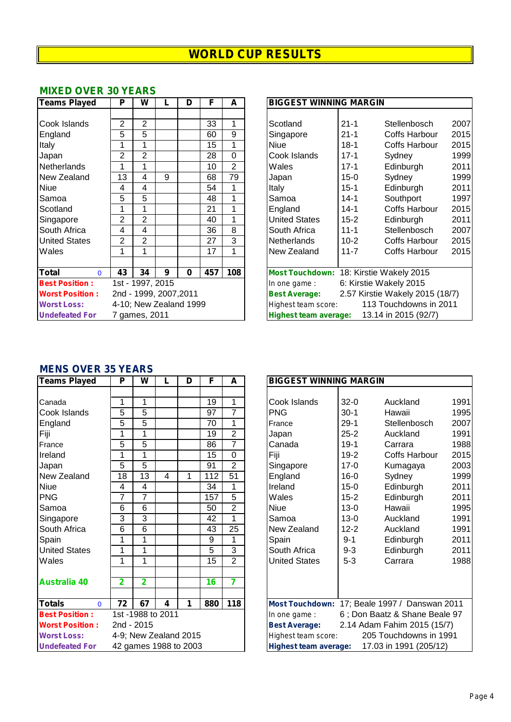## **MIXED OVER 30 YEARS**

| Teams Played             | P              | W                |                        | D        | F   | A              | <b>BIGGEST WINNING MARGIN</b>                             |
|--------------------------|----------------|------------------|------------------------|----------|-----|----------------|-----------------------------------------------------------|
|                          |                |                  |                        |          |     |                |                                                           |
| Cook Islands             | 2              | 2                |                        |          | 33  | 1              | $21 - 1$<br>200<br>Scotland<br><b>Stellenbosch</b>        |
| England                  | 5              | 5                |                        |          | 60  | 9              | 201<br>$21 - 1$<br><b>Coffs Harbour</b><br>Singapore      |
| Italy                    |                |                  |                        |          | 15  |                | $18-1$<br>201<br><b>Niue</b><br><b>Coffs Harbour</b>      |
| Japan                    | 2              | $\overline{2}$   |                        |          | 28  | 0              | 199<br>Cook Islands<br>$17 - 1$<br>Sydney                 |
| Netherlands              | 1              |                  |                        |          | 10  | $\overline{2}$ | 20 <sup>′</sup><br>Wales<br>$17 - 1$<br>Edinburgh         |
| New Zealand              | 13             | 4                | 9                      |          | 68  | 79             | 199<br>$15 - 0$<br>Sydney<br>Japan                        |
| <b>Niue</b>              | 4              | 4                |                        |          | 54  | 1              | $15 - 1$<br>20 <sup>7</sup><br>Edinburgh<br><b>Italy</b>  |
| Samoa                    | 5              | 5                |                        |          | 48  | 1              | 199<br>Southport<br>Samoa<br>$14 - 1$                     |
| Scotland                 | 1              |                  |                        |          | 21  | 1              | 201<br>England<br>$14 - 1$<br><b>Coffs Harbour</b>        |
| Singapore                | $\overline{2}$ | $\overline{2}$   |                        |          | 40  | 1              | 20 <sup>2</sup><br>United States<br>$15 - 2$<br>Edinburgh |
| South Africa             | 4              | 4                |                        |          | 36  | 8              | 200<br>$11 - 1$<br>Stellenbosch<br>South Africa           |
| <b>United States</b>     | $\overline{2}$ | $\overline{2}$   |                        |          | 27  | 3              | 201<br>$10 - 2$<br><b>Netherlands</b><br>Coffs Harbour    |
| Wales                    | 1              | 1                |                        |          | 17  | 1              | 201<br>New Zealand<br>$11 - 7$<br>Coffs Harbour           |
|                          |                |                  |                        |          |     |                |                                                           |
| <b>Total</b><br>$\Omega$ | 43             | 34               | 9                      | $\bf{0}$ | 457 | 108            | Most Touchdown: 18: Kirstie Wakely 2015                   |
| <b>Best Position:</b>    |                | 1st - 1997, 2015 |                        |          |     |                | 6: Kirstie Wakely 2015<br>In one game:                    |
| <b>Worst Position:</b>   |                |                  | 2nd - 1999, 2007, 2011 |          |     |                | 2.57 Kirstie Wakely 2015 (18/7)<br><b>Best Average:</b>   |
| <b>Worst Loss:</b>       |                |                  | 4-10; New Zealand 1999 |          |     |                | 113 Touchdowns in 2011<br>Highest team score:             |
| <b>Undefeated For</b>    |                | 7 games, 2011    |                        |          |     |                | 13.14 in 2015 (92/7)<br><b>Highest team average:</b>      |

| <b>Teams Played</b>          | P                | w              |                        | D        | F   | A              | <b>BIGGEST WINNING MARGIN</b>                 |                                                      |                                 |      |
|------------------------------|------------------|----------------|------------------------|----------|-----|----------------|-----------------------------------------------|------------------------------------------------------|---------------------------------|------|
|                              |                  |                |                        |          |     |                |                                               |                                                      |                                 |      |
| Cook Islands                 | 2                | $\overline{2}$ |                        |          | 33  | 1              | Scotland                                      | $21 - 1$                                             | Stellenbosch                    | 2007 |
| England                      | 5                | 5              |                        |          | 60  | 9              | Singapore                                     | $21 - 1$                                             | Coffs Harbour                   | 2015 |
| Italy                        |                  | 1              |                        |          | 15  | 1              | Niue                                          | $18-1$                                               | Coffs Harbour                   | 2015 |
| Japan                        | $\overline{2}$   | $\overline{2}$ |                        |          | 28  | 0              | Cook Islands                                  | $17 - 1$                                             | Sydney                          | 1999 |
| Netherlands                  |                  |                |                        |          | 10  | $\overline{2}$ | Wales                                         | $17 - 1$                                             | Edinburgh                       | 2011 |
| New Zealand                  | 13               | 4              | 9                      |          | 68  | 79             | Japan                                         | $15 - 0$                                             | Sydney                          | 1999 |
| Niue                         | 4                | 4              |                        |          | 54  |                | Italy                                         | $15 - 1$                                             | Edinburgh                       | 2011 |
| Samoa                        | 5                | 5              |                        |          | 48  |                | Samoa                                         | $14 - 1$                                             | Southport                       | 1997 |
| Scotland                     | 1                |                |                        |          | 21  |                | England                                       | 14-1                                                 | Coffs Harbour                   | 2015 |
| Singapore                    | $\overline{2}$   | $\overline{2}$ |                        |          | 40  | 1              | <b>United States</b>                          | $15 - 2$                                             | Edinburgh                       | 2011 |
| South Africa                 | 4                | 4              |                        |          | 36  | 8              | South Africa                                  | $11 - 1$                                             | Stellenbosch                    | 2007 |
| <b>United States</b>         | 2                | $\overline{2}$ |                        |          | 27  | 3              | <b>Netherlands</b>                            | $10 - 2$                                             | Coffs Harbour                   | 2015 |
| Wales                        |                  |                |                        |          | 17  |                | New Zealand                                   | $11 - 7$                                             | Coffs Harbour                   | 2015 |
|                              |                  |                |                        |          |     |                |                                               |                                                      |                                 |      |
| <b>Total</b><br>$\mathbf{0}$ | 43               | 34             | 9                      | $\bf{0}$ | 457 | 108            | Most Touchdown: 18: Kirstie Wakely 2015       |                                                      |                                 |      |
| <b>Best Position:</b>        | 1st - 1997, 2015 |                |                        |          |     |                | In one game:                                  |                                                      | 6: Kirstie Wakely 2015          |      |
| <b>Worst Position:</b>       |                  |                | 2nd - 1999, 2007, 2011 |          |     |                | <b>Best Average:</b>                          |                                                      | 2.57 Kirstie Wakely 2015 (18/7) |      |
| <b>Worst Loss:</b>           |                  |                | 4-10; New Zealand 1999 |          |     |                | 113 Touchdowns in 2011<br>Highest team score: |                                                      |                                 |      |
| <b>Undefeated For</b>        | 7 games, 2011    |                |                        |          |     |                |                                               | 13.14 in 2015 (92/7)<br><b>Highest team average:</b> |                                 |      |

## **MENS OVER 35 YEARS**

| <b>Teams Played</b>       | P              | W                     |                | D | F   | A               | <b>BIGGEST WINNING MARGIN</b>                     |
|---------------------------|----------------|-----------------------|----------------|---|-----|-----------------|---------------------------------------------------|
|                           |                |                       |                |   |     |                 |                                                   |
| Canada                    | 1              | 1                     |                |   | 19  | 1               | $32-0$<br>Cook Islands<br>Auckland                |
| Cook Islands              | 5              | 5                     |                |   | 97  | $\overline{7}$  | <b>PNG</b><br>$30-1$<br>Hawaii                    |
| England                   | 5              | 5                     |                |   | 70  | 1               | $29-1$<br>Stellenbosc<br>France                   |
| Fiji                      | 1              | 1                     |                |   | 19  | $\overline{2}$  | $25 - 2$<br>Auckland<br>Japan                     |
| France                    | 5              | $\overline{5}$        |                |   | 86  | 7               | $19-1$<br>Canada<br>Carrara                       |
| Ireland                   | 1              | 1                     |                |   | 15  | $\overline{0}$  | $19 - 2$<br>Fiji<br>Coffs Harbo                   |
| Japan                     | 5              | $\overline{5}$        |                |   | 91  | $\overline{2}$  | $17 - 0$<br>Singapore<br>Kumagaya                 |
| New Zealand               | 18             | $\overline{13}$       | $\overline{4}$ | 1 | 112 | $\overline{51}$ | England<br>$16 - 0$<br>Sydney                     |
| <b>Niue</b>               | 4              | 4                     |                |   | 34  | 1               | Ireland<br>$15 - 0$<br>Edinburgh                  |
| PNG                       | $\overline{7}$ | $\overline{7}$        |                |   | 157 | 5               | Wales<br>$15 - 2$<br>Edinburgh                    |
| Samoa                     | 6              | 6                     |                |   | 50  | $\overline{2}$  | <b>Niue</b><br>$13 - 0$<br>Hawaii                 |
| Singapore                 | 3              | 3                     |                |   | 42  | 1               | $13 - 0$<br>Samoa<br>Auckland                     |
| South Africa              | 6              | $\overline{6}$        |                |   | 43  | $\overline{25}$ | $12 - 2$<br>New Zealand<br>Auckland               |
| Spain                     | 1              | 1                     |                |   | 9   | 1               | $9 - 1$<br>Spain<br>Edinburgh                     |
| <b>United States</b>      | 1              | 1                     |                |   | 5   | $\overline{3}$  | $9 - 3$<br>South Africa<br>Edinburgh              |
| Wales                     | 1              | 1                     |                |   | 15  | $\overline{2}$  | <b>United States</b><br>$5 - 3$<br>Carrara        |
|                           |                |                       |                |   |     |                 |                                                   |
| <b>Australia 40</b>       | $\overline{2}$ | $\overline{2}$        |                |   | 16  | $\overline{7}$  |                                                   |
|                           |                |                       |                |   |     |                 |                                                   |
| <b>Totals</b><br>$\Omega$ | 72             | 67                    | 4              | 1 | 880 | 118             | <b>Most Touchdown:</b><br>17; Beale 1997 / Dansy  |
| <b>Best Position:</b>     |                | 1st -1988 to 2011     |                |   |     |                 | 6; Don Baatz & Shane<br>In one game:              |
| <b>Worst Position:</b>    |                | 2nd - 2015            |                |   |     |                 | 2.14 Adam Fahim 2015<br><b>Best Average:</b>      |
| <b>Worst Loss:</b>        |                | 4-9; New Zealand 2015 |                |   |     |                 | 205 Touchdowns<br>Highest team score:             |
| <b>Undefeated For</b>     |                | 42 games 1988 to 2003 |                |   |     |                 | 17.03 in 1991 (20<br><b>Highest team average:</b> |

| <b>Teams Played</b>       | P              | W               | L                     | D | F   | A               |                              | <b>BIGGEST WINNING MARGIN</b>                 |                                               |      |  |  |
|---------------------------|----------------|-----------------|-----------------------|---|-----|-----------------|------------------------------|-----------------------------------------------|-----------------------------------------------|------|--|--|
|                           |                |                 |                       |   |     |                 |                              |                                               |                                               |      |  |  |
| Canada                    | 1              | 1               |                       |   | 19  | 1               | Cook Islands                 | $32-0$                                        | Auckland                                      | 1991 |  |  |
| Cook Islands              | 5              | 5               |                       |   | 97  | 7               | <b>PNG</b>                   | $30-1$                                        | Hawaii                                        | 1995 |  |  |
| England                   | 5              | 5               |                       |   | 70  | 1               | France                       | $29-1$                                        | Stellenbosch                                  | 2007 |  |  |
| Fiji                      | 1              | 1               |                       |   | 19  | $\overline{2}$  | Japan                        | $25 - 2$                                      | Auckland                                      | 1991 |  |  |
| France                    | 5              | 5               |                       |   | 86  | 7               | Canada                       | $19-1$                                        | Carrara                                       | 1988 |  |  |
| Ireland                   | 1              | 1               |                       |   | 15  | 0               | Fiji                         | $19-2$                                        | Coffs Harbour                                 | 2015 |  |  |
| Japan                     | 5              | 5               |                       |   | 91  | $\overline{2}$  | Singapore                    | $17 - 0$                                      | Kumagaya                                      | 2003 |  |  |
| New Zealand               | 18             | $\overline{13}$ | 4                     |   | 112 | $\overline{51}$ | England                      | $16-0$                                        | Sydney                                        | 1999 |  |  |
| Niue                      | 4              | 4               |                       |   | 34  | 1               | Ireland                      | $15 - 0$                                      | Edinburgh                                     | 2011 |  |  |
| <b>PNG</b>                | 7              | $\overline{7}$  |                       |   | 157 | 5               | Wales                        | $15 - 2$                                      | Edinburgh                                     | 2011 |  |  |
| Samoa                     | 6              | 6               |                       |   | 50  | $\overline{2}$  | Niue                         | $13-0$                                        | Hawaii                                        | 1995 |  |  |
| Singapore                 | 3              | 3               |                       |   | 42  | 1               | Samoa                        | $13-0$                                        | Auckland                                      | 1991 |  |  |
| South Africa              | 6              | 6               |                       |   | 43  | 25              | <b>New Zealand</b>           | $12 - 2$                                      | Auckland                                      | 1991 |  |  |
| Spain                     | 1              | 1               |                       |   | 9   | 1               | Spain                        | $9 - 1$                                       | Edinburgh                                     | 2011 |  |  |
| <b>United States</b>      | 1              | 1               |                       |   | 5   | 3               | South Africa                 | $9 - 3$                                       | Edinburgh                                     | 2011 |  |  |
| Wales                     | 1              | 1               |                       |   | 15  | $\overline{2}$  | <b>United States</b>         | $5 - 3$                                       | Carrara                                       | 1988 |  |  |
|                           |                |                 |                       |   |     |                 |                              |                                               |                                               |      |  |  |
| <b>Australia 40</b>       | $\overline{2}$ | $\overline{2}$  |                       |   | 16  | 7               |                              |                                               |                                               |      |  |  |
|                           |                |                 |                       |   |     |                 |                              |                                               |                                               |      |  |  |
| <b>Totals</b><br>$\Omega$ | 72             | 67              | 4                     | 1 | 880 | 118             |                              |                                               | Most Touchdown: 17; Beale 1997 / Danswan 2011 |      |  |  |
| <b>Best Position:</b>     |                |                 | 1st -1988 to 2011     |   |     |                 | In one game :                |                                               | 6; Don Baatz & Shane Beale 97                 |      |  |  |
| <b>Worst Position:</b>    | 2nd - 2015     |                 |                       |   |     |                 | <b>Best Average:</b>         |                                               | 2.14 Adam Fahim 2015 (15/7)                   |      |  |  |
| <b>Worst Loss:</b>        |                |                 | 4-9; New Zealand 2015 |   |     |                 |                              | 205 Touchdowns in 1991<br>Highest team score: |                                               |      |  |  |
| <b>Undefeated For</b>     |                |                 | 42 games 1988 to 2003 |   |     |                 | <b>Highest team average:</b> |                                               | 17.03 in 1991 (205/12)                        |      |  |  |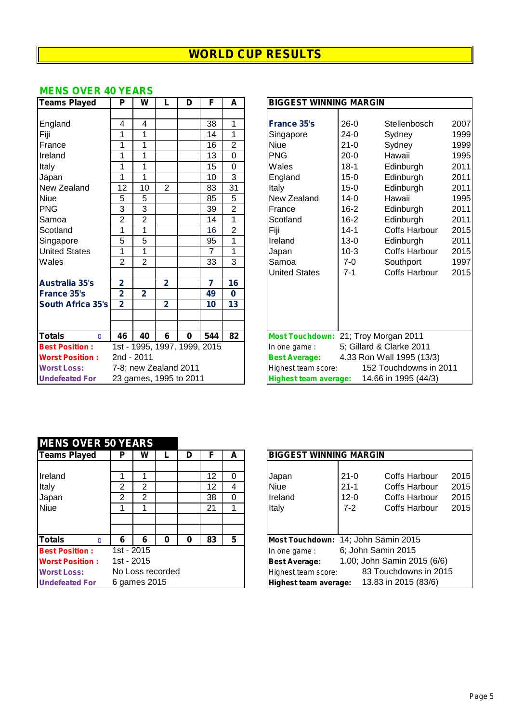## **MENS OVER 40 YEARS**

| <b>Teams Played</b>       | P              | W              |                        | D           | F                            | A               | <b>BIGGEST WINNING MARGIN</b> |          |                                      |     |
|---------------------------|----------------|----------------|------------------------|-------------|------------------------------|-----------------|-------------------------------|----------|--------------------------------------|-----|
|                           |                |                |                        |             |                              |                 |                               |          |                                      |     |
| England                   | 4              | 4              |                        |             | 38                           | 1               | <b>France 35's</b>            | $26-0$   | Stellenbosch                         | 200 |
| Fiji                      | 1              | 1              |                        |             | 14                           | 1               | Singapore                     | $24-0$   | Sydney                               | 199 |
| France                    | 1              | 1              |                        |             | 16                           | $\overline{2}$  | <b>Niue</b>                   | $21 - 0$ | Sydney                               | 199 |
| Ireland                   | 1              | 1              |                        |             | $\overline{13}$              | $\overline{0}$  | <b>PNG</b>                    | $20 - 0$ | Hawaii                               | 199 |
| Italy                     | 1              | 1              |                        |             | 15                           | $\mathbf 0$     | Wales                         | $18 - 1$ | Edinburgh                            | 201 |
| Japan                     | 1              | 1              |                        |             | 10                           | 3               | England                       | $15 - 0$ | Edinburgh                            | 201 |
| New Zealand               | 12             | 10             | $\overline{2}$         |             | 83                           | $\overline{31}$ | Italy                         | $15-0$   | Edinburgh                            | 201 |
| <b>Niue</b>               | 5              | $\overline{5}$ |                        |             | 85                           | $\overline{5}$  | New Zealand                   | $14-0$   | Hawaii                               | 199 |
| <b>PNG</b>                | 3              | 3              |                        |             | 39                           | $\overline{2}$  | France                        | $16 - 2$ | Edinburgh                            | 201 |
| Samoa                     | $\overline{2}$ | $\overline{2}$ |                        |             | 14                           | 1               | Scotland                      | $16 - 2$ | Edinburgh                            | 201 |
| Scotland                  | 1              | 1              |                        |             | 16                           | $\overline{2}$  | Fiji                          | $14 - 1$ | <b>Coffs Harbour</b>                 | 201 |
| Singapore                 | 5              | 5              |                        |             | 95                           | 1               | Ireland                       | $13 - 0$ | Edinburgh                            | 201 |
| <b>United States</b>      |                | $\mathbf{1}$   |                        |             | $\overline{7}$               | 1               | Japan                         | $10-3$   | <b>Coffs Harbour</b>                 | 201 |
| Wales                     | $\overline{2}$ | $\overline{2}$ |                        |             | 33                           | $\overline{3}$  | Samoa                         | $7-0$    | Southport                            | 199 |
|                           |                |                |                        |             |                              |                 | <b>United States</b>          | $7 - 1$  | <b>Coffs Harbour</b>                 | 201 |
| <b>Australia 35's</b>     | $\overline{2}$ |                | $\overline{2}$         |             | $\overline{7}$               | 16              |                               |          |                                      |     |
| <b>France 35's</b>        | $\overline{2}$ | $\overline{2}$ |                        |             | 49                           | 0               |                               |          |                                      |     |
| <b>South Africa 35's</b>  | $\overline{2}$ |                | $\overline{2}$         |             | 10                           | 13              |                               |          |                                      |     |
|                           |                |                |                        |             |                              |                 |                               |          |                                      |     |
|                           |                |                |                        |             |                              |                 |                               |          |                                      |     |
| <b>Totals</b><br>$\Omega$ | 46             | 40             | 6                      | $\mathbf 0$ | 544                          | 82              |                               |          | Most Touchdown: 21; Troy Morgan 2011 |     |
| <b>Best Position:</b>     |                |                |                        |             | 1st - 1995, 1997, 1999, 2015 |                 | In one game:                  |          | 5; Gillard & Clarke 2011             |     |
| <b>Worst Position:</b>    |                | 2nd - 2011     |                        |             |                              |                 | <b>Best Average:</b>          |          | 4.33 Ron Wall 1995 (13/3)            |     |
| <b>Worst Loss:</b>        |                |                | 7-8; new Zealand 2011  |             |                              |                 | Highest team score:           |          | 152 Touchdowns in 2011               |     |
| <b>Undefeated For</b>     |                |                | 23 games, 1995 to 2011 |             |                              |                 | <b>Highest team average:</b>  |          | 14.66 in 1995 (44/3)                 |     |

| <b>Teams Played</b>       | P               | W               |                              | D        | F              | A              | <b>BIGGEST WINNING MARGIN</b>        |          |                           |      |  |
|---------------------------|-----------------|-----------------|------------------------------|----------|----------------|----------------|--------------------------------------|----------|---------------------------|------|--|
|                           |                 |                 |                              |          |                |                |                                      |          |                           |      |  |
| England                   | 4               | 4               |                              |          | 38             | 1              | <b>France 35's</b>                   | $26-0$   | Stellenbosch              | 2007 |  |
| Fiji                      | 1               | 1               |                              |          | 14             | 1              | Singapore                            | $24-0$   | Sydney                    | 1999 |  |
| France                    | 1               | 1               |                              |          | 16             | $\overline{2}$ | <b>Niue</b>                          | $21 - 0$ | Sydney                    | 1999 |  |
| Ireland                   | 1               | 1               |                              |          | 13             | 0              | <b>PNG</b>                           | $20-0$   | Hawaii                    | 1995 |  |
| Italy                     | 1               | 1               |                              |          | 15             | 0              | Wales                                | $18-1$   | Edinburgh                 | 2011 |  |
| Japan                     | 1               | 1               |                              |          | 10             | 3              | England                              | $15-0$   | Edinburgh                 | 2011 |  |
| New Zealand               | $\overline{12}$ | $\overline{10}$ | $\overline{2}$               |          | 83             | 31             | Italy                                | $15-0$   | Edinburgh                 | 2011 |  |
| Niue                      | 5               | 5               |                              |          | 85             | 5              | <b>New Zealand</b>                   | $14-0$   | Hawaii                    | 1995 |  |
| <b>PNG</b>                | 3               | 3               |                              |          | 39             | $\overline{2}$ | France                               | $16 - 2$ | Edinburgh                 | 2011 |  |
| Samoa                     | 2               | $\overline{2}$  |                              |          | 14             | 1              | Scotland                             | $16-2$   | Edinburgh                 | 2011 |  |
| Scotland                  | 1               | 1               |                              |          | 16             | $\overline{2}$ | Fiji                                 | $14 - 1$ | <b>Coffs Harbour</b>      | 2015 |  |
| Singapore                 | 5               | 5               |                              |          | 95             | 1              | Ireland                              | $13-0$   | Edinburgh                 | 2011 |  |
| <b>United States</b>      | 1               | 1               |                              |          | 7              | 1              | Japan                                | $10-3$   | <b>Coffs Harbour</b>      | 2015 |  |
| Wales                     | $\overline{2}$  | $\overline{2}$  |                              |          | 33             | 3              | Samoa                                | $7-0$    | Southport                 | 1997 |  |
|                           |                 |                 |                              |          |                |                | <b>United States</b>                 | $7 - 1$  | <b>Coffs Harbour</b>      | 2015 |  |
| <b>Australia 35's</b>     | 2               |                 | $\overline{2}$               |          | $\overline{7}$ | 16             |                                      |          |                           |      |  |
| <b>France 35's</b>        | $\overline{2}$  | $\overline{2}$  |                              |          | 49             | 0              |                                      |          |                           |      |  |
| <b>South Africa 35's</b>  | $\overline{2}$  |                 | $\overline{2}$               |          | 10             | 13             |                                      |          |                           |      |  |
|                           |                 |                 |                              |          |                |                |                                      |          |                           |      |  |
|                           |                 |                 |                              |          |                |                |                                      |          |                           |      |  |
| <b>Totals</b><br>$\Omega$ | 46              | 40              | 6                            | $\bf{0}$ | 544            | 82             | Most Touchdown: 21; Troy Morgan 2011 |          |                           |      |  |
| <b>Best Position:</b>     |                 |                 | 1st - 1995, 1997, 1999, 2015 |          |                |                | In one game:                         |          | 5; Gillard & Clarke 2011  |      |  |
| <b>Worst Position:</b>    | 2nd - 2011      |                 |                              |          |                |                | <b>Best Average:</b>                 |          | 4.33 Ron Wall 1995 (13/3) |      |  |
| <b>Worst Loss:</b>        |                 |                 | 7-8; new Zealand 2011        |          |                |                | Highest team score:                  |          | 152 Touchdowns in 2011    |      |  |
| <b>Undefeated For</b>     |                 |                 | 23 games, 1995 to 2011       |          |                |                | <b>Highest team average:</b>         |          | 14.66 in 1995 (44/3)      |      |  |

## **MENS OVER 50 YEARS**

| <b>Teams Played</b>       | Р | W                |   | D |    | A | <b>BIGGEST WINNING MARGIN</b>                       |
|---------------------------|---|------------------|---|---|----|---|-----------------------------------------------------|
|                           |   |                  |   |   |    |   |                                                     |
| Ireland                   |   |                  |   |   | 12 | 0 | 201!<br>$21 - 0$<br><b>Coffs Harbour</b><br>Japan   |
| Italy                     | 2 | 2                |   |   | 12 | 4 | $21 - 1$<br>201!<br><b>Niue</b><br>Coffs Harbour    |
| Japan                     | 2 | 2                |   |   | 38 | 0 | Ireland<br>201!<br>$12 - 0$<br>Coffs Harbour        |
| <b>Niue</b>               |   |                  |   |   | 21 |   | Italy<br>$7 - 2$<br>201!<br>Coffs Harbour           |
|                           |   |                  |   |   |    |   |                                                     |
|                           |   |                  |   |   |    |   |                                                     |
| <b>Totals</b><br>$\Omega$ | 6 | 6                | 0 | 0 | 83 | 5 | Most Touchdown: 14; John Samin 2015                 |
| <b>Best Position:</b>     |   | 1st - 2015       |   |   |    |   | 6; John Samin 2015<br>In one game:                  |
| <b>Worst Position:</b>    |   | 1st - 2015       |   |   |    |   | 1.00; John Samin 2015 (6/6)<br><b>Best Average:</b> |
| <b>Worst Loss:</b>        |   | No Loss recorded |   |   |    |   | 83 Touchdowns in 2015<br>Highest team score:        |
| <b>Undefeated For</b>     |   | 6 games 2015     |   |   |    |   | $13.83$ in $2015. (83/6)$<br>Highest team average:  |

| Teams Played           | Р          | w                |   | D | F  | A | <b>BIGGEST WINNING MARGIN</b>                        |
|------------------------|------------|------------------|---|---|----|---|------------------------------------------------------|
| Ireland                |            |                  |   |   | 12 | 0 | 2015<br>Coffs Harbour<br>$21 - 0$<br>Japan           |
| Italy                  | 2          | 2                |   |   | 12 | 4 | 2015<br><b>Niue</b><br>$21 - 1$<br>Coffs Harbour     |
| Japan                  | 2          | 2                |   |   | 38 | 0 | 2015<br><b>I</b> reland<br>Coffs Harbour<br>$12 - 0$ |
| Niue                   |            |                  |   |   | 21 |   | 2015<br>Italy<br>$7-2$<br>Coffs Harbour              |
|                        |            |                  |   |   |    |   |                                                      |
|                        |            |                  |   |   |    |   |                                                      |
| <b>Totals</b>          | 6          | 6                | O |   | 83 | 5 | Most Touchdown: 14; John Samin 2015                  |
| <b>Best Position:</b>  | 1st - 2015 |                  |   |   |    |   | 6; John Samin 2015<br>In one game:                   |
| <b>Worst Position:</b> | 1st - 2015 |                  |   |   |    |   | 1.00; John Samin 2015 (6/6)<br><b>Best Average:</b>  |
| <b>Worst Loss:</b>     |            | No Loss recorded |   |   |    |   | 83 Touchdowns in 2015<br>Highest team score:         |
| <b>Undefeated For</b>  |            | 6 games 2015     |   |   |    |   | 13.83 in 2015 (83/6)<br>Highest team average:        |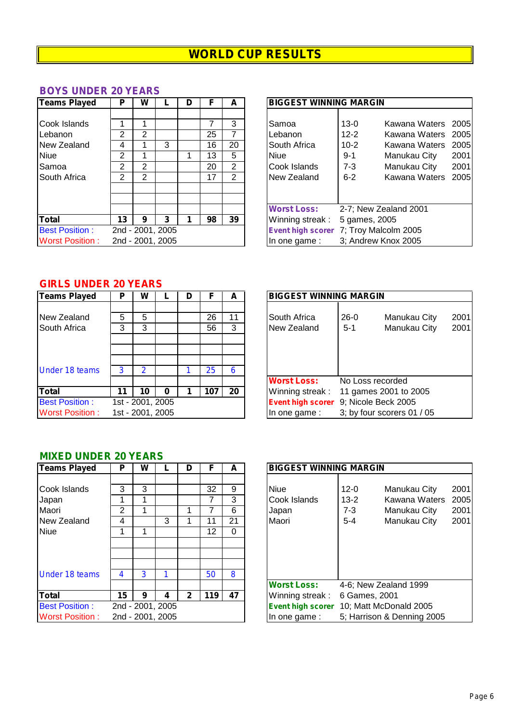## **BOYS UNDER 20 YEARS**

| Teams Played                                      | Р                                     | W                 |                                           | D | F              | A                        | <b>BIGGEST WINNING MARGIN</b>                                                                                                                                    |
|---------------------------------------------------|---------------------------------------|-------------------|-------------------------------------------|---|----------------|--------------------------|------------------------------------------------------------------------------------------------------------------------------------------------------------------|
| Cook Islands<br>Lebanon<br><b>New Zealand</b>     | 2<br>4                                | $\overline{2}$    | 3                                         |   | 25<br>16       | 3<br>7<br>20             | $13 - 0$<br>Kawana Waters 2<br>Samoa<br>$12 - 2$<br>Kawana Waters 2<br>Lebanon<br>South Africa<br>$10 - 2$<br>Kawana Waters 2                                    |
| <b>Niue</b><br>Samoa<br><b>South Africa</b>       | $\overline{2}$<br>$\overline{2}$<br>2 | 2<br>$\mathbf{2}$ |                                           |   | 13<br>20<br>17 | 5<br>$\overline{2}$<br>2 | <b>Niue</b><br>-2<br>$9 - 1$<br>Manukau City<br>2<br>Manukau City<br>Cook Islands<br>$7 - 3$<br>Kawana Waters 2<br>New Zealand<br>$6 - 2$                        |
| Total<br><b>Best Position:</b><br>Worst Position: | 13                                    | 9                 | 3<br>2nd - 2001, 2005<br>2nd - 2001, 2005 |   | 98             | 39                       | <b>Worst Loss:</b><br>2-7; New Zealand 2001<br>Winning streak:<br>5 games, 2005<br>Event high scorer 7; Troy Malcolm 2005<br>3; Andrew Knox 2005<br>In one game: |

| <b>Teams Played</b>                                                     | Р                     | w           |                                           | D |                            |                                                  | <b>BIGGEST WINNING MARGIN</b>                                                                    |                                                                 |                                                                                                                      |              |
|-------------------------------------------------------------------------|-----------------------|-------------|-------------------------------------------|---|----------------------------|--------------------------------------------------|--------------------------------------------------------------------------------------------------|-----------------------------------------------------------------|----------------------------------------------------------------------------------------------------------------------|--------------|
| Cook Islands<br>Lebanon<br>New Zealand<br>Niue<br>Samoa<br>South Africa | 2<br>4<br>2<br>2<br>2 | 2<br>2<br>2 | 3                                         |   | 25<br>16<br>13<br>20<br>17 | 3<br>20<br>5<br>$\overline{2}$<br>$\overline{2}$ | <b>Samoa</b><br>Lebanon<br>South Africa<br><b>Niue</b><br>Cook Islands<br>New Zealand            | $13-0$<br>$12 - 2$<br>$10 - 2$<br>$9 - 1$<br>$7 - 3$<br>$6 - 2$ | Kawana Waters 2005<br>Kawana Waters 2005<br>Kawana Waters 2005<br>Manukau City<br>Manukau City<br>Kawana Waters 2005 | 2001<br>2001 |
| Total<br><b>Best Position:</b><br><b>Worst Position:</b>                | 13                    | 9           | 3<br>2nd - 2001, 2005<br>2nd - 2001, 2005 |   | 98                         | 39                                               | <b>Worst Loss:</b><br>Winning streak:<br>Event high scorer 7; Troy Malcolm 2005<br>In one game : | 5 games, 2005                                                   | 2-7; New Zealand 2001<br>3; Andrew Knox 2005                                                                         |              |

## **GIRLS UNDER 20 YEARS**

| <b>Teams Played</b>         | Р      | W                |   | D |          | А       | <b>BIGGEST WINNING MARGIN</b>                                                    |                          |
|-----------------------------|--------|------------------|---|---|----------|---------|----------------------------------------------------------------------------------|--------------------------|
| New Zealand<br>South Africa | 5<br>3 | 5<br>3           |   |   | 26<br>56 | 11<br>3 | South Africa<br>$26-0$<br>Manukau City<br>New Zealand<br>Manukau City<br>$5 - 1$ | 200 <sup>7</sup><br>200' |
| <b>Under 18 teams</b>       | 3      | 2                |   |   | 25       | 6       | <b>Worst Loss:</b><br>No Loss recorded                                           |                          |
| <b>Total</b>                | 11     | 10               | 0 |   | 107      | 20      | Winning streak:<br>11 games 2001 to 2005                                         |                          |
| <b>Best Position:</b>       |        | 1st - 2001, 2005 |   |   |          |         | 9; Nicole Beck 2005<br><b>Event high scorer</b>                                  |                          |
| <b>Worst Position:</b>      |        | 1st - 2001, 2005 |   |   |          |         | 3; by four scorers 01 / 05<br>In one game:                                       |                          |

| GINLO UNDEN ZU TEANO   |    |                  |   |   |     |    |                               |         |                            |      |
|------------------------|----|------------------|---|---|-----|----|-------------------------------|---------|----------------------------|------|
| <b>Teams Played</b>    | Р  | w                |   | D |     |    | <b>BIGGEST WINNING MARGIN</b> |         |                            |      |
|                        |    |                  |   |   |     |    |                               |         |                            |      |
| New Zealand            | 5  | 5                |   |   | 26  | 11 | South Africa                  | $26-0$  | Manukau City               | 2001 |
| South Africa           | 3  | 3                |   |   | 56  | 3  | New Zealand                   | $5 - 1$ | Manukau City               | 2001 |
|                        |    |                  |   |   |     |    |                               |         |                            |      |
|                        |    |                  |   |   |     |    |                               |         |                            |      |
|                        |    |                  |   |   |     |    |                               |         |                            |      |
| <b>Under 18 teams</b>  | 3  | 2                |   |   | 25  | 6  |                               |         |                            |      |
|                        |    |                  |   |   |     |    | <b>Worst Loss:</b>            |         | No Loss recorded           |      |
| Total                  | 11 | 10               | 0 |   | 107 | 20 | Winning streak:               |         | 11 games 2001 to 2005      |      |
| <b>Best Position:</b>  |    | 1st - 2001, 2005 |   |   |     |    | <b>Event high scorer</b>      |         | 9; Nicole Beck 2005        |      |
| <b>Worst Position:</b> |    | 1st - 2001, 2005 |   |   |     |    | In one game:                  |         | 3; by four scorers 01 / 05 |      |
|                        |    |                  |   |   |     |    |                               |         |                            |      |

#### **MIXED UNDER 20 YEARS**

| <b>Teams Played</b>    | Р  | W |                  | D |     | A  | <b>BIGGEST WINNING MARGIN</b>                      |
|------------------------|----|---|------------------|---|-----|----|----------------------------------------------------|
|                        |    |   |                  |   |     |    |                                                    |
| Cook Islands           | 3  | 3 |                  |   | 32  | 9  | <b>Niue</b><br>$12 - 0$<br>Manukau City<br>200     |
| Japan                  |    |   |                  |   |     | 3  | $13 - 2$<br>Kawana Waters<br>200<br>Cook Islands   |
| Maori                  | 2  |   |                  |   |     | 6  | $7 - 3$<br>200<br>Manukau City<br>Japan            |
| New Zealand            | 4  |   | 3                |   | 11  | 21 | Maori<br>Manukau City<br>200<br>$5 - 4$            |
| <b>Niue</b>            |    |   |                  |   | 12  | 0  |                                                    |
|                        |    |   |                  |   |     |    |                                                    |
|                        |    |   |                  |   |     |    |                                                    |
|                        |    |   |                  |   |     |    |                                                    |
| <b>Under 18 teams</b>  | 4  | 3 |                  |   | 50  | 8  |                                                    |
|                        |    |   |                  |   |     |    | <b>Worst Loss:</b><br>4-6; New Zealand 1999        |
| <b>Total</b>           | 15 | 9 | 4                | 2 | 119 | 47 | Winning streak:<br>6 Games, 2001                   |
| <b>Best Position:</b>  |    |   | 2nd - 2001, 2005 |   |     |    | 10; Matt McDonald 2005<br><b>Event high scorer</b> |
| <b>Worst Position:</b> |    |   | 2nd - 2001, 2005 |   |     |    | 5; Harrison & Denning 2005<br>In one game:         |

| <b>Teams Played</b>    | Р  | w |                  | D            | F   | A  | <b>BIGGEST WINNING MARGIN</b> |                                          |      |
|------------------------|----|---|------------------|--------------|-----|----|-------------------------------|------------------------------------------|------|
|                        |    |   |                  |              |     |    |                               |                                          |      |
| Cook Islands           | 3  | 3 |                  |              | 32  | 9  | <b>Niue</b>                   | $12 - 0$<br>Manukau City                 | 2001 |
| Japan                  |    |   |                  |              |     | 3  | Cook Islands                  | Kawana Waters<br>$13 - 2$                | 2005 |
| Maori                  | 2  |   |                  |              |     | 6  | Japan                         | 7-3<br>Manukau City                      | 2001 |
| New Zealand            | 4  |   | 3                |              | 11  | 21 | Maori                         | Manukau City<br>$5 - 4$                  | 2001 |
| Niue                   |    |   |                  |              | 12  | 0  |                               |                                          |      |
|                        |    |   |                  |              |     |    |                               |                                          |      |
|                        |    |   |                  |              |     |    |                               |                                          |      |
|                        |    |   |                  |              |     |    |                               |                                          |      |
| <b>Under 18 teams</b>  | 4  | 3 |                  |              | 50  | 8  |                               |                                          |      |
|                        |    |   |                  |              |     |    | <b>Worst Loss:</b>            | 4-6; New Zealand 1999                    |      |
| Total                  | 15 | 9 | 4                | $\mathbf{2}$ | 119 | 47 | Winning streak:               | 6 Games, 2001                            |      |
| <b>Best Position:</b>  |    |   | 2nd - 2001, 2005 |              |     |    |                               | Event high scorer 10; Matt McDonald 2005 |      |
| <b>Worst Position:</b> |    |   | 2nd - 2001, 2005 |              |     |    | In one game:                  | 5; Harrison & Denning 2005               |      |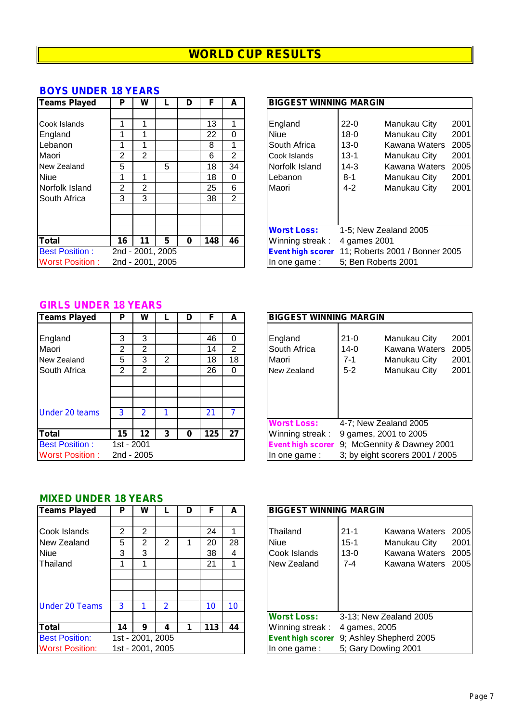#### **BOYS UNDER 18 YEARS**

| Teams Played                                                                                         | P                | W                        |                                           | D | F                                          | A                                                      | <b>BIGGEST WINNING MARGIN</b>                                                                |                                                                                                                                                                                            |
|------------------------------------------------------------------------------------------------------|------------------|--------------------------|-------------------------------------------|---|--------------------------------------------|--------------------------------------------------------|----------------------------------------------------------------------------------------------|--------------------------------------------------------------------------------------------------------------------------------------------------------------------------------------------|
| Cook Islands<br>England<br>Lebanon<br>Maori<br>New Zealand<br>Niue<br>Norfolk Island<br>South Africa | 2<br>5<br>2<br>3 | 2<br>$\overline{2}$<br>3 | 5                                         |   | 13<br>22<br>8<br>6<br>18<br>18<br>25<br>38 | $\Omega$<br>$\overline{2}$<br>34<br>$\Omega$<br>6<br>2 | England<br><b>Niue</b><br>South Africa<br>Cook Islands<br>Norfolk Island<br>Lebanon<br>Maori | $22 - 0$<br>Manukau City<br>Manukau City<br>$18-0$<br>$13-0$<br>Kawana Waters<br>$13 - 1$<br>Manukau City<br>Kawana Waters<br>$14-3$<br>$8 - 1$<br>Manukau City<br>$4 - 2$<br>Manukau City |
| <b>Total</b><br><b>Best Position:</b><br><b>Worst Position:</b>                                      | 16               | 11                       | 5<br>2nd - 2001, 2005<br>2nd - 2001, 2005 | 0 | 148                                        | 46                                                     | <b>Worst Loss:</b><br>Winning streak:<br><b>Event high scorer</b><br>In one game:            | 1-5; New Zealand 2005<br>4 games 2001<br>11; Roberts 2001 / Bonner 20<br>5; Ben Roberts 2001                                                                                               |

| Teams Played           | Р  | w              |                  | D | F   | A              |                    | <b>BIGGEST WINNING MARGIN</b> |                                                  |      |  |  |  |  |  |  |
|------------------------|----|----------------|------------------|---|-----|----------------|--------------------|-------------------------------|--------------------------------------------------|------|--|--|--|--|--|--|
|                        |    |                |                  |   |     |                |                    |                               |                                                  |      |  |  |  |  |  |  |
| Cook Islands           |    |                |                  |   | 13  |                | England            | $22 - 0$                      | Manukau City                                     | 2001 |  |  |  |  |  |  |
| England                |    |                |                  |   | 22  | 0              | Niue               | $18 - 0$                      | Manukau City                                     | 2001 |  |  |  |  |  |  |
| Lebanon                |    |                |                  |   | 8   |                | South Africa       | $13 - 0$                      | Kawana Waters                                    | 2005 |  |  |  |  |  |  |
| Maori                  | 2  | $\overline{2}$ |                  |   | 6   | $\overline{2}$ | Cook Islands       | $13 - 1$                      | Manukau City                                     | 2001 |  |  |  |  |  |  |
| New Zealand            | 5  |                | 5                |   | 18  | 34             | Norfolk Island     | $14 - 3$                      | Kawana Waters                                    | 2005 |  |  |  |  |  |  |
| Niue                   |    |                |                  |   | 18  | 0              | Lebanon            | 8-1                           | Manukau City                                     | 2001 |  |  |  |  |  |  |
| Norfolk Island         | 2  | $\overline{2}$ |                  |   | 25  | 6              | Maori              | $4 - 2$                       | Manukau City                                     | 2001 |  |  |  |  |  |  |
| South Africa           | 3  | 3              |                  |   | 38  | 2              |                    |                               |                                                  |      |  |  |  |  |  |  |
|                        |    |                |                  |   |     |                |                    |                               |                                                  |      |  |  |  |  |  |  |
|                        |    |                |                  |   |     |                |                    |                               |                                                  |      |  |  |  |  |  |  |
|                        |    |                |                  |   |     |                | <b>Worst Loss:</b> |                               | 1-5; New Zealand 2005                            |      |  |  |  |  |  |  |
| Total                  | 16 | 11             | 5                | 0 | 148 | 46             | Winning streak:    | 4 games 2001                  |                                                  |      |  |  |  |  |  |  |
| <b>Best Position:</b>  |    |                | 2nd - 2001, 2005 |   |     |                |                    |                               | Event high scorer 11; Roberts 2001 / Bonner 2005 |      |  |  |  |  |  |  |
| <b>Worst Position:</b> |    |                | 2nd - 2001, 2005 |   |     |                | In one game :      | 5; Ben Roberts 2001           |                                                  |      |  |  |  |  |  |  |

#### **GIRLS UNDER 18 YEARS**

| <b>Teams Played</b>    | Р          | W                                                      |                | D        | F   | A              | <b>BIGGEST WINNING MARGIN</b>                   |  |  |  |
|------------------------|------------|--------------------------------------------------------|----------------|----------|-----|----------------|-------------------------------------------------|--|--|--|
|                        |            |                                                        |                |          |     |                |                                                 |  |  |  |
| England                | 3          | 3                                                      |                |          | 46  | 0              | $21 - 0$<br>Manukau City<br>20<br>England       |  |  |  |
| Maori                  | 2          | 2                                                      |                |          | 14  | $\overline{2}$ | South Africa<br>Kawana Waters<br>20<br>$14-0$   |  |  |  |
| New Zealand            | 5          | 3                                                      | $\overline{2}$ |          | 18  | 18             | Maori<br>$7 - 1$<br>20<br>Manukau City          |  |  |  |
| South Africa           | 2          | $\overline{2}$                                         |                |          | 26  | 0              | 20<br>Manukau City<br>$5-2$<br>New Zealand      |  |  |  |
|                        |            |                                                        |                |          |     |                |                                                 |  |  |  |
|                        |            |                                                        |                |          |     |                |                                                 |  |  |  |
|                        |            |                                                        |                |          |     |                |                                                 |  |  |  |
| <b>Under 20 teams</b>  | 3          | 2                                                      |                |          | 21  |                |                                                 |  |  |  |
|                        |            |                                                        |                |          |     |                | <b>Worst Loss:</b><br>4-7; New Zealand 2005     |  |  |  |
| <b>Total</b>           | 15         | 12                                                     | 3              | $\bf{0}$ | 125 | 27             | Winning streak:<br>9 games, 2001 to 2005        |  |  |  |
| <b>Best Position:</b>  | 1st - 2001 | 9; McGennity & Dawney 2001<br><b>Event high scorer</b> |                |          |     |                |                                                 |  |  |  |
| <b>Worst Position:</b> |            | 2nd - 2005                                             |                |          |     |                | 3; by eight scorers 2001 / 2005<br>In one game: |  |  |  |

| <b>Teams Played</b>                                | Р                              | W           |   | D | F              | A                         | <b>BIGGEST WINNING MARGIN</b>                                                                                                                          |
|----------------------------------------------------|--------------------------------|-------------|---|---|----------------|---------------------------|--------------------------------------------------------------------------------------------------------------------------------------------------------|
| England<br>Maori<br>New Zealand                    | 3<br>2<br>5                    | 3<br>2<br>3 | 2 |   | 46<br>14<br>18 | 0<br>$\overline{2}$<br>18 | 2001<br>$21 - 0$<br>England<br>Manukau City<br>South Africa<br>Kawana Waters<br>$14-0$<br>2005<br>Maori<br>7-1<br>Manukau City<br>2001                 |
| South Africa                                       | 2                              | 2           |   |   | 26             | 0                         | $5 - 2$<br>Manukau City<br>2001<br>New Zealand                                                                                                         |
| <b>Under 20 teams</b>                              | 3                              | 2           |   |   | 21             |                           | <b>Worst Loss:</b><br>4-7; New Zealand 2005                                                                                                            |
| Total<br><b>Best Position:</b><br>Worst Position : | 15<br>1st - 2001<br>2nd - 2005 | 12          | 3 | 0 | 125            | 27                        | Winning streak:<br>9 games, 2001 to 2005<br>9; McGennity & Dawney 2001<br><b>Event high scorer</b><br>3; by eight scorers 2001 / 2005<br>In one game : |

## **MIXED UNDER 18 YEARS**

| <b>Teams Played</b>                                    | Р                | w                |   | D |                      | A       | <b>BIGGEST WINNING MARGIN</b>                                                                                         |                                                                        |
|--------------------------------------------------------|------------------|------------------|---|---|----------------------|---------|-----------------------------------------------------------------------------------------------------------------------|------------------------------------------------------------------------|
| Cook Islands<br>New Zealand<br><b>Niue</b><br>Thailand | 2<br>5<br>3      | 2<br>2<br>3      | 2 |   | 24<br>20<br>38<br>21 | 28<br>4 | $21 - 1$<br>Thailand<br><b>Niue</b><br>$15 - 1$<br>Manukau City<br>Cook Islands<br>$13 - 0$<br>$7 - 4$<br>New Zealand | Kawana Waters 2005<br>2001<br>Kawana Waters 2005<br>Kawana Waters 2005 |
| <b>Under 20 Teams</b>                                  | 3                |                  | 2 |   | 10                   | 10      | <b>Worst Loss:</b><br>3-13; New Zealand 2005                                                                          |                                                                        |
| Total                                                  | 14               | 9                | 4 |   | 113                  | 44      | Winning streak:<br>4 games, 2005                                                                                      |                                                                        |
| <b>Best Position:</b><br><b>Worst Position:</b>        | 1st - 2001, 2005 | 1st - 2001, 2005 |   |   |                      |         | Event high scorer 9; Ashley Shepherd 2005<br>5; Gary Dowling 2001<br>In one game:                                     |                                                                        |

| <b>BIGGEST WINNING MARGIN</b>                   |                                           |                                                                                 |      |
|-------------------------------------------------|-------------------------------------------|---------------------------------------------------------------------------------|------|
| Thailand<br>Niue<br>Cook Islands<br>New Zealand | $21 - 1$<br>$15 - 1$<br>$13-0$<br>$7 - 4$ | Kawana Waters, 2005<br>Manukau City<br>Kawana Waters 2005<br>Kawana Waters 2005 | 2001 |
| <b>Worst Loss:</b><br>Winning streak:           | 4 games, 2005                             | 3-13; New Zealand 2005                                                          |      |
| <b>Event high scorer</b>                        |                                           | 9; Ashley Shepherd 2005                                                         |      |
| In one game:                                    | 5; Gary Dowling 2001                      |                                                                                 |      |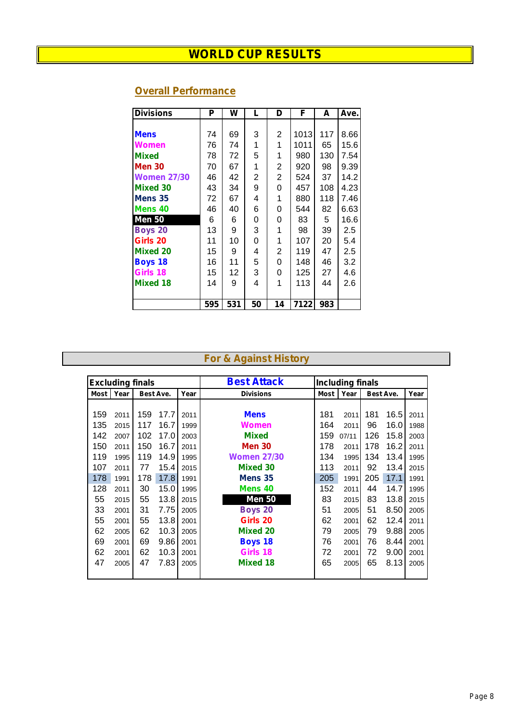| <b>Divisions</b>   | Р   | W   | L  | D              | F    | A   | Ave. |
|--------------------|-----|-----|----|----------------|------|-----|------|
|                    |     |     |    |                |      |     |      |
| <b>Mens</b>        | 74  | 69  | 3  | 2              | 1013 | 117 | 8.66 |
| <b>Women</b>       | 76  | 74  | 1  | 1              | 1011 | 65  | 15.6 |
| <b>Mixed</b>       | 78  | 72  | 5  | 1              | 980  | 130 | 7.54 |
| <b>Men 30</b>      | 70  | 67  | 1  | 2              | 920  | 98  | 9.39 |
| <b>Women 27/30</b> | 46  | 42  | 2  | 2              | 524  | 37  | 14.2 |
| <b>Mixed 30</b>    | 43  | 34  | 9  | 0              | 457  | 108 | 4.23 |
| Mens 35            | 72  | 67  | 4  | 1              | 880  | 118 | 7.46 |
| Mens 40            | 46  | 40  | 6  | 0              | 544  | 82  | 6.63 |
| <b>Men 50</b>      | 6   | 6   | 0  | 0              | 83   | 5   | 16.6 |
| <b>Boys 20</b>     | 13  | 9   | 3  | 1              | 98   | 39  | 2.5  |
| Girls 20           | 11  | 10  | 0  | 1              | 107  | 20  | 5.4  |
| <b>Mixed 20</b>    | 15  | 9   | 4  | $\overline{2}$ | 119  | 47  | 2.5  |
| <b>Boys 18</b>     | 16  | 11  | 5  | 0              | 148  | 46  | 3.2  |
| Girls 18           | 15  | 12  | 3  | 0              | 125  | 27  | 4.6  |
| <b>Mixed 18</b>    | 14  | 9   | 4  | 1              | 113  | 44  | 2.6  |
|                    |     |     |    |                |      |     |      |
|                    | 595 | 531 | 50 | 14             | 7122 | 983 |      |

## **Overall Performance**

## **For & Against History**

|             | <b>Excluding finals</b> |     |           |      | <b>Best Attack</b> |      | <b>Including finals</b> |           |      |      |
|-------------|-------------------------|-----|-----------|------|--------------------|------|-------------------------|-----------|------|------|
| <b>Most</b> | Year                    |     | Best Ave. | Year | <b>Divisions</b>   | Most | Year                    | Best Ave. |      | Year |
|             |                         |     |           |      |                    |      |                         |           |      |      |
| 159         | 2011                    | 159 | 17.7      | 2011 | <b>Mens</b>        | 181  | 2011                    | 181       | 16.5 | 2011 |
| 135         | 2015                    | 117 | 16.7      | 1999 | <b>Women</b>       | 164  | 2011                    | 96        | 16.0 | 1988 |
| 142         | 2007                    | 102 | 17.0      | 2003 | <b>Mixed</b>       | 159  | 07/11                   | 126       | 15.8 | 2003 |
| 150         | 2011                    | 150 | 16.7      | 2011 | <b>Men 30</b>      | 178  | 2011                    | 178       | 16.2 | 2011 |
| 119         | 1995                    | 119 | 14.9      | 1995 | <b>Women 27/30</b> | 134  | 1995                    | 134       | 13.4 | 1995 |
| 107         | 2011                    | 77  | 15.4      | 2015 | Mixed 30           | 113  | 2011                    | 92        | 13.4 | 2015 |
| 178         | 1991                    | 178 | 17.8      | 1991 | Mens <sub>35</sub> | 205  | 1991                    | 205       | 17.1 | 1991 |
| 128         | 2011                    | 30  | 15.0      | 1995 | Mens 40            | 152  | 2011                    | 44        | 14.7 | 1995 |
| 55          | 2015                    | 55  | 13.8      | 2015 | <b>Men 50</b>      | 83   | 2015                    | 83        | 13.8 | 2015 |
| 33          | 2001                    | 31  | 7.75      | 2005 | <b>Boys 20</b>     | 51   | 2005                    | 51        | 8.50 | 2005 |
| 55          | 2001                    | 55  | 13.8      | 2001 | Girls 20           | 62   | 2001                    | 62        | 12.4 | 2011 |
| 62          | 2005                    | 62  | 10.3      | 2005 | <b>Mixed 20</b>    | 79   | 2005                    | 79        | 9.88 | 2005 |
| 69          | 2001                    | 69  | 9.86      | 2001 | <b>Boys 18</b>     | 76   | 2001                    | 76        | 8.44 | 2001 |
| 62          | 2001                    | 62  | 10.3      | 2001 | Girls 18           | 72   | 2001                    | 72        | 9.00 | 2001 |
| 47          | 2005                    | 47  | 7.83      | 2005 | <b>Mixed 18</b>    | 65   | 2005                    | 65        | 8.13 | 2005 |
|             |                         |     |           |      |                    |      |                         |           |      |      |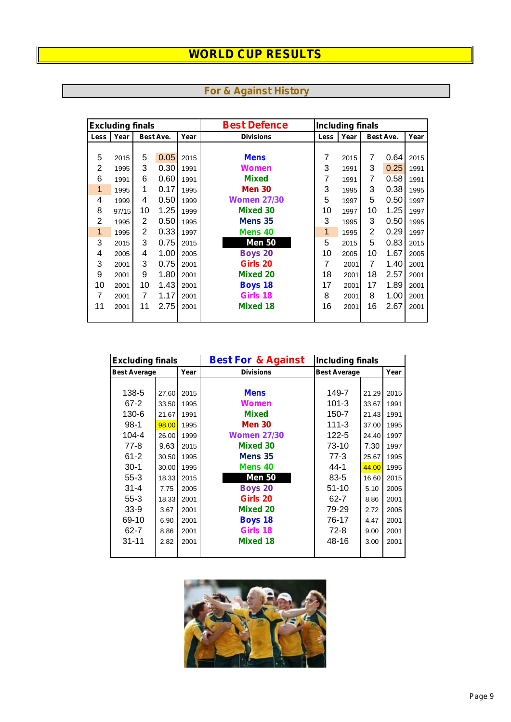|      | <b>Excluding finals</b> |                |           |      | <b>Best Defence</b> |              | <b>Including finals</b> |                |           |      |
|------|-------------------------|----------------|-----------|------|---------------------|--------------|-------------------------|----------------|-----------|------|
| Less | Year                    |                | Best Ave. | Year | <b>Divisions</b>    | Less         | Year                    |                | Best Ave. | Year |
|      |                         |                |           |      |                     |              |                         |                |           |      |
| 5    | 2015                    | 5              | 0.05      | 2015 | <b>Mens</b>         | 7            | 2015                    | 7              | 0.64      | 2015 |
| 2    | 1995                    | 3              | 0.30      | 1991 | Women               | 3            | 1991                    | 3              | 0.25      | 1991 |
| 6    | 1991                    | 6              | 0.60      | 1991 | <b>Mixed</b>        | 7            | 1991                    | 7              | 0.58      | 1991 |
| 1    | 1995                    | 1              | 0.17      | 1995 | <b>Men 30</b>       | 3            | 1995                    | 3              | 0.38      | 1995 |
| 4    | 1999                    | 4              | 0.50      | 1999 | <b>Women 27/30</b>  | 5            | 1997                    | 5              | 0.50      | 1997 |
| 8    | 97/15                   | 10             | 1.25      | 1999 | <b>Mixed 30</b>     | 10           | 1997                    | 10             | 1.25      | 1997 |
| 2    | 1995                    | 2              | 0.50      | 1995 | Mens <sub>35</sub>  | 3            | 1995                    | 3              | 0.50      | 1995 |
| 1    | 1995                    | $\overline{2}$ | 0.33      | 1997 | Mens 40             | $\mathbf{1}$ | 1995                    | $\overline{2}$ | 0.29      | 1997 |
| 3    | 2015                    | 3              | 0.75      | 2015 | <b>Men 50</b>       | 5            | 2015                    | 5              | 0.83      | 2015 |
| 4    | 2005                    | 4              | 1.00      | 2005 | <b>Boys 20</b>      | 10           | 2005                    | 10             | 1.67      | 2005 |
| 3    | 2001                    | 3              | 0.75      | 2001 | Girls 20            | 7            | 2001                    | $\overline{7}$ | 1.40      | 2001 |
| 9    | 2001                    | 9              | 1.80      | 2001 | <b>Mixed 20</b>     | 18           | 2001                    | 18             | 2.57      | 2001 |
| 10   | 2001                    | 10             | 1.43      | 2001 | <b>Boys 18</b>      | 17           | 2001                    | 17             | 1.89      | 2001 |
| 7    | 2001                    | 7              | 1.17      | 2001 | Girls 18            | 8            | 2001                    | 8              | 1.00      | 2001 |
| 11   | 2001                    | 11             | 2.75      | 2001 | <b>Mixed 18</b>     | 16           | 2001                    | 16             | 2.67      | 2001 |
|      |                         |                |           |      |                     |              |                         |                |           |      |

| <b>For &amp; Against History</b> |  |
|----------------------------------|--|
|----------------------------------|--|

| <b>Excluding finals</b> |       |      | <b>Best For &amp; Against</b> | <b>Including finals</b> |       |      |
|-------------------------|-------|------|-------------------------------|-------------------------|-------|------|
| <b>Best Average</b>     |       | Year | <b>Divisions</b>              | <b>Best Average</b>     |       | Year |
|                         |       |      |                               |                         |       |      |
| 138-5                   | 27.60 | 2015 | <b>Mens</b>                   | 149-7                   | 21.29 | 2015 |
| $67 - 2$                | 33.50 | 1995 | Women                         | $101 - 3$               | 33.67 | 1991 |
| 130-6                   | 21.67 | 1991 | <b>Mixed</b>                  | 150-7                   | 21.43 | 1991 |
| $98-1$                  | 98.00 | 1995 | <b>Men 30</b>                 | $111 - 3$               | 37.00 | 1995 |
| 104-4                   | 26.00 | 1999 | <b>Women 27/30</b>            | 122-5                   | 24.40 | 1997 |
| $77-8$                  | 9.63  | 2015 | <b>Mixed 30</b>               | 73-10                   | 7.30  | 1997 |
| $61 - 2$                | 30.50 | 1995 | Mens 35                       | $77-3$                  | 25.67 | 1995 |
| $30-1$                  | 30.00 | 1995 | Mens 40                       | 44-1                    | 44.00 | 1995 |
| $55-3$                  | 18.33 | 2015 | <b>Men 50</b>                 | $83 - 5$                | 16.60 | 2015 |
| $31 - 4$                | 7.75  | 2005 | <b>Boys 20</b>                | $51 - 10$               | 5.10  | 2005 |
| $55-3$                  | 18.33 | 2001 | Girls 20                      | $62 - 7$                | 8.86  | 2001 |
| $33-9$                  | 3.67  | 2001 | <b>Mixed 20</b>               | 79-29                   | 2.72  | 2005 |
| 69-10                   | 6.90  | 2001 | <b>Boys 18</b>                | 76-17                   | 4.47  | 2001 |
| $62 - 7$                | 8.86  | 2001 | Girls 18                      | $72-8$                  | 9.00  | 2001 |
| $31 - 11$               | 2.82  | 2001 | <b>Mixed 18</b>               | 48-16                   | 3.00  | 2001 |
|                         |       |      |                               |                         |       |      |

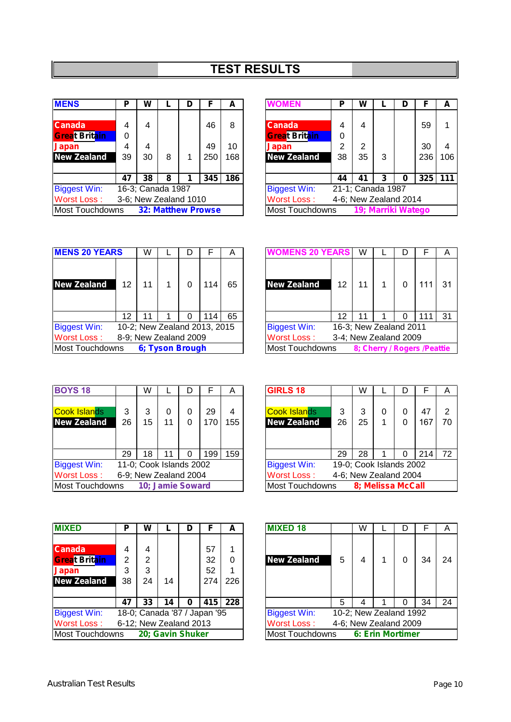# **TEST RESULTS**

| <b>MENS</b>                                  | Ρ                 | W                     |   | D | F   | A   | <b>WOMEN</b>                                 | P  | W                     |   | D | F   |  |
|----------------------------------------------|-------------------|-----------------------|---|---|-----|-----|----------------------------------------------|----|-----------------------|---|---|-----|--|
|                                              |                   |                       |   |   |     |     |                                              |    |                       |   |   |     |  |
| <b>Canada</b>                                | 4                 | 4                     |   |   | 46  | 8   | <b>Canada</b>                                | 4  | 4                     |   |   | 59  |  |
| <b>Great Britain</b>                         | 0                 |                       |   |   |     |     | <b>Great Britain</b>                         | 0  |                       |   |   |     |  |
| Japan                                        | 4                 | 4                     |   |   | 49  | 10  | Japan                                        | 2  | $\overline{2}$        |   |   | 30  |  |
| <b>New Zealand</b>                           | 39                | 30                    | 8 | 1 | 250 | 168 | <b>New Zealand</b>                           | 38 | 35                    | 3 |   | 236 |  |
|                                              |                   |                       |   |   |     |     |                                              |    |                       |   |   |     |  |
|                                              | 47                | 38                    | 8 | 1 | 345 | 186 |                                              | 44 | 41                    | 3 | 0 | 325 |  |
| <b>Biggest Win:</b>                          | 16-3; Canada 1987 |                       |   |   |     |     | <b>Biggest Win:</b>                          |    | 21-1; Canada 1987     |   |   |     |  |
| <b>Worst Loss:</b>                           |                   | 3-6; New Zealand 1010 |   |   |     |     | <b>Worst Loss:</b>                           |    | 4-6; New Zealand 2014 |   |   |     |  |
| <b>32: Matthew Prowse</b><br>Most Touchdowns |                   |                       |   |   |     |     | 19; Marriki Watego<br><b>Most Touchdowns</b> |    |                       |   |   |     |  |

| <b>MENS</b>          | Р  | W                     |   |                           | A   | <b>WOMEN</b>           | P  | W                     |   | D                  |     | A         |
|----------------------|----|-----------------------|---|---------------------------|-----|------------------------|----|-----------------------|---|--------------------|-----|-----------|
|                      |    |                       |   |                           |     |                        |    |                       |   |                    |     |           |
| <b>Canada</b>        |    | 4                     |   | 46                        | 8   | <b>Canada</b>          | 4  | 4                     |   |                    | 59  | и         |
| <b>Great Britain</b> | 0  |                       |   |                           |     | <b>Great Britain</b>   | 0  |                       |   |                    |     |           |
| Japan                | 4  | 4                     |   | 49                        | 10  | <b>Japan</b>           | 2  | 2                     |   |                    | 30  | 4         |
| <b>New Zealand</b>   | 39 | 30                    | 8 | 250                       | 168 | <b>New Zealand</b>     | 38 | 35                    | 3 |                    | 236 | 106       |
|                      |    |                       |   |                           |     |                        |    |                       |   |                    |     |           |
|                      | 47 | 38                    | 8 | 345                       | 186 |                        | 44 | 41                    | 3 | 0                  |     | $325$ 111 |
| <b>Biggest Win:</b>  |    | 16-3; Canada 1987     |   |                           |     | <b>Biggest Win:</b>    |    | 21-1; Canada 1987     |   |                    |     |           |
| Worst Loss:          |    | 3-6; New Zealand 1010 |   |                           |     | <b>Worst Loss:</b>     |    | 4-6; New Zealand 2014 |   |                    |     |           |
| Most Touchdowns      |    |                       |   | <b>32: Matthew Prowse</b> |     | <b>Most Touchdowns</b> |    |                       |   | 19; Marriki Watego |     |           |
|                      |    |                       |   |                           |     |                        |    |                       |   |                    |     |           |

| <b>MENS 20 YEARS</b>   |    | W                     |                 |   | F                            |    |
|------------------------|----|-----------------------|-----------------|---|------------------------------|----|
| <b>New Zealand</b>     | 12 | 11                    | 1               | 0 | 114                          | 65 |
|                        | 12 | 11                    |                 |   | 114                          | 65 |
| <b>Biggest Win:</b>    |    |                       |                 |   | 10-2; New Zealand 2013, 2015 |    |
| <b>Worst Loss:</b>     |    | 8-9; New Zealand 2009 |                 |   |                              |    |
| <b>Most Touchdowns</b> |    |                       | 6; Tyson Brough |   |                              |    |

| <b>MENS 20 YEARS</b> |    | W                     |  |                              | A  | <b>WOMENS 20 YEARS</b> |                 | W                      |   |                              | A  |
|----------------------|----|-----------------------|--|------------------------------|----|------------------------|-----------------|------------------------|---|------------------------------|----|
| New Zealand          | 12 | 11                    |  | 114                          | 65 | <b>New Zealand</b>     | 12 <sup>2</sup> | 11                     |   | ،11                          | 31 |
|                      | 12 | 11                    |  | 114                          | 65 |                        | 12 <sup>°</sup> |                        | 0 |                              | 31 |
| <b>Biggest Win:</b>  |    |                       |  | 10-2; New Zealand 2013, 2015 |    | <b>Biggest Win:</b>    |                 | 16-3; New Zealand 2011 |   |                              |    |
| Worst Loss:          |    | 8-9; New Zealand 2009 |  |                              |    | <b>Worst Loss:</b>     |                 | 3-4; New Zealand 2009  |   |                              |    |
| Most Touchdowns      |    | 6; Tyson Brough       |  |                              |    | <b>Most Touchdowns</b> |                 |                        |   | 8; Cherry / Rogers / Peattie |    |

| <b>BOYS 18</b>                            |         | W                       |         | D                |           | A        | <b>GIRLS 18</b>                           |         | W                       |                   | D      |           |  |
|-------------------------------------------|---------|-------------------------|---------|------------------|-----------|----------|-------------------------------------------|---------|-------------------------|-------------------|--------|-----------|--|
| <b>Cook Islands</b><br><b>New Zealand</b> | 3<br>26 | 3<br>15                 | 0<br>11 | 0<br>0           | 29<br>170 | 4<br>155 | <b>Cook Islands</b><br><b>New Zealand</b> | 3<br>26 | 3<br>25                 | $\Omega$          | 0<br>0 | 47<br>167 |  |
|                                           | 29      | 18                      | 11      | 0                | 199       | 159      |                                           | 29      | 28                      |                   |        | 214       |  |
| <b>Biggest Win:</b>                       |         | 11-0; Cook Islands 2002 |         |                  |           |          | <b>Biggest Win:</b>                       |         | 19-0; Cook Islands 2002 |                   |        |           |  |
| <b>Worst Loss:</b>                        |         | 6-9; New Zealand 2004   |         |                  |           |          | <b>Worst Loss:</b>                        |         | 4-6; New Zealand 2004   |                   |        |           |  |
| <b>Most Touchdowns</b>                    |         |                         |         | 10; Jamie Soward |           |          | <b>Most Touchdowns</b>                    |         |                         | 8; Melissa McCall |        |           |  |

| <b>BOYS 18</b>      |    | W  |                         |     | A   | <b>GIRLS 18</b>     |    | W                       |   | D |                       | A  |  |  |  |
|---------------------|----|----|-------------------------|-----|-----|---------------------|----|-------------------------|---|---|-----------------------|----|--|--|--|
|                     |    |    |                         |     |     |                     |    |                         |   |   |                       |    |  |  |  |
| Cook Islands i      | 3  |    |                         | 29  | 4   | <b>Cook Islands</b> | 3  |                         | 0 | 0 | 47                    | 2  |  |  |  |
| <b>New Zealand</b>  | 26 | 15 | 11                      | 170 | 155 | <b>New Zealand</b>  | 26 | 25                      |   | 0 | 167                   | 70 |  |  |  |
|                     |    |    |                         |     |     |                     |    |                         |   |   |                       |    |  |  |  |
|                     |    |    |                         |     |     |                     |    |                         |   |   |                       |    |  |  |  |
|                     | 29 | 18 | 11                      | 199 | 159 |                     | 29 | 28                      |   | 0 | 214                   | 72 |  |  |  |
| <b>Biggest Win:</b> |    |    | 11-0; Cook Islands 2002 |     |     | <b>Biggest Win:</b> |    | 19-0; Cook Islands 2002 |   |   |                       |    |  |  |  |
| Worst Loss:         |    |    | 6-9; New Zealand 2004   |     |     | <b>Worst Loss:</b>  |    |                         |   |   | 4-6; New Zealand 2004 |    |  |  |  |
| Most Touchdowns     |    |    | 10; Jamie Soward        |     |     | Most Touchdowns     |    | 8; Melissa McCall       |   |   |                       |    |  |  |  |
|                     |    |    |                         |     |     |                     |    |                         |   |   |                       |    |  |  |  |

| <b>MIXED</b>                                                                | P                 | w            |    |                              |                       | А        | <b>MIXED 18</b>                  |   | W |                        |    | Α  |
|-----------------------------------------------------------------------------|-------------------|--------------|----|------------------------------|-----------------------|----------|----------------------------------|---|---|------------------------|----|----|
| <b>Canada</b><br><b>Great Britain</b><br><b>Japan</b><br><b>New Zealand</b> | 4<br>2<br>3<br>38 | 2<br>3<br>24 | 14 |                              | 57<br>32<br>52<br>274 | 0<br>226 | <b>New Zealand</b>               | 5 |   |                        | 34 | 24 |
|                                                                             | 47                | 33           | 14 | 0                            | 415                   | 228      |                                  | 5 | 4 |                        | 34 | 24 |
| <b>Biggest Win:</b>                                                         |                   |              |    | 18-0; Canada '87 / Japan '95 |                       |          | <b>Biggest Win:</b>              |   |   | 10-2; New Zealand 1992 |    |    |
| <b>Worst Loss:</b>                                                          |                   |              |    | 6-12; New Zealand 2013       |                       |          | <b>Worst Loss:</b>               |   |   | 4-6; New Zealand 2009  |    |    |
| Most Touchdowns                                                             |                   |              |    | 20; Gavin Shuker             |                       |          | Most Touchdowns 6: Erin Mortimer |   |   |                        |    |    |

| <b>MIXED</b>                      | Р  | W  |                        |   |                              | A   | <b>MIXED 18</b>     |   | W                |   |                                                 | A  |  |  |  |
|-----------------------------------|----|----|------------------------|---|------------------------------|-----|---------------------|---|------------------|---|-------------------------------------------------|----|--|--|--|
|                                   |    |    |                        |   |                              |     |                     |   |                  |   |                                                 |    |  |  |  |
| <b>Canada</b>                     | 4  | 4  |                        |   | 57                           |     |                     |   |                  |   |                                                 |    |  |  |  |
| <b>Great Brit<mark>ain</mark></b> | 2  | 2  |                        |   | 32                           | 0   | <b>New Zealand</b>  | 5 |                  | 0 | 34                                              | 24 |  |  |  |
| Japan                             | 3  | 3  |                        |   | 52                           |     |                     |   |                  |   |                                                 |    |  |  |  |
| <b>New Zealand</b>                | 38 | 24 | 14                     |   | 274                          | 226 |                     |   |                  |   |                                                 |    |  |  |  |
|                                   |    |    |                        |   |                              |     |                     |   |                  |   |                                                 |    |  |  |  |
|                                   | 47 | 33 | 14                     | 0 | 415                          | 228 |                     | 5 |                  | 0 | 34                                              | 24 |  |  |  |
| <b>Biggest Win:</b>               |    |    |                        |   | 18-0; Canada '87 / Japan '95 |     | <b>Biggest Win:</b> |   |                  |   |                                                 |    |  |  |  |
| Worst Loss :                      |    |    | 6-12; New Zealand 2013 |   |                              |     | <b>Worst Loss:</b>  |   |                  |   | 10-2; New Zealand 1992<br>4-6; New Zealand 2009 |    |  |  |  |
| Most Touchdowns                   |    |    | 20; Gavin Shuker       |   |                              |     | Most Touchdowns     |   | 6: Erin Mortimer |   |                                                 |    |  |  |  |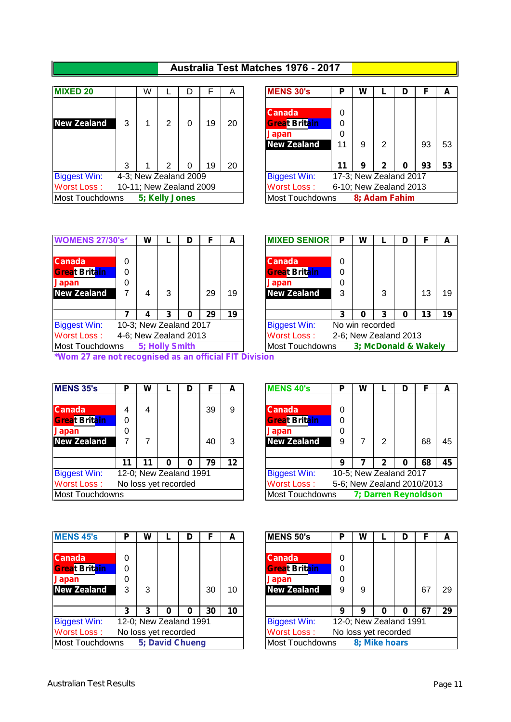## **Australia Test Matches 1976 - 2017**

| <b>MIXED 20</b>     |   | W |                | D                       | F  | A  | <b>MENS 30's</b>                                                            | Р                 | W           |  |
|---------------------|---|---|----------------|-------------------------|----|----|-----------------------------------------------------------------------------|-------------------|-------------|--|
| <b>New Zealand</b>  | 3 |   | 2              | O                       | 19 | 20 | <b>Canada</b><br><b>Great Britain</b><br><b>Japan</b><br><b>New Zealand</b> | 0<br>0<br>0<br>11 | 9           |  |
|                     | 3 |   | 2              |                         | 19 | 20 |                                                                             | 11                | 9           |  |
| <b>Biggest Win:</b> |   |   |                | 4-3; New Zealand 2009   |    |    | <b>Biggest Win:</b>                                                         |                   | 17-3; New Z |  |
| <b>Worst Loss:</b>  |   |   |                | 10-11; New Zealand 2009 |    |    | <b>Worst Loss:</b>                                                          |                   | 6-10; New Z |  |
| Most Touchdowns     |   |   | 5; Kelly Jones |                         |    |    | <b>Most Touchdowns</b>                                                      |                   | 8; Ada      |  |

| <b>MIXED 20</b>     |   | W                       |                |    | Α  | <b>MENS 30's</b>       | P  | W |                | D                      |    | A  |
|---------------------|---|-------------------------|----------------|----|----|------------------------|----|---|----------------|------------------------|----|----|
|                     |   |                         |                |    |    |                        |    |   |                |                        |    |    |
|                     |   |                         |                |    |    | <b>Canada</b>          | 0  |   |                |                        |    |    |
| <b>New Zealand</b>  | 3 |                         | ⌒              | 19 | 20 | <b>Great Britain</b>   | 0  |   |                |                        |    |    |
|                     |   |                         |                |    |    | <b>Japan</b>           | 0  |   |                |                        |    |    |
|                     |   |                         |                |    |    | <b>New Zealand</b>     |    | 9 | $\overline{2}$ |                        | 93 | 53 |
|                     |   |                         |                |    |    |                        |    |   |                |                        |    |    |
|                     | 3 |                         |                | 19 | 20 |                        | 11 | 9 | 2              | Ω                      | 93 | 53 |
| <b>Biggest Win:</b> |   | 4-3; New Zealand 2009   |                |    |    | <b>Biggest Win:</b>    |    |   |                | 17-3; New Zealand 2017 |    |    |
| Worst Loss :        |   | 10-11; New Zealand 2009 |                |    |    | <b>Worst Loss:</b>     |    |   |                | 6-10; New Zealand 2013 |    |    |
| Most Touchdowns     |   |                         | 5; Kelly Jones |    |    | <b>Most Touchdowns</b> |    |   |                | 8; Adam Fahim          |    |    |
|                     |   |                         |                |    |    |                        |    |   |                |                        |    |    |

| <b>WOMENS 27/30's*</b> | W                      |   | F  | A  | <b>MIXED SENIOR</b>    | Р | W |                       | D |    |
|------------------------|------------------------|---|----|----|------------------------|---|---|-----------------------|---|----|
|                        |                        |   |    |    |                        |   |   |                       |   |    |
| <b>Canada</b>          |                        |   |    |    | <b>Canada</b>          | 0 |   |                       |   |    |
| <b>Great Britain</b>   |                        |   |    |    | <b>Great Britain</b>   | 0 |   |                       |   |    |
| <b>Japan</b>           |                        |   |    |    | <b>Japan</b>           | 0 |   |                       |   |    |
| <b>New Zealand</b>     |                        | 3 | 29 | 19 | <b>New Zealand</b>     | 3 |   | 3                     |   | 13 |
|                        | 4                      | 3 | 29 | 19 |                        | 3 | 0 | 3                     | 0 | 13 |
| <b>Biggest Win:</b>    | 10-3; New Zealand 2017 |   |    |    | <b>Biggest Win:</b>    |   |   | No win recorded       |   |    |
| <b>Worst Loss:</b>     | 4-6; New Zealand 2013  |   |    |    | <b>Worst Loss:</b>     |   |   | 2-6; New Zealand 2013 |   |    |
| Most Touchdowns        | 5; Holly Smith         |   |    |    | <b>Most Touchdowns</b> |   |   | 3; McDonald & Wa      |   |    |

| <b>WOMENS 27/30's*</b> |   | W |                |                        |    | A  | <b>MIXED SENIOR</b>    | P | W                     |   | D |                      | A  |
|------------------------|---|---|----------------|------------------------|----|----|------------------------|---|-----------------------|---|---|----------------------|----|
|                        |   |   |                |                        |    |    |                        |   |                       |   |   |                      |    |
| <b>Canada</b>          | 0 |   |                |                        |    |    | <b>Canada</b>          | 0 |                       |   |   |                      |    |
| <b>Great Britain</b>   | 0 |   |                |                        |    |    | <b>Great Britain</b>   | 0 |                       |   |   |                      |    |
| Japan                  | 0 |   |                |                        |    |    | <b>Japan</b>           | 0 |                       |   |   |                      |    |
| <b>New Zealand</b>     |   |   | 3              |                        | 29 | 19 | <b>New Zealand</b>     |   |                       | 3 |   | 13                   | 19 |
|                        |   |   |                |                        |    |    |                        |   |                       |   |   |                      |    |
|                        |   |   |                |                        | 29 | 19 |                        |   | 0                     | 3 | 0 | 13                   | 19 |
| <b>Biggest Win:</b>    |   |   |                | 10-3; New Zealand 2017 |    |    | <b>Biggest Win:</b>    |   | No win recorded       |   |   |                      |    |
| Worst Loss :           |   |   |                | 4-6; New Zealand 2013  |    |    | <b>Worst Loss:</b>     |   | 2-6; New Zealand 2013 |   |   |                      |    |
| Most Touchdowns        |   |   | 5; Holly Smith |                        |    |    | <b>Most Touchdowns</b> |   |                       |   |   | 3; McDonald & Wakely |    |
|                        |   |   |                |                        |    |    |                        |   |                       |   |   |                      |    |

*\*Wom 27 are not recognised as an official FIT Division*

| <b>MENS 35's</b>       | Ρ  | W                      |   | D | F  | A               | <b>MENS 40's</b>       | Р | W           |
|------------------------|----|------------------------|---|---|----|-----------------|------------------------|---|-------------|
|                        |    |                        |   |   |    |                 |                        |   |             |
| <b>Canada</b>          |    | 4                      |   |   | 39 | 9               | <b>Canada</b>          | 0 |             |
| <b>Great Britain</b>   | 0  |                        |   |   |    |                 | <b>Great Britain</b>   | 0 |             |
| <b>Japan</b>           | 0  |                        |   |   |    |                 | <b>Japan</b>           | 0 |             |
| <b>New Zealand</b>     |    | 7                      |   |   | 40 | 3               | <b>New Zealand</b>     | 9 | 7           |
|                        |    |                        |   |   |    |                 |                        |   |             |
|                        | 11 | 11                     | 0 | 0 | 79 | 12 <sup>2</sup> |                        | 9 |             |
| <b>Biggest Win:</b>    |    | 12-0; New Zealand 1991 |   |   |    |                 | <b>Biggest Win:</b>    |   | 10-5; New Z |
| <b>Worst Loss:</b>     |    | No loss yet recorded   |   |   |    |                 | <b>Worst Loss:</b>     |   | 5-6; New Ze |
| <b>Most Touchdowns</b> |    |                        |   |   |    |                 | <b>Most Touchdowns</b> |   | 7; Dar      |

| <b>MENS 35's</b>                  | Р  | W |                      |                        | F  | A  | <b>MENS 40's</b>     | Р | W                      |   | D |                            | A  |
|-----------------------------------|----|---|----------------------|------------------------|----|----|----------------------|---|------------------------|---|---|----------------------------|----|
|                                   |    |   |                      |                        |    |    |                      |   |                        |   |   |                            |    |
| <b>Canada</b>                     |    | 4 |                      |                        | 39 | 9  | <b>Canada</b>        | 0 |                        |   |   |                            |    |
| <b>Great Brit<mark>ain</mark></b> | 0  |   |                      |                        |    |    | <b>Great Britain</b> | 0 |                        |   |   |                            |    |
| Japan                             | 0  |   |                      |                        |    |    | <b>Japan</b>         | 0 |                        |   |   |                            |    |
| <b>New Zealand</b>                |    |   |                      |                        | 40 | 3  | <b>New Zealand</b>   | 9 |                        | 2 |   | 68                         | 45 |
|                                   |    |   |                      |                        |    |    |                      |   |                        |   |   |                            |    |
|                                   | 11 |   |                      |                        | 79 | 12 |                      | 9 |                        |   |   | 68                         | 45 |
| <b>Biggest Win:</b>               |    |   |                      | 12-0; New Zealand 1991 |    |    | <b>Biggest Win:</b>  |   | 10-5; New Zealand 2017 |   |   |                            |    |
| Worst Loss:                       |    |   | No loss yet recorded |                        |    |    | Worst Loss:          |   |                        |   |   | 5-6; New Zealand 2010/2013 |    |
| Most Touchdowns                   |    |   |                      |                        |    |    | Most Touchdowns      |   |                        |   |   | 7; Darren Reynoldson       |    |
|                                   |    |   |                      |                        |    |    |                      |   |                        |   |   |                            |    |

| <b>MENS 45's</b>       | P | W |                        | D |    | А  | <b>MENS 50's</b>       | D | W                      |   |    |   |
|------------------------|---|---|------------------------|---|----|----|------------------------|---|------------------------|---|----|---|
|                        |   |   |                        |   |    |    |                        |   |                        |   |    |   |
| <b>Canada</b>          | 0 |   |                        |   |    |    | <b>Canada</b>          | 0 |                        |   |    |   |
| <b>Great Britain</b>   | 0 |   |                        |   |    |    | <b>Great Britain</b>   | 0 |                        |   |    |   |
| Japan                  | 0 |   |                        |   |    |    | <b>Japan</b>           | 0 |                        |   |    |   |
| <b>New Zealand</b>     | 3 | 3 |                        |   | 30 | 10 | <b>New Zealand</b>     | 9 | 9                      |   | 67 | r |
|                        |   |   |                        |   |    |    |                        |   |                        |   |    |   |
|                        | 3 | 3 | 0                      | 0 | 30 | 10 |                        | 9 | 9                      | 0 | 67 |   |
| <b>Biggest Win:</b>    |   |   | 12-0; New Zealand 1991 |   |    |    | <b>Biggest Win:</b>    |   | 12-0; New Zealand 1991 |   |    |   |
| <b>Worst Loss:</b>     |   |   | No loss yet recorded   |   |    |    | Worst Loss:            |   | No loss yet recorded   |   |    |   |
| <b>Most Touchdowns</b> |   |   | 5; David Chueng        |   |    |    | <b>Most Touchdowns</b> |   | 8; Mike hoars          |   |    |   |

| <b>MENS 45's</b>     | P  | W |                      |                        |    | A  | <b>MENS 50's</b>     | Р | W                      | D |     | A  |
|----------------------|----|---|----------------------|------------------------|----|----|----------------------|---|------------------------|---|-----|----|
|                      |    |   |                      |                        |    |    |                      |   |                        |   |     |    |
| <b>Canada</b>        | 0  |   |                      |                        |    |    | <b>Canada</b>        | 0 |                        |   |     |    |
| <b>Great Britain</b> | 0  |   |                      |                        |    |    | <b>Great Britain</b> | 0 |                        |   |     |    |
| Japan                | 0  |   |                      |                        |    |    | <b>Japan</b>         | 0 |                        |   |     |    |
| <b>New Zealand</b>   | 3  |   |                      |                        | 30 | 10 | <b>New Zealand</b>   | 9 | 9                      |   | 67  | 29 |
|                      |    |   |                      |                        |    |    |                      |   |                        |   |     |    |
|                      | כי |   |                      |                        | 30 | 10 |                      | 9 | 9                      | 0 | -67 | 29 |
| <b>Biggest Win:</b>  |    |   |                      | 12-0; New Zealand 1991 |    |    | <b>Biggest Win:</b>  |   | 12-0; New Zealand 1991 |   |     |    |
| Worst Loss :         |    |   | No loss yet recorded |                        |    |    | <b>Worst Loss:</b>   |   | No loss yet recorded   |   |     |    |
| Most Touchdowns      |    |   |                      | 5; David Chueng        |    |    | Most Touchdowns      |   | 8; Mike hoars          |   |     |    |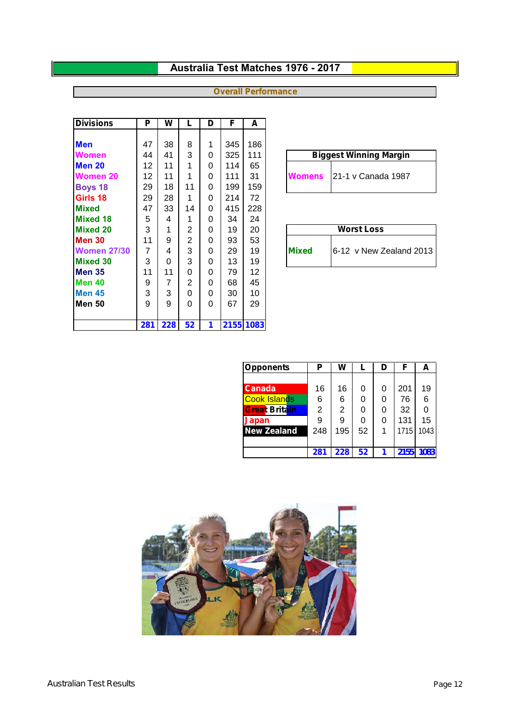## **Australia Test Matches 1976 - 2017**

## **Overall Performance**

| <b>Divisions</b>   | Р   | W   | L              | D | F   | A         |                                         |
|--------------------|-----|-----|----------------|---|-----|-----------|-----------------------------------------|
|                    |     |     |                |   |     |           |                                         |
| <b>Men</b>         | 47  | 38  | 8              | 1 | 345 | 186       |                                         |
| <b>Women</b>       | 44  | 41  | 3              | 0 | 325 | 111       | <b>Biggest Winning Margin</b>           |
| Men 20             | 12  | 11  | 1              | 0 | 114 | 65        |                                         |
| Women 20           | 12  | 11  | 1              | 0 | 111 | 31        | 121-1 v Canada 1987<br><b>Womens</b>    |
| <b>Boys 18</b>     | 29  | 18  | 11             | 0 | 199 | 159       |                                         |
| Girls 18           | 29  | 28  | 1              | 0 | 214 | 72        |                                         |
| <b>Mixed</b>       | 47  | 33  | 14             | 0 | 415 | 228       |                                         |
| <b>Mixed 18</b>    | 5   | 4   | 1              | 0 | 34  | 24        |                                         |
| <b>Mixed 20</b>    | 3   | 1   | $\overline{2}$ | 0 | 19  | 20        | <b>Worst Loss</b>                       |
| Men 30             | 11  | 9   | 2              | 0 | 93  | 53        |                                         |
| <b>Women 27/30</b> | 7   | 4   | 3              | 0 | 29  | 19        | 6-12 v New Zealand 2013<br><b>Mixed</b> |
| <b>Mixed 30</b>    | 3   | 0   | 3              | 0 | 13  | 19        |                                         |
| Men 35             | 11  | 11  | 0              | 0 | 79  | 12        |                                         |
| Men 40             | 9   | 7   | 2              | 0 | 68  | 45        |                                         |
| <b>Men 45</b>      | 3   | 3   | 0              | 0 | 30  | 10        |                                         |
| lMen 50            | 9   | 9   | 0              | 0 | 67  | 29        |                                         |
|                    |     |     |                |   |     |           |                                         |
|                    | 281 | 228 | 52             | 1 |     | 2155 1083 |                                         |

| <b>Biggest Winning Margin</b> |
|-------------------------------|
| Womens 21-1 v Canada 1987     |

|              | <b>Worst Loss</b>        |
|--------------|--------------------------|
| <b>Mixed</b> | 16-12 v New Zealand 2013 |

| <b>Opponents</b>     | Ρ   | W   |    | D | F    | А    |
|----------------------|-----|-----|----|---|------|------|
|                      |     |     |    |   |      |      |
| <b>Canada</b>        | 16  | 16  | 0  | 0 | 201  | 19   |
| <b>Cook Islands</b>  | 6   | 6   | 0  | 0 | 76   | 6    |
| <b>Great Britain</b> | 2   | 2   | 0  | 0 | 32   |      |
| Japan                | 9   | 9   | 0  | 0 | 131  | 15   |
| <b>New Zealand</b>   | 248 | 195 | 52 |   | 1715 | 1043 |
|                      |     |     |    |   |      |      |
|                      | 281 | 228 | 52 |   | 2155 | 1083 |

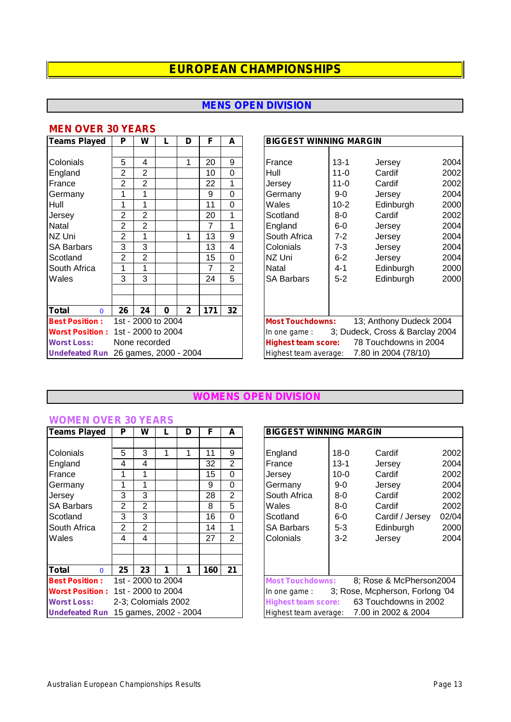## **MENS OPEN DIVISION**

#### **MEN OVER 30 YEARS**

| Teams Played                         | P              | W                  |   | D            | F   | A           | <b>BIGGEST WINNING MARGIN</b>                       |
|--------------------------------------|----------------|--------------------|---|--------------|-----|-------------|-----------------------------------------------------|
|                                      |                |                    |   |              |     |             |                                                     |
| Colonials                            | 5              | 4                  |   | 1            | 20  | 9           | 20<br>France<br>$13 - 1$<br>Jersey                  |
| England                              | 2              | 2                  |   |              | 10  | $\Omega$    | 2 <sub>0</sub><br>$11 - 0$<br>Hull<br>Cardif        |
| France                               | 2              | 2                  |   |              | 22  | 1           | 20<br>$11 - 0$<br>Cardif<br>Jersev                  |
| Germany                              | 1              | 1                  |   |              | 9   | $\mathbf 0$ | 20<br>$9-0$<br>Germany<br>Jersey                    |
| Hull                                 | 1              | 1                  |   |              | 11  | $\Omega$    | 20<br>Wales<br>$10-2$<br>Edinburgh                  |
| Jersey                               | 2              | $\overline{2}$     |   |              | 20  | 1           | 2 <sub>0</sub><br>8-0<br>Cardif<br>Scotland         |
| Natal                                | $\overline{2}$ | 2                  |   |              | 7   | 1           | 20<br>England<br>$6-0$<br>Jersey                    |
| NZ Uni                               | $\overline{2}$ | 1                  |   | 1            | 13  | 9           | 20<br>South Africa<br>$7 - 2$<br>Jersey             |
| <b>SA Barbars</b>                    | 3              | 3                  |   |              | 13  | 4           | 20<br>Colonials<br>$7 - 3$<br>Jersey                |
| Scotland                             | $\overline{2}$ | 2                  |   |              | 15  | $\Omega$    | NZ Uni<br>$6 - 2$<br>20<br>Jersey                   |
| South Africa                         | 1              | 1                  |   |              | 7   | 2           | 20<br>Natal<br>$4 - 1$<br>Edinburgh                 |
| Wales                                | 3              | 3                  |   |              | 24  | 5           | $5 - 2$<br>Edinburgh<br>20<br><b>SA Barbars</b>     |
|                                      |                |                    |   |              |     |             |                                                     |
|                                      |                |                    |   |              |     |             |                                                     |
| <b>Total</b><br>$\Omega$             | 26             | 24                 | 0 | $\mathbf{2}$ | 171 | 32          |                                                     |
| <b>Best Position:</b>                |                | 1st - 2000 to 2004 |   |              |     |             | 13; Anthony Dudeck 2004<br><b>Most Touchdowns:</b>  |
| <b>Worst Position:</b>               |                | 1st - 2000 to 2004 |   |              |     |             | 3; Dudeck, Cross & Barclay 200<br>In one game:      |
| <b>Worst Loss:</b>                   |                | None recorded      |   |              |     |             | 78 Touchdowns in 2004<br><b>Highest team score:</b> |
| Undefeated Run 26 games, 2000 - 2004 |                |                    |   |              |     |             | 7.80 in 2004 (78/10)<br>Highest team average:       |

| <b>Teams Played</b>                  | P              | W                  |          | D            | F   | A        | <b>BIGGEST WINNING MARGIN</b> |          |                                            |      |  |  |
|--------------------------------------|----------------|--------------------|----------|--------------|-----|----------|-------------------------------|----------|--------------------------------------------|------|--|--|
|                                      |                |                    |          |              |     |          |                               |          |                                            |      |  |  |
| Colonials                            | 5              | 4                  |          | 1            | 20  | 9        | France                        | $13 - 1$ | Jersey                                     | 2004 |  |  |
| England                              | $\overline{2}$ | $\overline{2}$     |          |              | 10  | 0        | Hull                          | $11 - 0$ | Cardif                                     | 2002 |  |  |
| France                               | 2              | 2                  |          |              | 22  | 1        | Jersey                        | $11 - 0$ | Cardif                                     | 2002 |  |  |
| Germany                              | 1              |                    |          |              | 9   | $\Omega$ | Germany                       | $9-0$    | Jersey                                     | 2004 |  |  |
| Hull                                 | 1              |                    |          |              | 11  | $\Omega$ | Wales                         | $10 - 2$ | Edinburgh                                  | 2000 |  |  |
| Jersey                               | 2              | 2                  |          |              | 20  | 1        | Scotland                      | $8-0$    | Cardif                                     | 2002 |  |  |
| Natal                                | 2              | $\overline{2}$     |          |              | 7   | 1        | England                       | $6-0$    | Jersey                                     | 2004 |  |  |
| NZ Uni                               | 2              |                    |          |              | 13  | 9        | South Africa                  | $7 - 2$  | Jersey                                     | 2004 |  |  |
| <b>SA Barbars</b>                    | 3              | 3                  |          |              | 13  | 4        | Colonials                     | $7 - 3$  | Jersey                                     | 2004 |  |  |
| Scotland                             | 2              | $\overline{2}$     |          |              | 15  | $\Omega$ | NZ Uni                        | $6 - 2$  | Jersey                                     | 2004 |  |  |
| South Africa                         | 1              |                    |          |              | 7   | 2        | Natal                         | $4 - 1$  | Edinburgh                                  | 2000 |  |  |
| Wales                                | 3              | 3                  |          |              | 24  | 5        | <b>SA Barbars</b>             | $5 - 2$  | Edinburgh                                  | 2000 |  |  |
|                                      |                |                    |          |              |     |          |                               |          |                                            |      |  |  |
|                                      |                |                    |          |              |     |          |                               |          |                                            |      |  |  |
| Total<br>$\Omega$                    | 26             | 24                 | $\bf{0}$ | $\mathbf{2}$ | 171 | 32       |                               |          |                                            |      |  |  |
| <b>Best Position:</b>                |                | 1st - 2000 to 2004 |          |              |     |          | <b>Most Touchdowns:</b>       |          | 13; Anthony Dudeck 2004                    |      |  |  |
| <b>Worst Position:</b>               |                | 1st - 2000 to 2004 |          |              |     |          | In one game:                  |          | 3; Dudeck, Cross & Barclay 2004            |      |  |  |
| <b>Worst Loss:</b>                   |                | None recorded      |          |              |     |          | <b>Highest team score:</b>    |          | 78 Touchdowns in 2004                      |      |  |  |
| Undefeated Run 26 games, 2000 - 2004 |                |                    |          |              |     |          |                               |          | Highest team average: 7.80 in 2004 (78/10) |      |  |  |

#### **WOMENS OPEN DIVISION**

| <b>Teams Played</b>     | Р              | W              | L                   | D                     | F   | A              | в   |
|-------------------------|----------------|----------------|---------------------|-----------------------|-----|----------------|-----|
|                         |                |                |                     |                       |     |                |     |
| Colonials               | 5              | 3              | 1                   | 1                     | 11  | 9              | Е   |
| England                 | 4              | 4              |                     |                       | 32  | $\overline{2}$ | F   |
| France                  | 1              | 1              |                     |                       | 15  | 0              | J۱  |
| Germany                 | 1              | 1              |                     |                       | 9   | 0              | G   |
| Jersey                  | 3              | 3              |                     |                       | 28  | $\overline{2}$ | S   |
| <b>SA Barbars</b>       | 2              | 2              |                     |                       | 8   | 5              | N   |
| Scotland                | 3              | 3              |                     |                       | 16  | 0              | S   |
| South Africa            | $\overline{2}$ | $\overline{2}$ |                     |                       | 14  | 1              | S   |
| Wales                   | 4              | 4              |                     |                       | 27  | $\overline{2}$ | С   |
|                         |                |                |                     |                       |     |                |     |
|                         |                |                |                     |                       |     |                |     |
| Total<br>0              | 25             | 23             | 1                   | 1                     | 160 | 21             |     |
| <b>Best Position:</b>   |                |                | 1st - 2000 to 2004  |                       |     |                | M   |
| <b>Worst Position :</b> |                |                | 1st - 2000 to 2004  |                       |     |                | Ir. |
| <b>Worst Loss:</b>      |                |                | 2-3; Colomials 2002 |                       |     |                | Н   |
| <b>Undefeated Run</b>   |                |                |                     | 15 games, 2002 - 2004 |     |                | Н   |

## **Teams Played P W LD F A BIGGEST WINNING MARGIN** Colonials 5 3 1 1 11 9 England 18-0 Cardif 2002 England 4 4 32 2 France 13-1 Jersey 2004 France | 1 | 1 | | | | 15 | 0 | | | |Jersey | 10-0 Cardif 2002| Germany | 1 | 1 | | | 9 | 0 | | | Germany | | 9-0 Jersey 2004 | Jersey | 3 | | | 28 | 2 | |South Africa | 8-0 Cardif 2002| SA Barbars 2 2 8 5 Wales 8-0 Cardif 2002 Scotland 6-0 Cardif / Jersey 02/04 South Africa 2 2 14 1 SA Barbars 5-3 Edinburgh 2000 Wales 4 4 27 2 Colonials 3-2 Jersey 2004 *Most Touchdowns:* 8; Rose & McPherson2004 *In one game :* 3; Rose, Mcpherson, Forlong '04 *Highest team score:* 63 Touchdowns in 2002 *Highest team average:* 7.00 in 2002 & 2004

**WOMEN OVER 30 YEARS**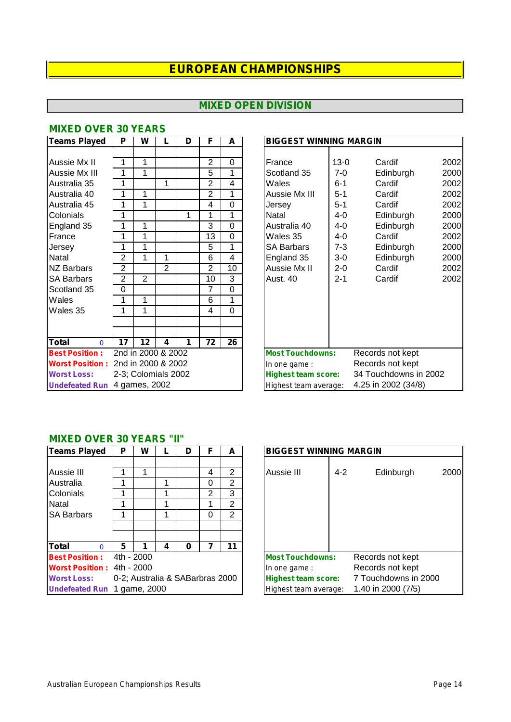## **MIXED OPEN DIVISION**

| Teams Played             | Р              | W                   |                | D | F              | A               | <b>BIGGEST WINNING MARGIN</b>                     |
|--------------------------|----------------|---------------------|----------------|---|----------------|-----------------|---------------------------------------------------|
|                          |                |                     |                |   |                |                 |                                                   |
| Aussie Mx II             | 1              | 1                   |                |   | $\overline{2}$ | 0               | Cardif<br>$13-0$<br>France                        |
| Aussie Mx III            | 1              | 1                   |                |   | 5              | 1               | Scotland 35<br>7-0<br>Edinburgh                   |
| Australia 35             | 1              |                     | 1              |   | $\overline{2}$ | 4               | Cardif<br>Wales<br>$6 - 1$                        |
| Australia 40             | 1              | 1                   |                |   | $\overline{2}$ | 1               | Aussie Mx III<br>$5 - 1$<br>Cardif                |
| Australia 45             | 1              | 1                   |                |   | 4              | $\Omega$        | $5 - 1$<br>Cardif<br>Jersey                       |
| Colonials                | 1              |                     |                | 1 | 1              | 1               | Natal<br>Edinburgh<br>4-0                         |
| England 35               | 1              | 1                   |                |   | 3              | $\Omega$        | Australia 40<br>4-0<br>Edinburgh                  |
| France                   | 1              | 1                   |                |   | 13             | 0               | Cardif<br>Wales 35<br>4-0                         |
| Jersey                   | 1              | 1                   |                |   | 5              | 1               | <b>SA Barbars</b><br>7-3<br>Edinburgh             |
| Natal                    | $\overline{2}$ | 1                   | 1              |   | 6              | 4               | England 35<br>Edinburgh<br>3-0                    |
| <b>NZ Barbars</b>        | $\overline{2}$ |                     | $\overline{2}$ |   | $\overline{2}$ | 10              | Aussie Mx II<br>Cardif<br>$2 - 0$                 |
| <b>SA Barbars</b>        | $\overline{2}$ | $\mathbf{2}$        |                |   | 10             | 3               | Cardif<br>Aust. 40<br>$2 - 1$                     |
| Scotland 35              | 0              |                     |                |   | 7              | 0               |                                                   |
| Wales                    | 1              | 1                   |                |   | 6              | 1               |                                                   |
| Wales 35                 | 1              | 1                   |                |   | 4              | $\Omega$        |                                                   |
|                          |                |                     |                |   |                |                 |                                                   |
|                          |                |                     |                |   |                |                 |                                                   |
| <b>Total</b><br>$\Omega$ | 17             | 12                  | 4              | 1 | 72             | $\overline{26}$ |                                                   |
| <b>Best Position:</b>    |                | 2nd in 2000 & 2002  |                |   |                |                 | <b>Most Touchdowns:</b><br>Records not kept       |
| <b>Worst Position:</b>   |                | 2nd in 2000 & 2002  |                |   |                |                 | Records not kept<br>In one game :                 |
| <b>Worst Loss:</b>       |                | 2-3; Colomials 2002 |                |   |                |                 | 34 Touchdowns in 20<br><b>Highest team score:</b> |
| <b>Undefeated Run</b>    |                | 4 games, 2002       |                |   |                |                 | 4.25 in 2002 (34/8)<br>Highest team average:      |

## **MIXED OVER 30 YEARS**

| <b>Teams Played</b>                | P              | W                   |                | D | F              | A        |                            | <b>BIGGEST WINNING MARGIN</b> |                       |      |  |  |  |  |  |
|------------------------------------|----------------|---------------------|----------------|---|----------------|----------|----------------------------|-------------------------------|-----------------------|------|--|--|--|--|--|
|                                    |                |                     |                |   |                |          |                            |                               |                       |      |  |  |  |  |  |
| Aussie Mx II                       | 1              |                     |                |   | 2              | 0        | France                     | $13 - 0$                      | Cardif                | 2002 |  |  |  |  |  |
| Aussie Mx III                      | 1              |                     |                |   | 5              | 1        | Scotland 35                | $7-0$                         | Edinburgh             | 2000 |  |  |  |  |  |
| Australia 35                       | 1              |                     | 1              |   | $\overline{2}$ | 4        | Wales                      | $6 - 1$                       | Cardif                | 2002 |  |  |  |  |  |
| Australia 40                       | 1              |                     |                |   | $\overline{2}$ | 1        | Aussie Mx III              | $5 - 1$                       | Cardif                | 2002 |  |  |  |  |  |
| Australia 45                       | 1              |                     |                |   | 4              | 0        | Jersey                     | $5 - 1$                       | Cardif                | 2002 |  |  |  |  |  |
| Colonials                          | 1              |                     |                | 1 |                | 1        | Natal                      | 4-0                           | Edinburgh             | 2000 |  |  |  |  |  |
| England 35                         | 1              | 1                   |                |   | 3              | $\Omega$ | Australia 40               | 4-0                           | Edinburgh             | 2000 |  |  |  |  |  |
| France                             | 1              |                     |                |   | 13             | $\Omega$ | Wales 35                   | 4-0                           | Cardif                | 2002 |  |  |  |  |  |
| Jersey                             | 1              |                     |                |   | 5              | 1        | <b>SA Barbars</b>          | 7-3                           | Edinburgh             | 2000 |  |  |  |  |  |
| Natal                              | $\overline{c}$ |                     | 1              |   | 6              | 4        | England 35                 | $3-0$                         | Edinburgh             | 2000 |  |  |  |  |  |
| <b>NZ Barbars</b>                  | $\overline{2}$ |                     | $\overline{2}$ |   | $\overline{2}$ | 10       | Aussie Mx II               | $2 - 0$                       | Cardif                | 2002 |  |  |  |  |  |
| SA Barbars                         | 2              | $\overline{2}$      |                |   | 10             | 3        | Aust. 40                   | $2 - 1$                       | Cardif                | 2002 |  |  |  |  |  |
| Scotland 35                        | $\Omega$       |                     |                |   | 7              | 0        |                            |                               |                       |      |  |  |  |  |  |
| Wales                              | 1              |                     |                |   | 6              | 1        |                            |                               |                       |      |  |  |  |  |  |
| Wales 35                           | 1              |                     |                |   | 4              | $\Omega$ |                            |                               |                       |      |  |  |  |  |  |
|                                    |                |                     |                |   |                |          |                            |                               |                       |      |  |  |  |  |  |
|                                    |                |                     |                |   |                |          |                            |                               |                       |      |  |  |  |  |  |
| Total<br>$\Omega$                  | 17             | 12                  | 4              |   | 72             | 26       |                            |                               |                       |      |  |  |  |  |  |
| <b>Best Position:</b>              |                | 2nd in 2000 & 2002  |                |   |                |          | <b>Most Touchdowns:</b>    |                               | Records not kept      |      |  |  |  |  |  |
| Worst Position: 2nd in 2000 & 2002 |                |                     |                |   |                |          | In one game:               |                               | Records not kept      |      |  |  |  |  |  |
| <b>Worst Loss:</b>                 |                | 2-3; Colomials 2002 |                |   |                |          | <b>Highest team score:</b> |                               | 34 Touchdowns in 2002 |      |  |  |  |  |  |
| Undefeated Run 4 games, 2002       |                |                     |                |   |                |          | Highest team average:      |                               | 4.25 in 2002 (34/8)   |      |  |  |  |  |  |

#### **MIXED OVER 30 YEARS "II"**

| <b>Teams Played</b>               | P | W          |   | D                               |   | А              | <b>BIGGEST WINNING MARGIN</b>                      |
|-----------------------------------|---|------------|---|---------------------------------|---|----------------|----------------------------------------------------|
|                                   |   |            |   |                                 |   |                |                                                    |
| Aussie III                        |   | 1          |   |                                 | 4 | $\overline{2}$ | Aussie III<br>$4 - 2$<br>Edinburgh                 |
| Australia                         |   |            |   |                                 | 0 | 2              |                                                    |
| Colonials                         |   |            |   |                                 | 2 | 3              |                                                    |
| Natal                             |   |            |   |                                 |   | 2              |                                                    |
| <b>ISA Barbars</b>                |   |            |   |                                 | 0 | 2              |                                                    |
|                                   |   |            |   |                                 |   |                |                                                    |
|                                   |   |            |   |                                 |   |                |                                                    |
| Total<br>0                        | 5 |            | 4 | 0                               |   | 11             |                                                    |
| <b>Best Position:</b>             |   | 4th - 2000 |   |                                 |   |                | <b>Most Touchdowns:</b><br>Records not kept        |
| <b>Worst Position: 4th - 2000</b> |   |            |   |                                 |   |                | Records not kept<br>In one game:                   |
| <b>Worst Loss:</b>                |   |            |   | 0-2; Australia & SABarbras 2000 |   |                | 7 Touchdowns in 2000<br><b>Highest team score:</b> |
| Undefeated Run 1 game, 2000       |   |            |   |                                 |   |                | 1.40 in 2000 (7/5)<br>Highest team average:        |

| <b>Teams Played</b>               | P | W                               | D |   | A  | <b>BIGGEST WINNING MARGIN</b> |                              |  |  |  |  |  |  |
|-----------------------------------|---|---------------------------------|---|---|----|-------------------------------|------------------------------|--|--|--|--|--|--|
| Aussie III                        |   |                                 |   | 4 | 2  | Aussie III                    | 2000<br>$4 - 2$<br>Edinburgh |  |  |  |  |  |  |
| Australia                         |   |                                 |   | 0 | 2  |                               |                              |  |  |  |  |  |  |
| Colonials                         |   |                                 |   | 2 | 3  |                               |                              |  |  |  |  |  |  |
| Natal                             |   |                                 |   |   | 2  |                               |                              |  |  |  |  |  |  |
| SA Barbars                        |   |                                 |   | 0 | 2  |                               |                              |  |  |  |  |  |  |
|                                   |   |                                 |   |   |    |                               |                              |  |  |  |  |  |  |
| Total                             | 5 |                                 |   |   | 11 |                               |                              |  |  |  |  |  |  |
| <b>Best Position:</b>             |   | 4th - 2000                      |   |   |    | <b>Most Touchdowns:</b>       | Records not kept             |  |  |  |  |  |  |
| <b>Worst Position: 4th - 2000</b> |   |                                 |   |   |    | In one game:                  | Records not kept             |  |  |  |  |  |  |
| <b>Worst Loss:</b>                |   | 0-2; Australia & SABarbras 2000 |   |   |    | <b>Highest team score:</b>    | 7 Touchdowns in 2000         |  |  |  |  |  |  |
| Undefeated Run 1 game, 2000       |   |                                 |   |   |    | Highest team average:         | 1.40 in 2000 (7/5)           |  |  |  |  |  |  |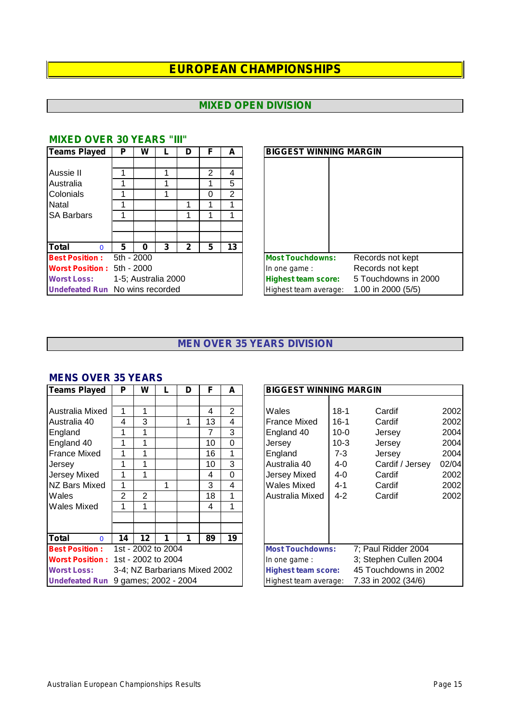## **MIXED OPEN DIVISION**

| <b>Teams Played</b>                    | P          | W                   |   | D | F | А  | <b>BIGGEST WINNING MARGIN</b> |                      |
|----------------------------------------|------------|---------------------|---|---|---|----|-------------------------------|----------------------|
|                                        |            |                     |   |   |   |    |                               |                      |
| Aussie II                              | 1          |                     |   |   | 2 | 4  |                               |                      |
| Australia                              | 1          |                     |   |   |   | 5  |                               |                      |
| Colonials                              | 4          |                     |   |   | 0 | 2  |                               |                      |
| Natal                                  | 4          |                     |   |   |   |    |                               |                      |
| <b>SA Barbars</b>                      |            |                     |   |   |   |    |                               |                      |
|                                        |            |                     |   |   |   |    |                               |                      |
|                                        |            |                     |   |   |   |    |                               |                      |
| <b>Total</b><br>$\Omega$               | 5          | 0                   | 3 | 2 | 5 | 13 |                               |                      |
| <b>Best Position:</b>                  | 5th - 2000 |                     |   |   |   |    | <b>Most Touchdowns:</b>       | Records not kept     |
| <b>Worst Position:</b>                 | 5th - 2000 |                     |   |   |   |    | In one game:                  | Records not kept     |
| <b>Worst Loss:</b>                     |            | 1-5; Australia 2000 |   |   |   |    | <b>Highest team score:</b>    | 5 Touchdowns in 2000 |
| <b>Undefeated Run</b> No wins recorded |            |                     |   |   |   |    | Highest team average:         | 1.00 in 2000 (5/5)   |

| Teams Played                           | P          | W                   |   | D | F | A  |
|----------------------------------------|------------|---------------------|---|---|---|----|
|                                        |            |                     |   |   |   |    |
| Aussie II                              |            |                     |   |   | 2 | 4  |
| Australia                              |            |                     |   |   |   | 5  |
| Colonials                              |            |                     |   |   | 0 | 2  |
| Natal                                  |            |                     |   |   |   |    |
| <b>SA Barbars</b>                      |            |                     |   |   |   |    |
|                                        |            |                     |   |   |   |    |
|                                        |            |                     |   |   |   |    |
| Total                                  | 5          | O                   | 3 | 2 | 5 | 13 |
| <b>Best Position:</b>                  | 5th - 2000 |                     |   |   |   |    |
| <b>Worst Position: 5th - 2000</b>      |            |                     |   |   |   |    |
| <b>Worst Loss:</b>                     |            | 1-5; Australia 2000 |   |   |   |    |
| <b>Undefeated Run</b> No wins recorded |            |                     |   |   |   |    |

## **MIXED OVER 30 YEARS "III"**

#### **MEN OVER 35 YEARS DIVISION**

#### **MENS OVER 35 YEARS**

| <b>Teams Played</b>      | P  | W                    |   | D                             | F              | A              | <b>BIGGEST WINNING MARGIN</b>                       |
|--------------------------|----|----------------------|---|-------------------------------|----------------|----------------|-----------------------------------------------------|
|                          |    |                      |   |                               |                |                |                                                     |
| Australia Mixed          | 1  | 1                    |   |                               | $\overline{4}$ | $\overline{2}$ | Wales<br>$18-1$<br>Cardif                           |
| Australia 40             | 4  | 3                    |   |                               | 13             | 4              | $16-1$<br><b>France Mixed</b><br>Cardif             |
| England                  | 1  | 1                    |   |                               | 7              | 3              | England 40<br>$10 - 0$<br>Jersey                    |
| England 40               | 1  | 1                    |   |                               | 10             | $\Omega$       | $10-3$<br>Jersey<br>Jersey                          |
| <b>France Mixed</b>      | 1  | 1                    |   |                               | 16             |                | England<br>$7-3$<br>Jersey                          |
| Jersey                   | 1  | 1                    |   |                               | 10             | 3              | Australia 40<br>4-0<br>Cardif / Jersey<br>0         |
| Jersey Mixed             | 1  | 1                    |   |                               | 4              | $\Omega$       | Jersey Mixed<br>4-0<br>Cardif                       |
| NZ Bars Mixed            | 1  |                      | 1 |                               | 3              | $\overline{4}$ | <b>Wales Mixed</b><br>4-1<br>Cardif                 |
| Wales                    | 2  | $\overline{2}$       |   |                               | 18             | 1              | Australia Mixed<br>$4 - 2$<br>Cardif                |
| <b>Wales Mixed</b>       | 1  | 1                    |   |                               | 4              | 1              |                                                     |
|                          |    |                      |   |                               |                |                |                                                     |
|                          |    |                      |   |                               |                |                |                                                     |
| <b>Total</b><br>$\Omega$ | 14 | $12 \,$              | 1 | 1                             | 89             | 19             |                                                     |
| <b>Best Position:</b>    |    | 1st - 2002 to 2004   |   |                               |                |                | 7; Paul Ridder 2004<br><b>Most Touchdowns:</b>      |
| <b>Worst Position:</b>   |    | 1st - 2002 to 2004   |   |                               |                |                | 3; Stephen Cullen 2004<br>In one game:              |
| <b>Worst Loss:</b>       |    |                      |   | 3-4; NZ Barbarians Mixed 2002 |                |                | 45 Touchdowns in 2002<br><b>Highest team score:</b> |
| <b>Undefeated Run</b>    |    | 9 games; 2002 - 2004 |   |                               |                |                | 7.33 in 2002 (34/6)<br>Highest team average:        |

| <b>Teams Played</b>      | P  | W                  |   | D                    | F                             | A              | <b>BIGGEST WINNING MARGIN</b> |                                                     |                        |       |  |  |  |
|--------------------------|----|--------------------|---|----------------------|-------------------------------|----------------|-------------------------------|-----------------------------------------------------|------------------------|-------|--|--|--|
|                          |    |                    |   |                      |                               |                |                               |                                                     |                        |       |  |  |  |
| Australia Mixed          |    |                    |   |                      | 4                             | $\overline{2}$ | Wales                         | $18-1$                                              | Cardif                 | 2002  |  |  |  |
| Australia 40             | 4  | 3                  |   |                      | 13                            | 4              | <b>France Mixed</b>           | $16-1$                                              | Cardif                 | 2002  |  |  |  |
| England                  |    |                    |   |                      | 7                             | 3              | England 40                    | $10 - 0$                                            | Jersey                 | 2004  |  |  |  |
| England 40               |    |                    |   |                      | 10                            | $\Omega$       | Jersey                        | $10-3$                                              | Jersey                 | 2004  |  |  |  |
| France Mixed             |    |                    |   |                      | 16                            | 1              | England                       | $7 - 3$                                             | Jersey                 | 2004  |  |  |  |
| Jersev                   |    |                    |   |                      | 10                            | 3              | Australia 40                  | 4-0                                                 | Cardif / Jersey        | 02/04 |  |  |  |
| Jersey Mixed             |    |                    |   |                      | 4                             | 0              | <b>Jersey Mixed</b>           | $4 - 0$                                             | Cardif                 | 2002  |  |  |  |
| NZ Bars Mixed            | 1  |                    | 1 |                      | 3                             | 4              | Wales Mixed                   | $4 - 1$                                             | Cardif                 | 2002  |  |  |  |
| Wales                    | 2  | $\overline{2}$     |   |                      | 18                            | 1              | Australia Mixed               | $4 - 2$                                             | Cardif                 | 2002  |  |  |  |
| Wales Mixed              |    |                    |   |                      | 4                             | 1              |                               |                                                     |                        |       |  |  |  |
|                          |    |                    |   |                      |                               |                |                               |                                                     |                        |       |  |  |  |
|                          |    |                    |   |                      |                               |                |                               |                                                     |                        |       |  |  |  |
| <b>Total</b><br>$\Omega$ | 14 | $12 \,$            |   |                      | 89                            | 19             |                               |                                                     |                        |       |  |  |  |
| <b>Best Position:</b>    |    | 1st - 2002 to 2004 |   |                      |                               |                | <b>Most Touchdowns:</b>       |                                                     | 7; Paul Ridder 2004    |       |  |  |  |
| <b>Worst Position:</b>   |    | 1st - 2002 to 2004 |   |                      |                               |                | In one game:                  |                                                     | 3; Stephen Cullen 2004 |       |  |  |  |
| <b>Worst Loss:</b>       |    |                    |   |                      | 3-4; NZ Barbarians Mixed 2002 |                |                               | 45 Touchdowns in 2002<br><b>Highest team score:</b> |                        |       |  |  |  |
| <b>Undefeated Run</b>    |    |                    |   | 9 games; 2002 - 2004 |                               |                | Highest team average:         |                                                     | 7.33 in 2002 (34/6)    |       |  |  |  |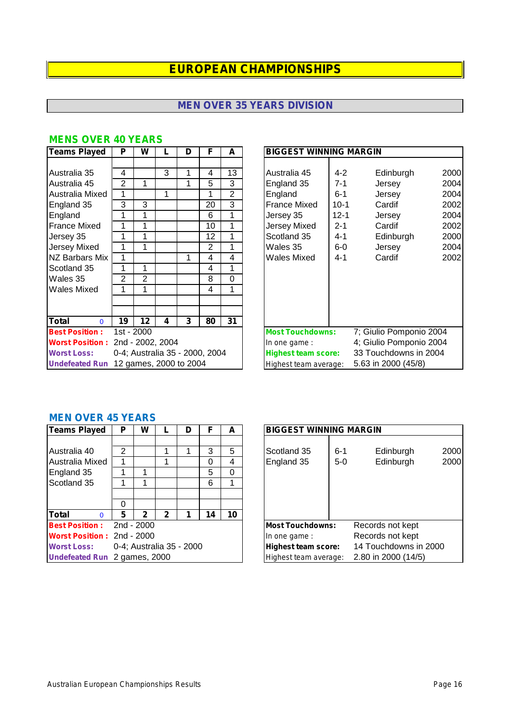## **MEN OVER 35 YEARS DIVISION**

| <b>Teams Played</b>                     | P  | W          |                                | D | F  | A              | <b>BIGGEST WINNING MARGIN</b> |          |                         |
|-----------------------------------------|----|------------|--------------------------------|---|----|----------------|-------------------------------|----------|-------------------------|
|                                         |    |            |                                |   |    |                |                               |          |                         |
| Australia 35                            | 4  |            | 3                              | 1 | 4  | 13             | Australia 45                  | $4 - 2$  | 2<br>Edinburgh          |
| Australia 45                            | 2  | 1          |                                | 1 | 5  | 3              | England 35                    | $7 - 1$  | Jersey                  |
| Australia Mixed                         | 1  |            | 1                              |   | 1  | $\overline{2}$ | England                       | $6 - 1$  | Jersey                  |
| England 35                              | 3  | 3          |                                |   | 20 | 3              | <b>France Mixed</b>           | $10-1$   | Cardif                  |
| England                                 | 1  | 1          |                                |   | 6  | 1              | Jersey 35                     | $12 - 1$ | Jersey                  |
| <b>France Mixed</b>                     |    | 1          |                                |   | 10 | 1              | Jersey Mixed                  | $2 - 1$  | Cardif                  |
| Jersey 35                               | 1  | 1          |                                |   | 12 | 1              | Scotland 35                   | $4 - 1$  | Edinburgh               |
| <b>Jersey Mixed</b>                     |    |            |                                |   | 2  | 1              | Wales 35                      | $6-0$    | Jersey                  |
| NZ Barbars Mix                          | 1  |            |                                | 1 | 4  | 4              | Wales Mixed                   | 4-1      | Cardif                  |
| Scotland 35                             |    |            |                                |   | 4  | 1              |                               |          |                         |
| Wales 35                                | 2  | 2          |                                |   | 8  | $\Omega$       |                               |          |                         |
| Wales Mixed                             | 1  | 1          |                                |   | 4  | 1              |                               |          |                         |
|                                         |    |            |                                |   |    |                |                               |          |                         |
|                                         |    |            |                                |   |    |                |                               |          |                         |
| <b>Total</b><br>$\mathbf{0}$            | 19 | 12         | 4                              | 3 | 80 | 31             |                               |          |                         |
| <b>Best Position:</b>                   |    | 1st - 2000 |                                |   |    |                | <b>Most Touchdowns:</b>       |          | 7; Giulio Pomponio 2004 |
| <b>Worst Position: 2nd - 2002, 2004</b> |    |            |                                |   |    |                | In one game:                  |          | 4; Giulio Pomponio 2004 |
| <b>Worst Loss:</b>                      |    |            | 0-4; Australia 35 - 2000, 2004 |   |    |                | <b>Highest team score:</b>    |          | 33 Touchdowns in 2004   |
| <b>Undefeated Run</b>                   |    |            | 12 games, 2000 to 2004         |   |    |                | Highest team average:         |          | 5.63 in 2000 (45/8)     |

## **MENS OVER 40 YEARS**

| Teams Played                             | P          | W                |   | D                              | F              | A              |                                                     | <b>BIGGEST WINNING MARGIN</b> |  |  |  |  |  |  |
|------------------------------------------|------------|------------------|---|--------------------------------|----------------|----------------|-----------------------------------------------------|-------------------------------|--|--|--|--|--|--|
|                                          |            |                  |   |                                |                |                |                                                     |                               |  |  |  |  |  |  |
| Australia 35                             | 4          |                  | 3 |                                | 4              | 13             | $4 - 2$<br>Australia 45                             | 2000<br>Edinburgh             |  |  |  |  |  |  |
| Australia 45                             | 2          |                  |   | 1                              | 5              | 3              | England 35<br>$7 - 1$                               | 2004<br>Jersey                |  |  |  |  |  |  |
| Australia Mixed                          | 1          |                  | 1 |                                |                | $\overline{2}$ | England<br>$6 - 1$                                  | 2004<br>Jersey                |  |  |  |  |  |  |
| England 35                               | 3          | 3                |   |                                | 20             | 3              | <b>France Mixed</b><br>$10-1$                       | 2002<br>Cardif                |  |  |  |  |  |  |
| England                                  | 1          |                  |   |                                | 6              | 1              | $12 - 1$<br>Jersey 35                               | 2004<br>Jersey                |  |  |  |  |  |  |
| France Mixed                             | 1          |                  |   |                                | 10             | 1              | Jersey Mixed<br>$2 - 1$                             | 2002<br>Cardif                |  |  |  |  |  |  |
| Jersey 35                                | 1          |                  |   |                                | 12             | 1              | Scotland 35<br>$4 - 1$                              | 2000<br>Edinburgh             |  |  |  |  |  |  |
| Jersey Mixed                             | 1          |                  |   |                                | $\overline{2}$ | 1              | Wales 35<br>$6-0$                                   | 2004<br>Jersey                |  |  |  |  |  |  |
| NZ Barbars Mix                           | 1          |                  |   |                                | 4              | 4              | <b>Wales Mixed</b><br>$4 - 1$                       | 2002<br>Cardif                |  |  |  |  |  |  |
| Scotland 35                              | 1          |                  |   |                                | 4              | 1              |                                                     |                               |  |  |  |  |  |  |
| Wales 35                                 | 2          | $\overline{2}$   |   |                                | 8              | 0              |                                                     |                               |  |  |  |  |  |  |
| Wales Mixed                              | 1          |                  |   |                                | 4              | 1              |                                                     |                               |  |  |  |  |  |  |
|                                          |            |                  |   |                                |                |                |                                                     |                               |  |  |  |  |  |  |
|                                          |            |                  |   |                                |                |                |                                                     |                               |  |  |  |  |  |  |
| $\overline{\mathsf{T}}$ otal<br>$\Omega$ | 19         | 12               | 4 | 3                              | 80             | 31             |                                                     |                               |  |  |  |  |  |  |
| <b>Best Position:</b>                    | 1st - 2000 |                  |   |                                |                |                | <b>Most Touchdowns:</b>                             | 7; Giulio Pomponio 2004       |  |  |  |  |  |  |
| <b>Worst Position:</b>                   |            | 2nd - 2002, 2004 |   |                                |                |                | In one game:                                        | 4; Giulio Pomponio 2004       |  |  |  |  |  |  |
| <b>Worst Loss:</b>                       |            |                  |   | 0-4; Australia 35 - 2000, 2004 |                |                | 33 Touchdowns in 2004<br><b>Highest team score:</b> |                               |  |  |  |  |  |  |
| <b>Undefeated Run</b>                    |            |                  |   | 12 games, 2000 to 2004         |                |                | Highest team average:                               | 5.63 in 2000 (45/8)           |  |  |  |  |  |  |

#### **MEN OVER 45 YEARS**

| Teams Played                                                                    | P | W               |                          | D | F                | A           | <b>BIGGEST WINNING MARGIN</b>                                                                       |
|---------------------------------------------------------------------------------|---|-----------------|--------------------------|---|------------------|-------------|-----------------------------------------------------------------------------------------------------|
| Australia 40<br>Australia Mixed<br>England 35<br>Scotland 35                    | 2 |                 |                          |   | 3<br>0<br>5<br>6 | 5<br>4<br>0 | Scotland 35<br>Edinburgh<br>$6 - 1$<br>Edinburgh<br>England 35<br>$5-0$                             |
|                                                                                 | 0 |                 |                          |   |                  |             |                                                                                                     |
| <b>Total</b><br>0<br><b>Best Position:</b><br><b>Worst Position: 2nd - 2000</b> | 5 | 2<br>2nd - 2000 | 2                        |   | 14               | 10          | <b>Most Touchdowns:</b><br>Records not kept<br>Records not kept<br>In one game:                     |
| <b>Worst Loss:</b><br>Undefeated Run 2 games, 2000                              |   |                 | 0-4; Australia 35 - 2000 |   |                  |             | 14 Touchdowns in 2000<br><b>Highest team score:</b><br>2.80 in 2000 (14/5)<br>Highest team average: |

| <b>Teams Played</b>               | P | W                        |   | D |    | A  |                            | <b>BIGGEST WINNING MARGIN</b> |  |  |  |  |  |  |  |
|-----------------------------------|---|--------------------------|---|---|----|----|----------------------------|-------------------------------|--|--|--|--|--|--|--|
|                                   |   |                          |   |   |    |    |                            |                               |  |  |  |  |  |  |  |
| Australia 40                      | 2 |                          |   |   | 3  | 5  | Scotland 35                | 2000<br>Edinburgh<br>$6 - 1$  |  |  |  |  |  |  |  |
| Australia Mixed                   |   |                          |   |   | 0  | 4  | England 35                 | Edinburgh<br>2000<br>$5-0$    |  |  |  |  |  |  |  |
| England 35                        |   |                          |   |   | 5  | 0  |                            |                               |  |  |  |  |  |  |  |
| Scotland 35                       |   |                          |   |   | 6  |    |                            |                               |  |  |  |  |  |  |  |
|                                   |   |                          |   |   |    |    |                            |                               |  |  |  |  |  |  |  |
|                                   | 0 |                          |   |   |    |    |                            |                               |  |  |  |  |  |  |  |
| Total                             | 5 | 2                        | 2 |   | 14 | 10 |                            |                               |  |  |  |  |  |  |  |
| <b>Best Position:</b>             |   | $2nd - 2000$             |   |   |    |    | <b>Most Touchdowns:</b>    | Records not kept              |  |  |  |  |  |  |  |
| <b>Worst Position: 2nd - 2000</b> |   |                          |   |   |    |    | In one game:               | Records not kept              |  |  |  |  |  |  |  |
| <b>Worst Loss:</b>                |   | 0-4; Australia 35 - 2000 |   |   |    |    | <b>Highest team score:</b> | 14 Touchdowns in 2000         |  |  |  |  |  |  |  |
| Undefeated Run 2 games, 2000      |   |                          |   |   |    |    | Highest team average:      | 2.80 in 2000 (14/5)           |  |  |  |  |  |  |  |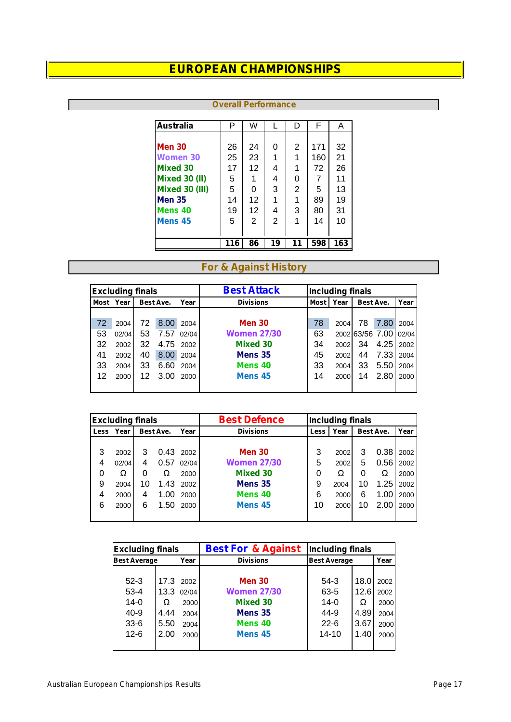**Overall Performance**

| <b>Australia</b>      | P   | W  |    | D  | F   | A   |
|-----------------------|-----|----|----|----|-----|-----|
|                       |     |    |    |    |     |     |
| <b>Men 30</b>         | 26  | 24 | 0  | 2  | 171 | 32  |
| <b>Women 30</b>       | 25  | 23 | 1  | 1  | 160 | 21  |
| <b>Mixed 30</b>       | 17  | 12 | 4  | 1  | 72  | 26  |
| <b>Mixed 30 (II)</b>  | 5   | 1  | 4  | 0  |     | 11  |
| <b>Mixed 30 (III)</b> | 5   | 0  | 3  | 2  | 5   | 13  |
| <b>Men 35</b>         | 14  | 12 | 1  | 1  | 89  | 19  |
| Mens <sub>40</sub>    | 19  | 12 | 4  | 3  | 80  | 31  |
| Mens <sub>45</sub>    | 5   | 2  | 2  | 1  | 14  | 10  |
|                       |     |    |    |    |     |     |
|                       | 116 | 86 | 19 | 11 | 598 | 163 |

#### **For & Against History**

|             | <b>Excluding finals</b> |                   |      |       | <b>Best Attack</b> | <b>Including finals</b> |      |                  |                 |       |           |      |
|-------------|-------------------------|-------------------|------|-------|--------------------|-------------------------|------|------------------|-----------------|-------|-----------|------|
| <b>Most</b> | Year                    | Best Ave.<br>Year |      |       |                    |                         |      | <b>Divisions</b> | <b>Most</b>     | Year  | Best Ave. | Year |
|             |                         |                   |      |       |                    |                         |      |                  |                 |       |           |      |
| 72          | 2004                    | 72                | 8.00 | 2004  | <b>Men 30</b>      | 78                      | 2004 | 78               | 7.80            | 2004  |           |      |
| 53          | 02/04                   | 53                | 7.57 | 02/04 | <b>Women 27/30</b> | 63                      |      |                  | 2002 63/56 7.00 | 02/04 |           |      |
| 32          | 2002                    | 32                | 4.75 | 2002  | <b>Mixed 30</b>    | 34                      | 2002 | 34               | 4.25            | 2002  |           |      |
| 41          | 2002                    | 40                | 8.00 | 2004  | Mens 35            | 45                      | 2002 | 44               | 7.33            | 2004  |           |      |
| 33          | 2004                    | 33                | 6.60 | 2004  | Mens 40            | 33                      | 2004 | 33               | 5.50            | 2004  |           |      |
| 12          | 2000                    | 12                | 3.00 | 2000  | Mens 45            | 14                      | 2000 | 14               | 2.80            | 2000  |           |      |
|             |                         |                   |      |       |                    |                         |      |                  |                 |       |           |      |

|      | <b>Excluding finals</b> |    |           |       | <b>Best Defence</b> |        | <b>Including finals</b> |    |           |      |
|------|-------------------------|----|-----------|-------|---------------------|--------|-------------------------|----|-----------|------|
| Less | Year                    |    | Best Ave. | Year  | <b>Divisions</b>    | Less l | Year                    |    | Best Ave. | Year |
|      |                         |    |           |       |                     |        |                         |    |           |      |
| 3    | 2002                    | 3  | 0.43      | 2002  | <b>Men 30</b>       | 3      | 2002                    | 3  | 0.38      | 2002 |
| 4    | 02/04                   | 4  | 0.57      | 02/04 | <b>Women 27/30</b>  | 5      | 2002                    | 5  | 0.56      | 2002 |
| 0    |                         |    |           | 2000  | <b>Mixed 30</b>     | 0      |                         | 0  |           | 2000 |
| 9    | 2004                    | 10 | 1.43      | 2002  | Mens 35             | 9      | 2004                    | 10 | 1.25      | 2002 |
| 4    | 2000                    | 4  | 1.00      | 2000  | Mens 40             | 6      | 2000                    | 6  | 1.00      | 2000 |
| 6    | 2000                    | 6  | 1.50      | 2000  | Mens <sub>45</sub>  | 10     | 2000                    | 10 | 2.00      | 2000 |
|      |                         |    |           |       |                     |        |                         |    |           |      |

| <b>Excluding finals</b> |      |            | <b>Best For &amp; Against</b> | <b>Including finals</b> |      |      |
|-------------------------|------|------------|-------------------------------|-------------------------|------|------|
| <b>Best Average</b>     |      | Year       | <b>Divisions</b>              | <b>Best Average</b>     |      | Year |
|                         |      |            |                               |                         |      |      |
| $52-3$                  | 17.3 | 2002       | <b>Men 30</b>                 | 54-3                    | 18.0 | 2002 |
| $53 - 4$                |      | 13.3 02/04 | <b>Women 27/30</b>            | $63 - 5$                | 12.6 | 2002 |
| $14 - 0$                |      | 2000       | <b>Mixed 30</b>               | $14-0$                  |      | 2000 |
| 40-9                    | 4.44 | 2004       | Mens 35                       | 44-9                    | 4.89 | 2004 |
| $33-6$                  | 5.50 | 2004       | Mens <sub>40</sub>            | $22 - 6$                | 3.67 | 2000 |
| $12 - 6$                | 2.00 | 2000       | Mens <sub>45</sub>            | $14 - 10$               | 1.40 | 2000 |
|                         |      |            |                               |                         |      |      |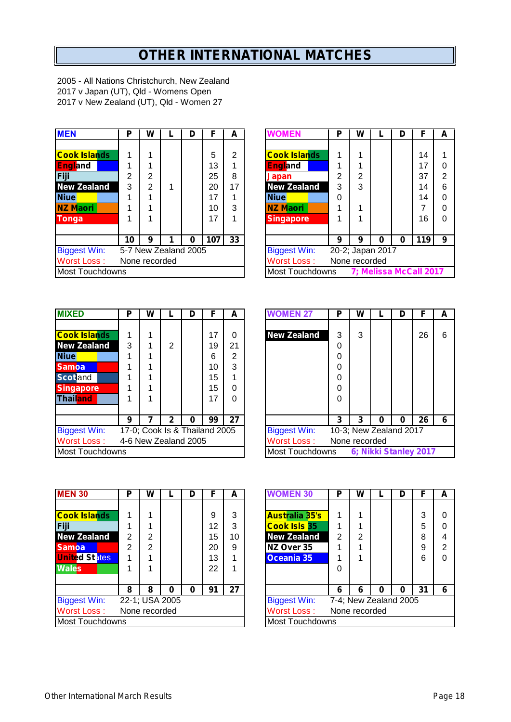# **OTHER INTERNATIONAL MATCHES**

2005 - All Nations Christchurch, New Zealand 2017 v Japan (UT), Qld - Womens Open 2017 v New Zealand (UT), Qld - Women 27

| <b>MEN</b>             | P             | W             |                      | D        | F   | A  | <b>WOMEN</b>        | P              | W                   |   | D | F   |
|------------------------|---------------|---------------|----------------------|----------|-----|----|---------------------|----------------|---------------------|---|---|-----|
|                        |               |               |                      |          |     |    |                     |                |                     |   |   |     |
| <b>Cook Islands</b>    |               |               |                      |          | 5   | 2  | <b>Cook Islands</b> | и              |                     |   |   | 14  |
| <b>England</b>         |               |               |                      |          | 13  |    | <b>England</b>      |                |                     |   |   | 17  |
| Fiji                   | 2             | 2             |                      |          | 25  | 8  | Japan               | $\overline{2}$ | 2                   |   |   | 37  |
| <b>New Zealand</b>     | 3             | $\mathcal{P}$ |                      |          | 20  | 17 | <b>New Zealand</b>  | 3              | 3                   |   |   | 14  |
| <b>Niue</b>            |               |               |                      |          | 17  |    | <b>Niue</b>         | 0              |                     |   |   | 14  |
| <b>NZ Maori</b>        |               | 1             |                      |          | 10  | 3  | <b>NZ Maori</b>     | 4              |                     |   |   |     |
| <b>Tonga</b>           |               |               |                      |          | 17  |    | <b>Singapore</b>    |                |                     |   |   | 16  |
|                        | 10            | 9             | 1                    | $\bf{0}$ | 107 | 33 |                     | 9              | 9                   | 0 | O | 119 |
| <b>Biggest Win:</b>    |               |               | 5-7 New Zealand 2005 |          |     |    | <b>Biggest Win:</b> |                | 20-2; Japan 2017    |   |   |     |
| <b>Worst Loss:</b>     | None recorded |               |                      |          |     |    | Worst Loss:         |                | None recorded       |   |   |     |
| <b>Most Touchdowns</b> |               |               |                      |          |     |    | Most Touchdowns     |                | 7; Melissa McCall 2 |   |   |     |

| <b>MEN</b>          | P  | W             |                      | D | F   | A  | <b>WOMEN</b>        | P | W             |                  | D        | F                      | A |
|---------------------|----|---------------|----------------------|---|-----|----|---------------------|---|---------------|------------------|----------|------------------------|---|
|                     |    |               |                      |   |     |    |                     |   |               |                  |          |                        |   |
| <b>Cook Islands</b> |    |               |                      |   | 5   | 2  | <b>Cook Islands</b> |   |               |                  |          | 14                     | 1 |
| <b>England</b>      |    |               |                      |   | 13  |    | <b>England</b>      |   |               |                  |          | 17                     | 0 |
| Fiji                | 2  | 2             |                      |   | 25  | 8  | Japan               | 2 | 2             |                  |          | 37                     | 2 |
| <b>New Zealand</b>  | 3  | 2             |                      |   | 20  | 17 | <b>New Zealand</b>  | 3 | 3             |                  |          | 14                     | 6 |
| <b>Niue</b>         |    |               |                      |   | 17  |    | <b>Niue</b>         | 0 |               |                  |          | 14                     | 0 |
| NZ Maori            |    |               |                      |   | 10  | 3  | <b>NZ Maori</b>     |   |               |                  |          |                        | 0 |
| <b>Tonga</b>        |    |               |                      |   | 17  |    | <b>Singapore</b>    |   |               |                  |          | 16                     | 0 |
|                     |    |               |                      |   |     |    |                     |   |               |                  |          |                        |   |
|                     | 10 | 9             |                      | 0 | 107 | 33 |                     | 9 | 9             | 0                | $\bf{0}$ | 119                    | 9 |
| <b>Biggest Win:</b> |    |               | 5-7 New Zealand 2005 |   |     |    | <b>Biggest Win:</b> |   |               | 20-2; Japan 2017 |          |                        |   |
| Worst Loss :        |    | None recorded |                      |   |     |    | Worst Loss:         |   | None recorded |                  |          |                        |   |
| Most Touchdowns     |    |               |                      |   |     |    | Most Touchdowns     |   |               |                  |          | 7; Melissa McCall 2017 |   |

| <b>MIXED</b>        | Р                    | W                             |   | D | F  | А        | <b>NOMEN 27</b>     | Р | W             |                        | D |  |
|---------------------|----------------------|-------------------------------|---|---|----|----------|---------------------|---|---------------|------------------------|---|--|
|                     |                      |                               |   |   |    |          |                     |   |               |                        |   |  |
| <b>Cook Islands</b> |                      |                               |   |   | 17 | 0        | <b>New Zealand</b>  | 3 | 3             |                        |   |  |
| <b>New Zealand</b>  | 3                    |                               | 2 |   | 19 | 21       |                     | 0 |               |                        |   |  |
| <b>Niue</b>         |                      |                               |   |   | 6  | 2        |                     | 0 |               |                        |   |  |
| <b>Samoa</b>        |                      |                               |   |   | 10 | 3        |                     | 0 |               |                        |   |  |
| <b>Scotland</b>     |                      |                               |   |   | 15 |          |                     | 0 |               |                        |   |  |
| <b>Singapore</b>    |                      |                               |   |   | 15 | $\Omega$ |                     | 0 |               |                        |   |  |
| Thailand            |                      |                               |   |   | 17 | $\Omega$ |                     | 0 |               |                        |   |  |
|                     |                      |                               |   |   |    |          |                     |   |               |                        |   |  |
|                     | 9                    |                               | 2 | 0 | 99 | 27       |                     | 3 | 3             | 0                      | 0 |  |
| <b>Biggest Win:</b> |                      | 17-0; Cook Is & Thailand 2005 |   |   |    |          | <b>Biggest Win:</b> |   |               | 10-3; New Zealand 2017 |   |  |
| <b>Worst Loss:</b>  | 4-6 New Zealand 2005 |                               |   |   |    |          | Worst Loss:         |   | None recorded |                        |   |  |
| Most Touchdowns     |                      |                               |   |   |    |          | Most Touchdowns     |   |               | 6; Nikki Stanley 2     |   |  |

| P               | W |   | D | F  | A                    |                               |                     | Р               | w               |   | D             | F  | A                                               |  |  |  |  |  |  |  |
|-----------------|---|---|---|----|----------------------|-------------------------------|---------------------|-----------------|-----------------|---|---------------|----|-------------------------------------------------|--|--|--|--|--|--|--|
|                 |   |   |   |    |                      |                               |                     |                 |                 |   |               |    |                                                 |  |  |  |  |  |  |  |
|                 |   |   |   | 17 | 0                    |                               | <b>New Zealand</b>  | 3               | 3               |   |               | 26 | 6                                               |  |  |  |  |  |  |  |
| 3               |   | 2 |   | 19 | 21                   |                               |                     | 0               |                 |   |               |    |                                                 |  |  |  |  |  |  |  |
|                 |   |   |   | 6  | 2                    |                               |                     | 0               |                 |   |               |    |                                                 |  |  |  |  |  |  |  |
|                 |   |   |   | 10 | 3                    |                               |                     | 0               |                 |   |               |    |                                                 |  |  |  |  |  |  |  |
|                 |   |   |   | 15 |                      |                               |                     | 0               |                 |   |               |    |                                                 |  |  |  |  |  |  |  |
|                 |   |   |   | 15 | 0                    |                               |                     | 0               |                 |   |               |    |                                                 |  |  |  |  |  |  |  |
|                 |   |   |   | 17 | 0                    |                               |                     | 0               |                 |   |               |    |                                                 |  |  |  |  |  |  |  |
|                 |   |   |   |    |                      |                               |                     |                 |                 |   |               |    |                                                 |  |  |  |  |  |  |  |
| 9               |   |   | O | 99 | 27                   |                               |                     | 3               | 3               | o | 0             | 26 | 6                                               |  |  |  |  |  |  |  |
|                 |   |   |   |    |                      |                               | <b>Biggest Win:</b> |                 |                 |   |               |    |                                                 |  |  |  |  |  |  |  |
|                 |   |   |   |    |                      |                               | <b>Worst Loss:</b>  |                 |                 |   |               |    |                                                 |  |  |  |  |  |  |  |
| Most Touchdowns |   |   |   |    |                      |                               |                     |                 |                 |   |               |    |                                                 |  |  |  |  |  |  |  |
|                 |   |   |   |    | 4-6 New Zealand 2005 | 17-0; Cook Is & Thailand 2005 |                     | <b>WOMEN 27</b> | Most Touchdowns |   | None recorded |    | 10-3; New Zealand 2017<br>6; Nikki Stanley 2017 |  |  |  |  |  |  |  |

| <b>MEN 30</b>          | Р | W             |                | D | F  | A  | <b>WOMEN 30</b>        | Р              | W                     |   | D |    | A |
|------------------------|---|---------------|----------------|---|----|----|------------------------|----------------|-----------------------|---|---|----|---|
|                        |   |               |                |   |    |    |                        |                |                       |   |   |    |   |
| <b>Cook Islands</b>    |   |               |                |   | 9  | 3  | <b>Australia 35's</b>  |                |                       |   |   | 3  | 0 |
| Fiji                   |   |               |                |   | 12 | 3  | <b>Cook Isls 35</b>    |                |                       |   |   | 5  | 0 |
| <b>New Zealand</b>     | 2 | 2             |                |   | 15 | 10 | <b>New Zealand</b>     | $\overline{2}$ | $\overline{2}$        |   |   | 8  | 4 |
| <b>Samoa</b>           | 2 | 2             |                |   | 20 | 9  | NZ Over 35             |                |                       |   |   | 9  | 2 |
| <b>United States</b>   |   |               |                |   | 13 |    | Oceania 35             |                |                       |   |   | 6  | 0 |
| <b>Wales</b>           |   |               |                |   | 22 |    |                        | 0              |                       |   |   |    |   |
|                        |   |               |                |   |    |    |                        |                |                       |   |   |    |   |
|                        | 8 | 8             | O              | O | 91 | 27 |                        | 6              | 6                     | O | 0 | 31 | 6 |
| <b>Biggest Win:</b>    |   |               | 22-1; USA 2005 |   |    |    | <b>Biggest Win:</b>    |                | 7-4; New Zealand 2005 |   |   |    |   |
| Worst Loss:            |   | None recorded |                |   |    |    | Worst Loss:            |                | None recorded         |   |   |    |   |
| <b>Most Touchdowns</b> |   |               |                |   |    |    | <b>Most Touchdowns</b> |                |                       |   |   |    |   |

| <b>MEN 30</b>        | P | W             |                | D | F  | A  | <b>WOMEN 30</b>        | P | W             |   | D                     | F  | A |  |
|----------------------|---|---------------|----------------|---|----|----|------------------------|---|---------------|---|-----------------------|----|---|--|
|                      |   |               |                |   |    |    |                        |   |               |   |                       |    |   |  |
| <b>Cook Islands</b>  |   |               |                |   | 9  | 3  | <b>Australia 35's</b>  |   |               |   |                       | 3  | 0 |  |
| Fiji                 |   |               |                |   | 12 | 3  | <b>Cook Isls 35</b>    |   |               |   |                       | 5  | 0 |  |
| <b>New Zealand</b>   | 2 | 2             |                |   | 15 | 10 | <b>New Zealand</b>     | 2 | າ             |   |                       | 8  | 4 |  |
| Samoa                | 2 | 2             |                |   | 20 | 9  | NZ Over 35             |   |               |   |                       | 9  | 2 |  |
| <b>United States</b> |   |               |                |   | 13 |    | Oceania 35             |   |               |   |                       | 6  | 0 |  |
| <b>Wales</b>         |   |               |                |   | 22 |    |                        | 0 |               |   |                       |    |   |  |
|                      |   |               |                |   |    |    |                        |   |               |   |                       |    |   |  |
|                      | 8 | 8             | O              | 0 | 91 | 27 |                        | 6 | 6             | O | 0                     | 31 | 6 |  |
| <b>Biggest Win:</b>  |   |               | 22-1; USA 2005 |   |    |    | <b>Biggest Win:</b>    |   |               |   | 7-4; New Zealand 2005 |    |   |  |
| Worst Loss:          |   | None recorded |                |   |    |    | <b>Worst Loss:</b>     |   | None recorded |   |                       |    |   |  |
| Most Touchdowns      |   |               |                |   |    |    | <b>Most Touchdowns</b> |   |               |   |                       |    |   |  |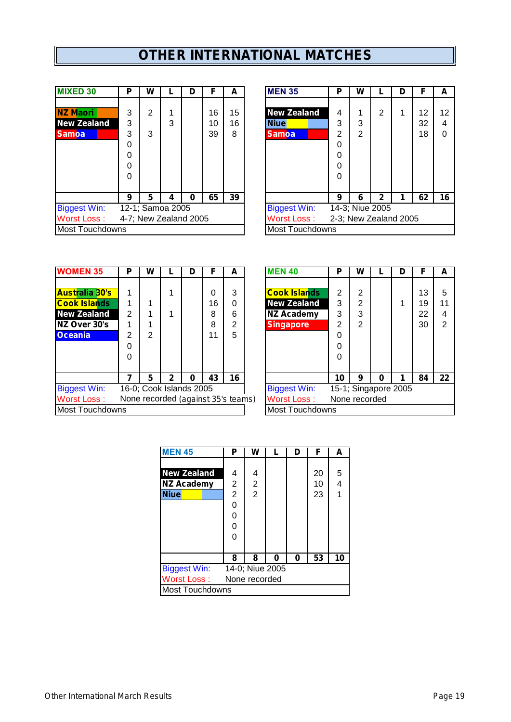# **OTHER INTERNATIONAL MATCHES**

| <b>MIXED 30</b>        | P | w |                       | D | F  | А  | <b>MEN 35</b>          | P | W |                       | D | F  | A  |
|------------------------|---|---|-----------------------|---|----|----|------------------------|---|---|-----------------------|---|----|----|
|                        |   |   |                       |   |    |    |                        |   |   |                       |   |    |    |
| <b>NZ Maori</b>        | 3 | 2 |                       |   | 16 | 15 | <b>New Zealand</b>     | 4 |   | 2                     |   | 12 | 12 |
| <b>New Zealand</b>     | 3 |   | 3                     |   | 10 | 16 | <b>Niue</b>            | 3 | 3 |                       |   | 32 | 4  |
| <b>Samoa</b>           | 3 | 3 |                       |   | 39 | 8  | <b>Samoa</b>           | 2 | 2 |                       |   | 18 | 0  |
|                        | 0 |   |                       |   |    |    |                        | 0 |   |                       |   |    |    |
|                        | 0 |   |                       |   |    |    |                        | 0 |   |                       |   |    |    |
|                        | 0 |   |                       |   |    |    |                        | 0 |   |                       |   |    |    |
|                        | 0 |   |                       |   |    |    |                        | 0 |   |                       |   |    |    |
|                        |   |   |                       |   |    |    |                        |   |   |                       |   |    |    |
|                        | 9 | 5 | 4                     | 0 | 65 | 39 |                        | 9 | 6 | 2                     |   | 62 | 16 |
| <b>Biggest Win:</b>    |   |   | 12-1; Samoa 2005      |   |    |    | <b>Biggest Win:</b>    |   |   | 14-3; Niue 2005       |   |    |    |
| <b>Worst Loss:</b>     |   |   | 4-7; New Zealand 2005 |   |    |    | <b>Worst Loss:</b>     |   |   | 2-3; New Zealand 2005 |   |    |    |
| <b>Most Touchdowns</b> |   |   |                       |   |    |    | <b>Most Touchdowns</b> |   |   |                       |   |    |    |

| <b>MIXED 30</b>     | P | W |                       | D | F  | A  | <b>MEN 35</b>          | Р | w |                       | D | F  | A                 |
|---------------------|---|---|-----------------------|---|----|----|------------------------|---|---|-----------------------|---|----|-------------------|
|                     |   |   |                       |   |    |    |                        |   |   |                       |   |    |                   |
| <b>NZ Maori</b>     | 3 | 2 |                       |   | 16 | 15 | <b>New Zealand</b>     | 4 | 4 | 2                     |   | 12 | $12 \overline{ }$ |
| <b>New Zealand</b>  | 3 |   | 3                     |   | 10 | 16 | <b>Niue</b>            | 3 | 3 |                       |   | 32 | 4                 |
| <b>Samoa</b>        | 3 | 3 |                       |   | 39 | 8  | <b>Samoa</b>           | 2 | 2 |                       |   | 18 | 0                 |
|                     | 0 |   |                       |   |    |    |                        | 0 |   |                       |   |    |                   |
|                     | 0 |   |                       |   |    |    |                        | 0 |   |                       |   |    |                   |
|                     | 0 |   |                       |   |    |    |                        | 0 |   |                       |   |    |                   |
|                     | 0 |   |                       |   |    |    |                        | 0 |   |                       |   |    |                   |
|                     |   |   |                       |   |    |    |                        |   |   |                       |   |    |                   |
|                     | 9 | 5 | 4                     | 0 | 65 | 39 |                        | 9 | 6 | 2                     |   | 62 | 16                |
| <b>Biggest Win:</b> |   |   | 12-1; Samoa 2005      |   |    |    | <b>Biggest Win:</b>    |   |   | 14-3; Niue 2005       |   |    |                   |
| Worst Loss :        |   |   | 4-7; New Zealand 2005 |   |    |    | <b>Worst Loss:</b>     |   |   | 2-3; New Zealand 2005 |   |    |                   |
| Most Touchdowns     |   |   |                       |   |    |    | <b>Most Touchdowns</b> |   |   |                       |   |    |                   |
|                     |   |   |                       |   |    |    |                        |   |   |                       |   |    |                   |

| <b>IWOMEN 35</b>       | Р              | w                       |              | D | F  | А                                  | <b>MEN 40</b>          | Р  | w                    |   | D | F  | A              |
|------------------------|----------------|-------------------------|--------------|---|----|------------------------------------|------------------------|----|----------------------|---|---|----|----------------|
|                        |                |                         |              |   |    |                                    |                        |    |                      |   |   |    |                |
| <b>Australia 30's</b>  |                |                         |              |   | 0  | 3                                  | <b>Cook Islands</b>    | 2  | $\overline{2}$       |   |   | 13 | 5              |
| <b>Cook Islands</b>    |                |                         |              |   | 16 | 0                                  | <b>New Zealand</b>     | 3  | 2                    |   |   | 19 | 11             |
| <b>New Zealand</b>     | $\overline{2}$ |                         |              |   | 8  | 6                                  | <b>NZ Academy</b>      | 3  | 3                    |   |   | 22 | $\overline{4}$ |
| NZ Over 30's           |                |                         |              |   | 8  | 2                                  | <b>Singapore</b>       | 2  | 2                    |   |   | 30 | $\overline{2}$ |
| <b>Oceania</b>         | $\overline{2}$ | 2                       |              |   | 11 | 5                                  |                        | 0  |                      |   |   |    |                |
|                        | 0              |                         |              |   |    |                                    |                        | 0  |                      |   |   |    |                |
|                        | 0              |                         |              |   |    |                                    |                        | 0  |                      |   |   |    |                |
|                        |                |                         |              |   |    |                                    |                        |    |                      |   |   |    |                |
|                        |                | 5                       | $\mathbf{2}$ | 0 | 43 | 16                                 |                        | 10 | 9                    | 0 | 1 | 84 | 22             |
| <b>Biggest Win:</b>    |                | 16-0; Cook Islands 2005 |              |   |    |                                    | <b>Biggest Win:</b>    |    | 15-1; Singapore 2005 |   |   |    |                |
| Worst Loss:            |                |                         |              |   |    | None recorded (against 35's teams) | <b>Worst Loss:</b>     |    | None recorded        |   |   |    |                |
| <b>Most Touchdowns</b> |                |                         |              |   |    |                                    | <b>Most Touchdowns</b> |    |                      |   |   |    |                |
|                        |                |                         |              |   |    |                                    |                        |    |                      |   |   |    |                |

| <b>WOMEN 35</b>        | P | W |              | D                                  |    | A  | <b>MEN 40</b>          | Р             | W              |   |                      | F  | A              |
|------------------------|---|---|--------------|------------------------------------|----|----|------------------------|---------------|----------------|---|----------------------|----|----------------|
|                        |   |   |              |                                    |    |    |                        |               |                |   |                      |    |                |
| <b>Australia 30's</b>  |   |   |              |                                    | 0  | 3  | <b>Cook Islands</b>    | 2             | 2              |   |                      | 13 | 5              |
| <b>Cook Islands</b>    |   |   |              |                                    | 16 | 0  | <b>New Zealand</b>     | 3             | $\overline{2}$ |   |                      | 19 | 11             |
| <b>New Zealand</b>     | 2 |   |              |                                    | 8  | 6  | <b>NZ Academy</b>      | 3             | 3              |   |                      | 22 | 4              |
| NZ Over 30's           |   |   |              |                                    | 8  | 2  | <b>Singapore</b>       | 2             | 2              |   |                      | 30 | $\overline{2}$ |
| Oceania                | 2 | 2 |              |                                    | 11 | 5  |                        | 0             |                |   |                      |    |                |
|                        | 0 |   |              |                                    |    |    |                        | 0             |                |   |                      |    |                |
|                        | 0 |   |              |                                    |    |    |                        | 0             |                |   |                      |    |                |
|                        |   |   |              |                                    |    |    |                        |               |                |   |                      |    |                |
|                        | 7 | 5 | $\mathbf{2}$ | 0                                  | 43 | 16 |                        | 10            | 9              | 0 |                      | 84 | 22             |
| <b>Biggest Win:</b>    |   |   |              | 16-0; Cook Islands 2005            |    |    | <b>Biggest Win:</b>    |               |                |   | 15-1; Singapore 2005 |    |                |
| Worst Loss :           |   |   |              | None recorded (against 35's teams) |    |    | <b>Worst Loss:</b>     | None recorded |                |   |                      |    |                |
| <b>Most Touchdowns</b> |   |   |              |                                    |    |    | <b>Most Touchdowns</b> |               |                |   |                      |    |                |

| <b>MEN 45</b>          | Р               | w              |   | n | F  | А  |  |  |
|------------------------|-----------------|----------------|---|---|----|----|--|--|
|                        |                 |                |   |   |    |    |  |  |
| <b>New Zealand</b>     | 4               | 4              |   |   | 20 | 5  |  |  |
| <b>NZ Academy</b>      | $\overline{2}$  | 2              |   |   | 10 | 4  |  |  |
| <b>Niue</b>            | $\overline{2}$  | $\overline{2}$ |   |   | 23 | 1  |  |  |
|                        | 0               |                |   |   |    |    |  |  |
|                        | 0               |                |   |   |    |    |  |  |
|                        | 0               |                |   |   |    |    |  |  |
|                        | 0               |                |   |   |    |    |  |  |
|                        |                 |                |   |   |    |    |  |  |
|                        | 8               | 8              | 0 | 0 | 53 | 10 |  |  |
| <b>Biggest Win:</b>    | 14-0; Niue 2005 |                |   |   |    |    |  |  |
| Worst Loss:            | None recorded   |                |   |   |    |    |  |  |
| <b>Most Touchdowns</b> |                 |                |   |   |    |    |  |  |